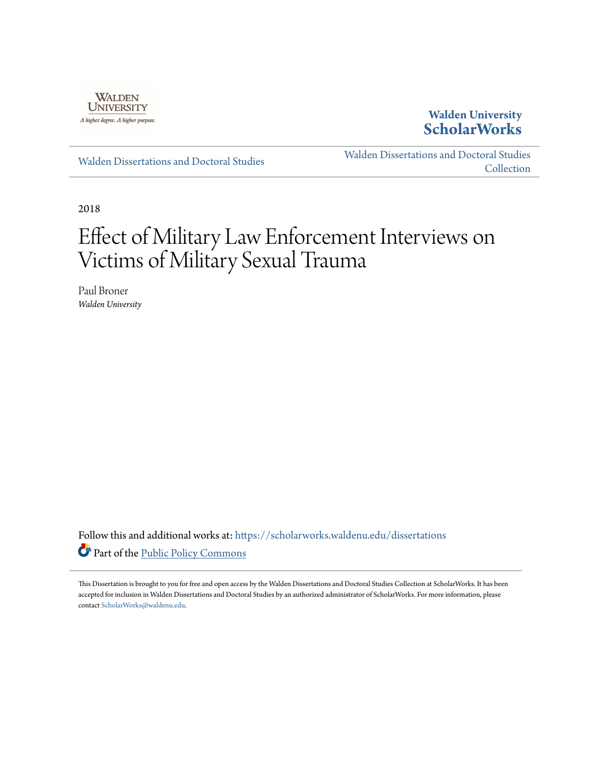

## **Walden University [ScholarWorks](https://scholarworks.waldenu.edu?utm_source=scholarworks.waldenu.edu%2Fdissertations%2F5056&utm_medium=PDF&utm_campaign=PDFCoverPages)**

[Walden Dissertations and Doctoral Studies](https://scholarworks.waldenu.edu/dissertations?utm_source=scholarworks.waldenu.edu%2Fdissertations%2F5056&utm_medium=PDF&utm_campaign=PDFCoverPages)

[Walden Dissertations and Doctoral Studies](https://scholarworks.waldenu.edu/dissanddoc?utm_source=scholarworks.waldenu.edu%2Fdissertations%2F5056&utm_medium=PDF&utm_campaign=PDFCoverPages) [Collection](https://scholarworks.waldenu.edu/dissanddoc?utm_source=scholarworks.waldenu.edu%2Fdissertations%2F5056&utm_medium=PDF&utm_campaign=PDFCoverPages)

2018

# Effect of Military Law Enforcement Interviews on Victims of Military Sexual Trauma

Paul Broner *Walden University*

Follow this and additional works at: [https://scholarworks.waldenu.edu/dissertations](https://scholarworks.waldenu.edu/dissertations?utm_source=scholarworks.waldenu.edu%2Fdissertations%2F5056&utm_medium=PDF&utm_campaign=PDFCoverPages) Part of the [Public Policy Commons](http://network.bepress.com/hgg/discipline/400?utm_source=scholarworks.waldenu.edu%2Fdissertations%2F5056&utm_medium=PDF&utm_campaign=PDFCoverPages)

This Dissertation is brought to you for free and open access by the Walden Dissertations and Doctoral Studies Collection at ScholarWorks. It has been accepted for inclusion in Walden Dissertations and Doctoral Studies by an authorized administrator of ScholarWorks. For more information, please contact [ScholarWorks@waldenu.edu](mailto:ScholarWorks@waldenu.edu).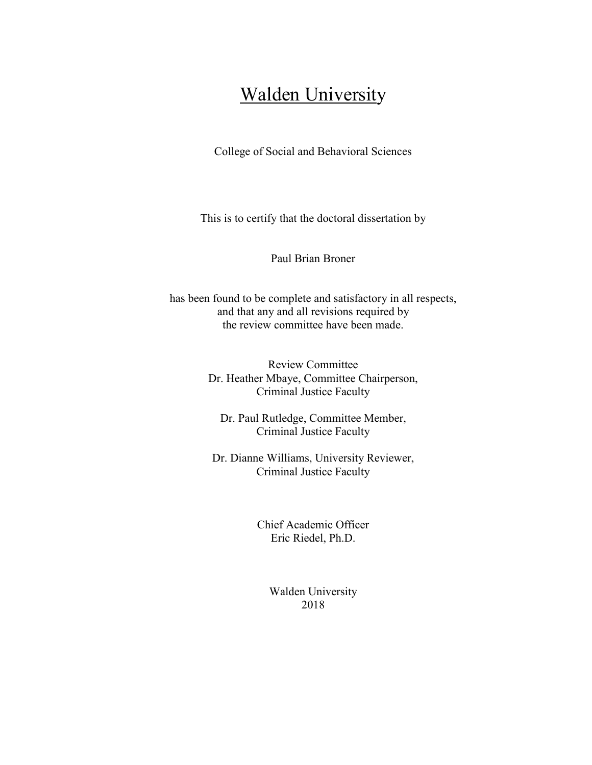## **Walden University**

College of Social and Behavioral Sciences

This is to certify that the doctoral dissertation by

Paul Brian Broner

has been found to be complete and satisfactory in all respects, and that any and all revisions required by the review committee have been made.

> Review Committee Dr. Heather Mbaye, Committee Chairperson, Criminal Justice Faculty

Dr. Paul Rutledge, Committee Member, Criminal Justice Faculty

Dr. Dianne Williams, University Reviewer, Criminal Justice Faculty

> Chief Academic Officer Eric Riedel, Ph.D.

> > Walden University 2018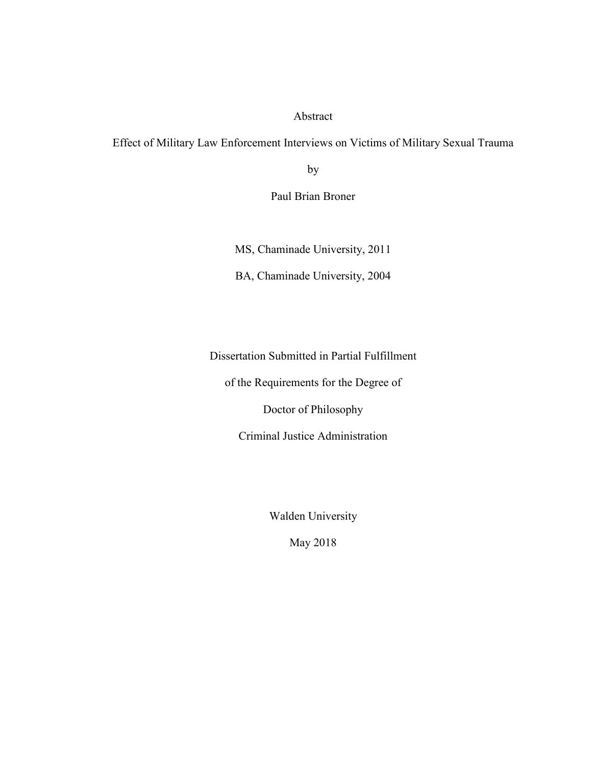### Abstract

Effect of Military Law Enforcement Interviews on Victims of Military Sexual Trauma

by

Paul Brian Broner

MS, Chaminade University, 2011

BA, Chaminade University, 2004

Dissertation Submitted in Partial Fulfillment

of the Requirements for the Degree of

Doctor of Philosophy

Criminal Justice Administration

Walden University

May 2018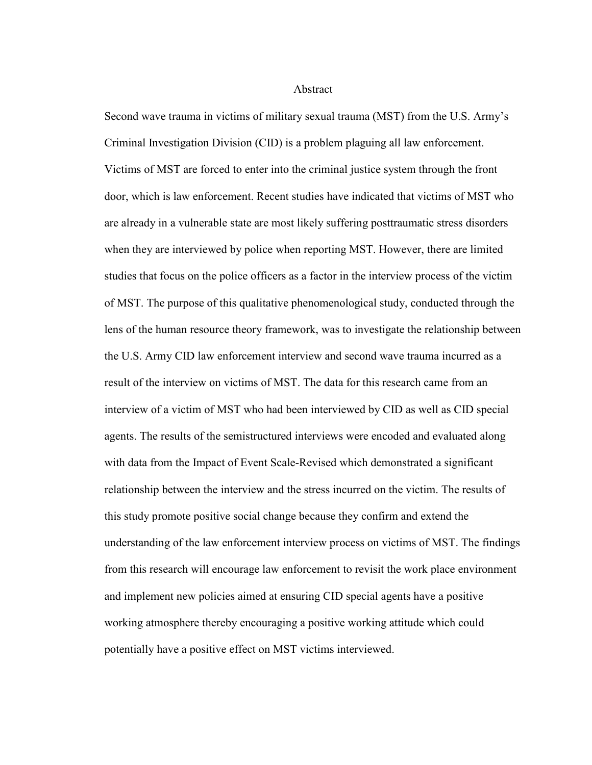**Abstract** 

Second wave trauma in victims of military sexual trauma (MST) from the U.S. Army's Criminal Investigation Division (CID) is a problem plaguing all law enforcement. Victims of MST are forced to enter into the criminal justice system through the front door, which is law enforcement. Recent studies have indicated that victims of MST who are already in a vulnerable state are most likely suffering posttraumatic stress disorders when they are interviewed by police when reporting MST. However, there are limited studies that focus on the police officers as a factor in the interview process of the victim of MST. The purpose of this qualitative phenomenological study, conducted through the lens of the human resource theory framework, was to investigate the relationship between the U.S. Army CID law enforcement interview and second wave trauma incurred as a result of the interview on victims of MST. The data for this research came from an interview of a victim of MST who had been interviewed by CID as well as CID special agents. The results of the semistructured interviews were encoded and evaluated along with data from the Impact of Event Scale-Revised which demonstrated a significant relationship between the interview and the stress incurred on the victim. The results of this study promote positive social change because they confirm and extend the understanding of the law enforcement interview process on victims of MST. The findings from this research will encourage law enforcement to revisit the work place environment and implement new policies aimed at ensuring CID special agents have a positive working atmosphere thereby encouraging a positive working attitude which could potentially have a positive effect on MST victims interviewed.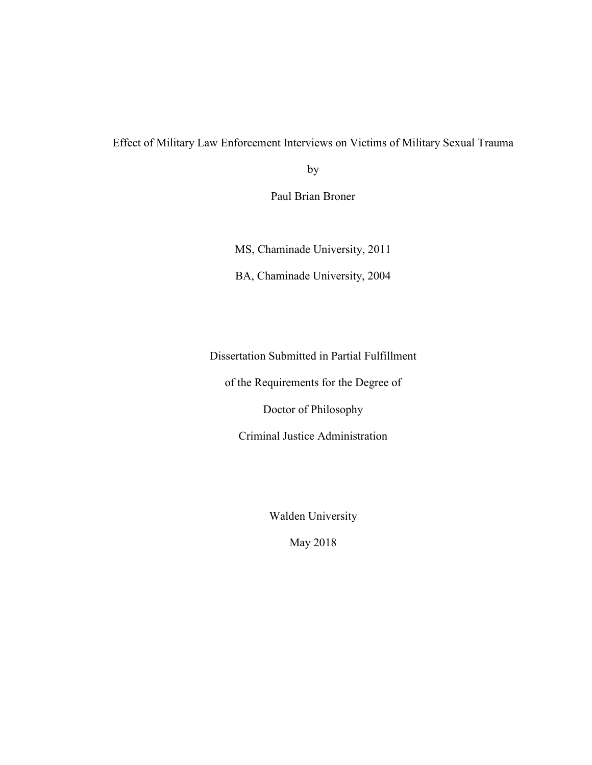## Effect of Military Law Enforcement Interviews on Victims of Military Sexual Trauma

by

Paul Brian Broner

MS, Chaminade University, 2011

BA, Chaminade University, 2004

Dissertation Submitted in Partial Fulfillment

of the Requirements for the Degree of

Doctor of Philosophy

Criminal Justice Administration

Walden University

May 2018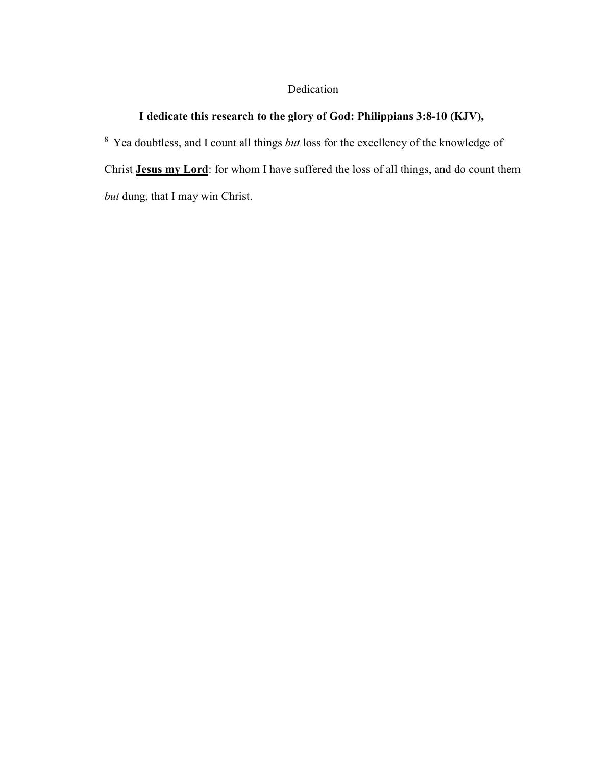## Dedication

## **I dedicate this research to the glory of God: Philippians 3:8-10 (KJV),**

<sup>8</sup>Yea doubtless, and I count all things *but* loss for the excellency of the knowledge of Christ **Jesus my Lord**: for whom I have suffered the loss of all things, and do count them *but* dung, that I may win Christ.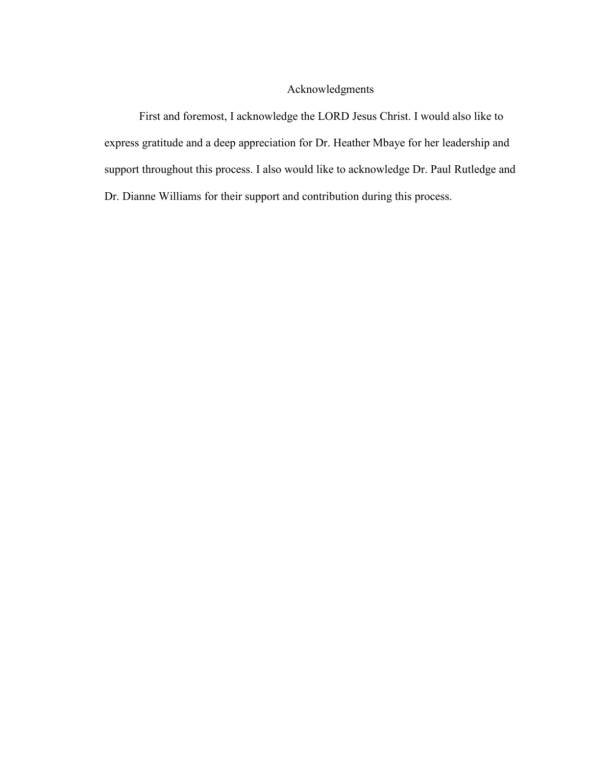### Acknowledgments

First and foremost, I acknowledge the LORD Jesus Christ. I would also like to express gratitude and a deep appreciation for Dr. Heather Mbaye for her leadership and support throughout this process. I also would like to acknowledge Dr. Paul Rutledge and Dr. Dianne Williams for their support and contribution during this process.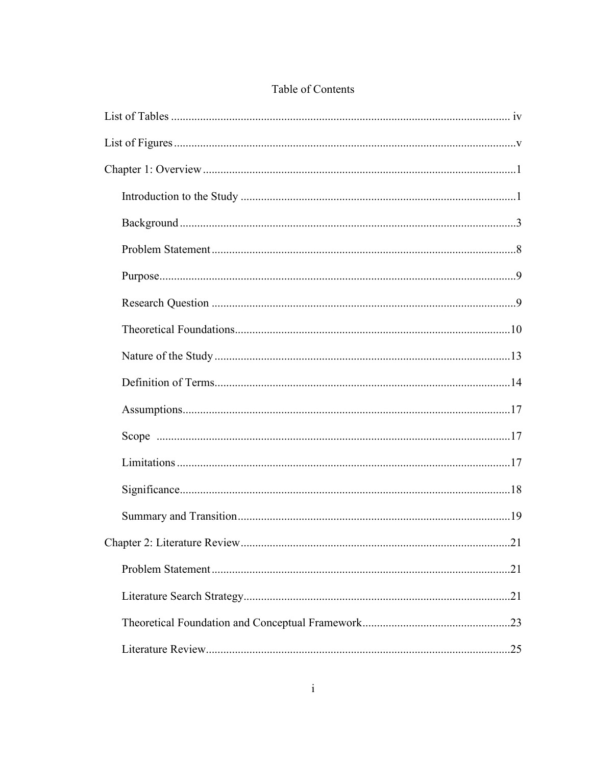## Table of Contents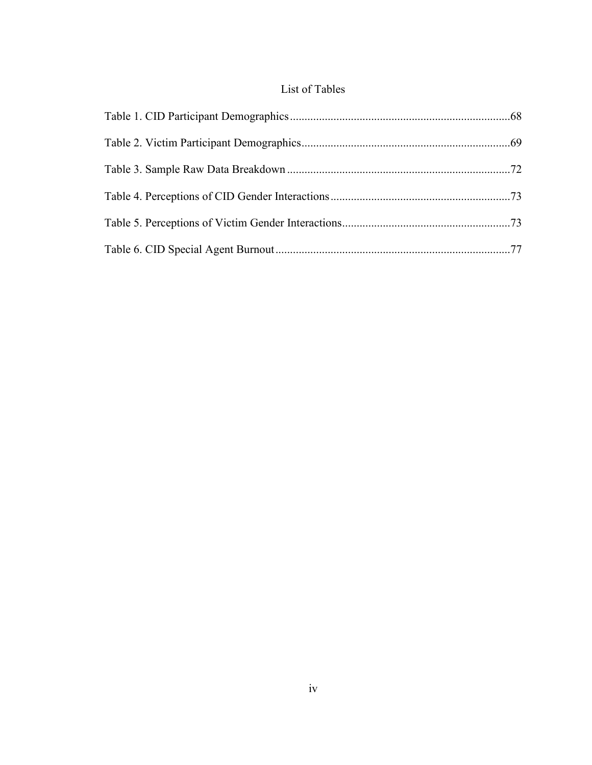## List of Tables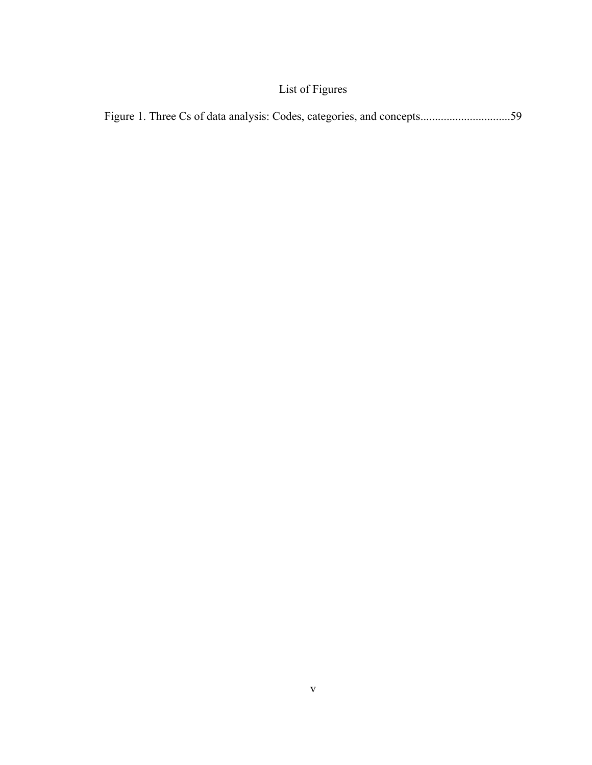## List of Figures

|--|--|--|--|--|--|--|--|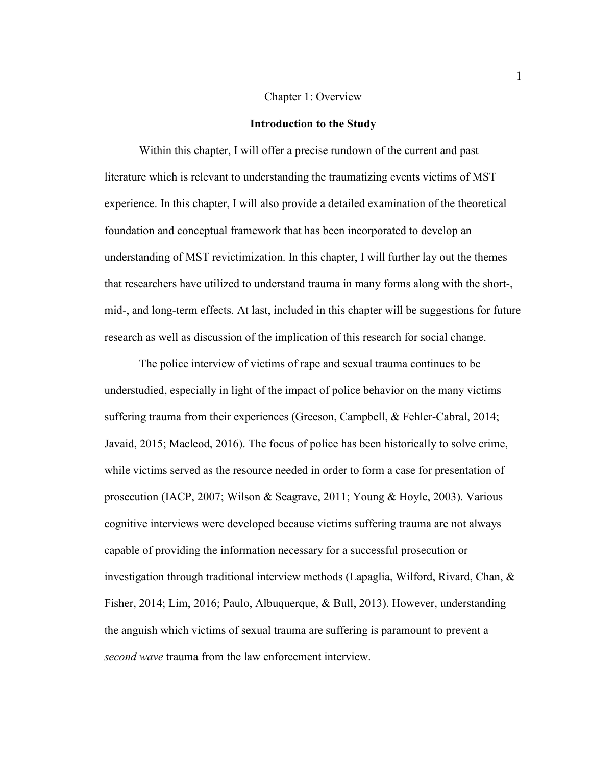#### Chapter 1: Overview

#### **Introduction to the Study**

Within this chapter, I will offer a precise rundown of the current and past literature which is relevant to understanding the traumatizing events victims of MST experience. In this chapter, I will also provide a detailed examination of the theoretical foundation and conceptual framework that has been incorporated to develop an understanding of MST revictimization. In this chapter, I will further lay out the themes that researchers have utilized to understand trauma in many forms along with the short-, mid-, and long-term effects. At last, included in this chapter will be suggestions for future research as well as discussion of the implication of this research for social change.

The police interview of victims of rape and sexual trauma continues to be understudied, especially in light of the impact of police behavior on the many victims suffering trauma from their experiences (Greeson, Campbell, & Fehler-Cabral, 2014; Javaid, 2015; Macleod, 2016). The focus of police has been historically to solve crime, while victims served as the resource needed in order to form a case for presentation of prosecution (IACP, 2007; Wilson & Seagrave, 2011; Young & Hoyle, 2003). Various cognitive interviews were developed because victims suffering trauma are not always capable of providing the information necessary for a successful prosecution or investigation through traditional interview methods (Lapaglia, Wilford, Rivard, Chan,  $\&$ Fisher, 2014; Lim, 2016; Paulo, Albuquerque, & Bull, 2013). However, understanding the anguish which victims of sexual trauma are suffering is paramount to prevent a *second wave* trauma from the law enforcement interview.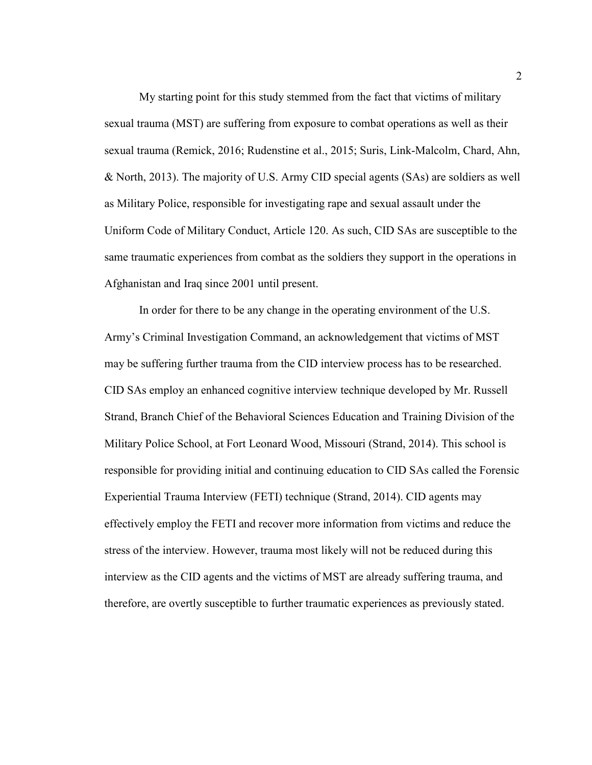My starting point for this study stemmed from the fact that victims of military sexual trauma (MST) are suffering from exposure to combat operations as well as their sexual trauma (Remick, 2016; Rudenstine et al., 2015; Suris, Link-Malcolm, Chard, Ahn, & North, 2013). The majority of U.S. Army CID special agents (SAs) are soldiers as well as Military Police, responsible for investigating rape and sexual assault under the Uniform Code of Military Conduct, Article 120. As such, CID SAs are susceptible to the same traumatic experiences from combat as the soldiers they support in the operations in Afghanistan and Iraq since 2001 until present.

In order for there to be any change in the operating environment of the U.S. Army's Criminal Investigation Command, an acknowledgement that victims of MST may be suffering further trauma from the CID interview process has to be researched. CID SAs employ an enhanced cognitive interview technique developed by Mr. Russell Strand, Branch Chief of the Behavioral Sciences Education and Training Division of the Military Police School, at Fort Leonard Wood, Missouri (Strand, 2014). This school is responsible for providing initial and continuing education to CID SAs called the Forensic Experiential Trauma Interview (FETI) technique (Strand, 2014). CID agents may effectively employ the FETI and recover more information from victims and reduce the stress of the interview. However, trauma most likely will not be reduced during this interview as the CID agents and the victims of MST are already suffering trauma, and therefore, are overtly susceptible to further traumatic experiences as previously stated.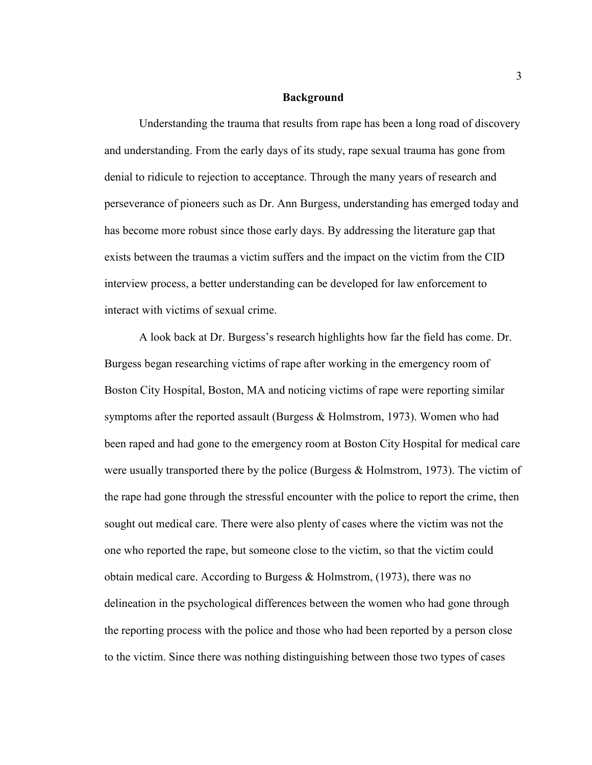#### **Background**

Understanding the trauma that results from rape has been a long road of discovery and understanding. From the early days of its study, rape sexual trauma has gone from denial to ridicule to rejection to acceptance. Through the many years of research and perseverance of pioneers such as Dr. Ann Burgess, understanding has emerged today and has become more robust since those early days. By addressing the literature gap that exists between the traumas a victim suffers and the impact on the victim from the CID interview process, a better understanding can be developed for law enforcement to interact with victims of sexual crime.

A look back at Dr. Burgess's research highlights how far the field has come. Dr. Burgess began researching victims of rape after working in the emergency room of Boston City Hospital, Boston, MA and noticing victims of rape were reporting similar symptoms after the reported assault (Burgess  $\&$  Holmstrom, 1973). Women who had been raped and had gone to the emergency room at Boston City Hospital for medical care were usually transported there by the police (Burgess  $&$  Holmstrom, 1973). The victim of the rape had gone through the stressful encounter with the police to report the crime, then sought out medical care. There were also plenty of cases where the victim was not the one who reported the rape, but someone close to the victim, so that the victim could obtain medical care. According to Burgess & Holmstrom, (1973), there was no delineation in the psychological differences between the women who had gone through the reporting process with the police and those who had been reported by a person close to the victim. Since there was nothing distinguishing between those two types of cases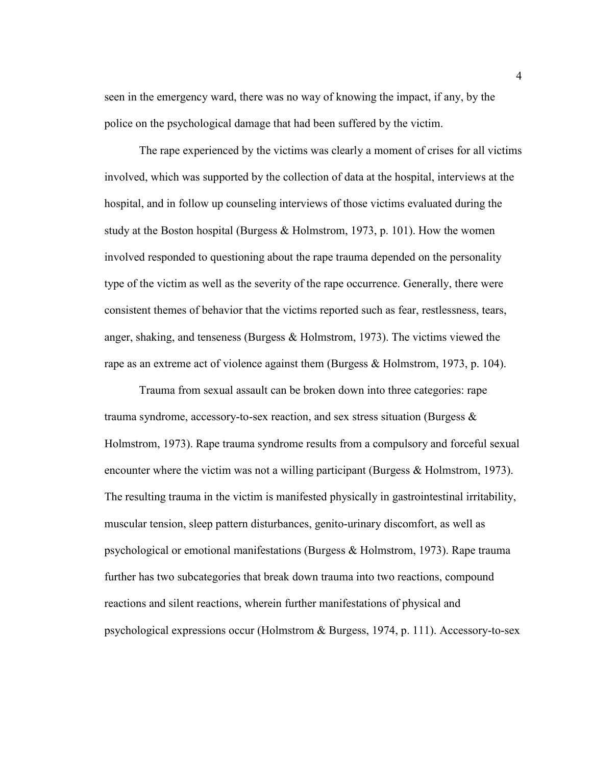seen in the emergency ward, there was no way of knowing the impact, if any, by the police on the psychological damage that had been suffered by the victim.

The rape experienced by the victims was clearly a moment of crises for all victims involved, which was supported by the collection of data at the hospital, interviews at the hospital, and in follow up counseling interviews of those victims evaluated during the study at the Boston hospital (Burgess  $\&$  Holmstrom, 1973, p. 101). How the women involved responded to questioning about the rape trauma depended on the personality type of the victim as well as the severity of the rape occurrence. Generally, there were consistent themes of behavior that the victims reported such as fear, restlessness, tears, anger, shaking, and tenseness (Burgess & Holmstrom, 1973). The victims viewed the rape as an extreme act of violence against them (Burgess & Holmstrom, 1973, p. 104).

Trauma from sexual assault can be broken down into three categories: rape trauma syndrome, accessory-to-sex reaction, and sex stress situation (Burgess  $\&$ Holmstrom, 1973). Rape trauma syndrome results from a compulsory and forceful sexual encounter where the victim was not a willing participant (Burgess & Holmstrom, 1973). The resulting trauma in the victim is manifested physically in gastrointestinal irritability, muscular tension, sleep pattern disturbances, genito-urinary discomfort, as well as psychological or emotional manifestations (Burgess & Holmstrom, 1973). Rape trauma further has two subcategories that break down trauma into two reactions, compound reactions and silent reactions, wherein further manifestations of physical and psychological expressions occur (Holmstrom & Burgess, 1974, p. 111). Accessory-to-sex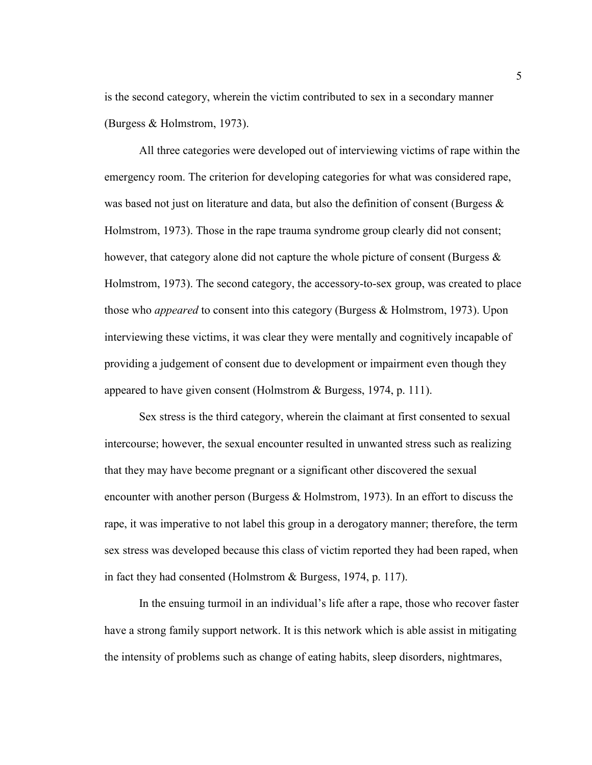is the second category, wherein the victim contributed to sex in a secondary manner (Burgess & Holmstrom, 1973).

All three categories were developed out of interviewing victims of rape within the emergency room. The criterion for developing categories for what was considered rape, was based not just on literature and data, but also the definition of consent (Burgess  $\&$ Holmstrom, 1973). Those in the rape trauma syndrome group clearly did not consent; however, that category alone did not capture the whole picture of consent (Burgess  $\&$ Holmstrom, 1973). The second category, the accessory-to-sex group, was created to place those who *appeared* to consent into this category (Burgess & Holmstrom, 1973). Upon interviewing these victims, it was clear they were mentally and cognitively incapable of providing a judgement of consent due to development or impairment even though they appeared to have given consent (Holmstrom & Burgess, 1974, p. 111).

Sex stress is the third category, wherein the claimant at first consented to sexual intercourse; however, the sexual encounter resulted in unwanted stress such as realizing that they may have become pregnant or a significant other discovered the sexual encounter with another person (Burgess  $\&$  Holmstrom, 1973). In an effort to discuss the rape, it was imperative to not label this group in a derogatory manner; therefore, the term sex stress was developed because this class of victim reported they had been raped, when in fact they had consented (Holmstrom & Burgess, 1974, p. 117).

In the ensuing turmoil in an individual's life after a rape, those who recover faster have a strong family support network. It is this network which is able assist in mitigating the intensity of problems such as change of eating habits, sleep disorders, nightmares,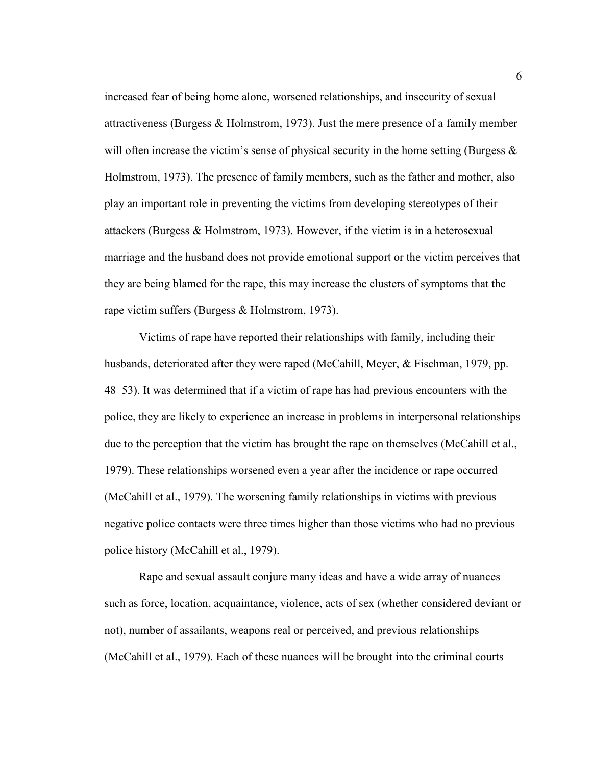increased fear of being home alone, worsened relationships, and insecurity of sexual attractiveness (Burgess & Holmstrom, 1973). Just the mere presence of a family member will often increase the victim's sense of physical security in the home setting (Burgess  $\&$ Holmstrom, 1973). The presence of family members, such as the father and mother, also play an important role in preventing the victims from developing stereotypes of their attackers (Burgess & Holmstrom, 1973). However, if the victim is in a heterosexual marriage and the husband does not provide emotional support or the victim perceives that they are being blamed for the rape, this may increase the clusters of symptoms that the rape victim suffers (Burgess & Holmstrom, 1973).

Victims of rape have reported their relationships with family, including their husbands, deteriorated after they were raped (McCahill, Meyer, & Fischman, 1979, pp. 48–53). It was determined that if a victim of rape has had previous encounters with the police, they are likely to experience an increase in problems in interpersonal relationships due to the perception that the victim has brought the rape on themselves (McCahill et al., 1979). These relationships worsened even a year after the incidence or rape occurred (McCahill et al., 1979). The worsening family relationships in victims with previous negative police contacts were three times higher than those victims who had no previous police history (McCahill et al., 1979).

Rape and sexual assault conjure many ideas and have a wide array of nuances such as force, location, acquaintance, violence, acts of sex (whether considered deviant or not), number of assailants, weapons real or perceived, and previous relationships (McCahill et al., 1979). Each of these nuances will be brought into the criminal courts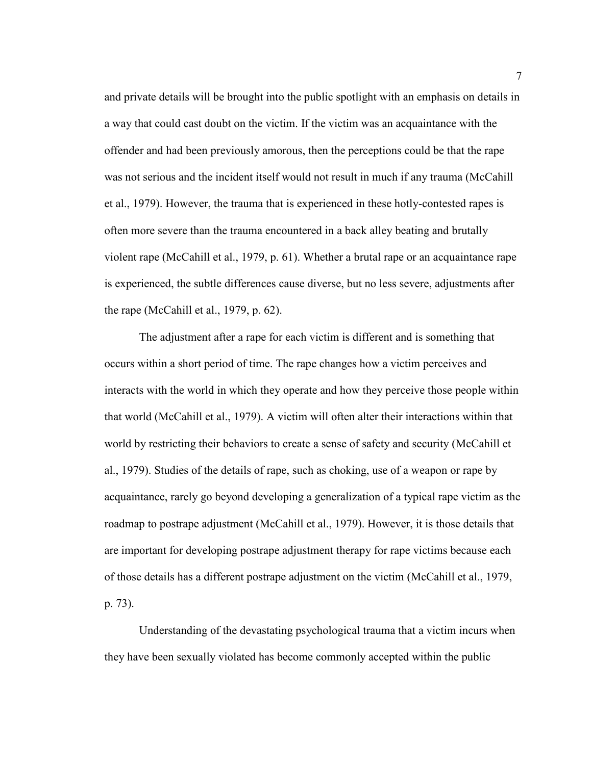and private details will be brought into the public spotlight with an emphasis on details in a way that could cast doubt on the victim. If the victim was an acquaintance with the offender and had been previously amorous, then the perceptions could be that the rape was not serious and the incident itself would not result in much if any trauma (McCahill et al., 1979). However, the trauma that is experienced in these hotly-contested rapes is often more severe than the trauma encountered in a back alley beating and brutally violent rape (McCahill et al., 1979, p. 61). Whether a brutal rape or an acquaintance rape is experienced, the subtle differences cause diverse, but no less severe, adjustments after the rape (McCahill et al., 1979, p. 62).

The adjustment after a rape for each victim is different and is something that occurs within a short period of time. The rape changes how a victim perceives and interacts with the world in which they operate and how they perceive those people within that world (McCahill et al., 1979). A victim will often alter their interactions within that world by restricting their behaviors to create a sense of safety and security (McCahill et al., 1979). Studies of the details of rape, such as choking, use of a weapon or rape by acquaintance, rarely go beyond developing a generalization of a typical rape victim as the roadmap to postrape adjustment (McCahill et al., 1979). However, it is those details that are important for developing postrape adjustment therapy for rape victims because each of those details has a different postrape adjustment on the victim (McCahill et al., 1979, p. 73).

Understanding of the devastating psychological trauma that a victim incurs when they have been sexually violated has become commonly accepted within the public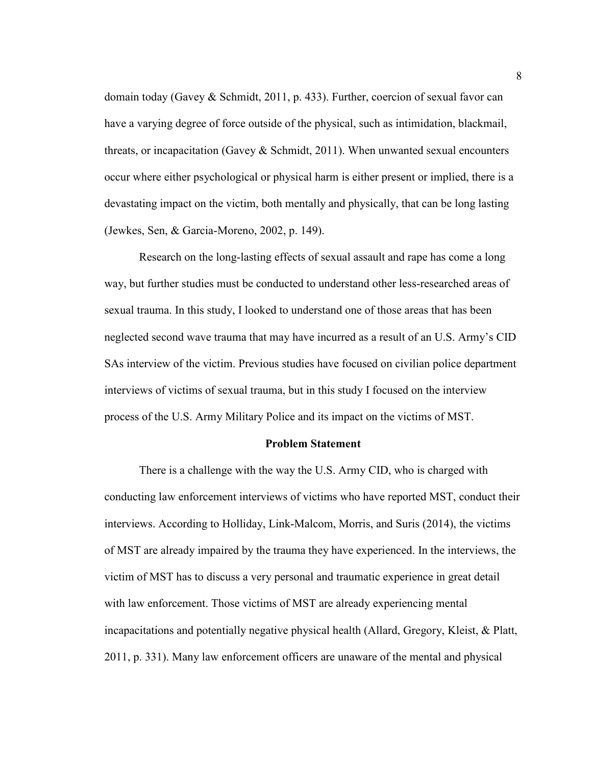domain today (Gavey & Schmidt, 2011, p. 433). Further, coercion of sexual favor can have a varying degree of force outside of the physical, such as intimidation, blackmail, threats, or incapacitation (Gavey  $\&$  Schmidt, 2011). When unwanted sexual encounters occur where either psychological or physical harm is either present or implied, there is a devastating impact on the victim, both mentally and physically, that can be long lasting (Jewkes, Sen, & Garcia-Moreno, 2002, p. 149).

Research on the long-lasting effects of sexual assault and rape has come a long way, but further studies must be conducted to understand other less-researched areas of sexual trauma. In this study, I looked to understand one of those areas that has been neglected second wave trauma that may have incurred as a result of an U.S. Army's CID SAs interview of the victim. Previous studies have focused on civilian police department interviews of victims of sexual trauma, but in this study I focused on the interview process of the U.S. Army Military Police and its impact on the victims of MST.

#### **Problem Statement**

There is a challenge with the way the U.S. Army CID, who is charged with conducting law enforcement interviews of victims who have reported MST, conduct their interviews. According to Holliday, Link-Malcom, Morris, and Suris (2014), the victims of MST are already impaired by the trauma they have experienced. In the interviews, the victim of MST has to discuss a very personal and traumatic experience in great detail with law enforcement. Those victims of MST are already experiencing mental incapacitations and potentially negative physical health (Allard, Gregory, Kleist,  $\&$  Platt, 2011, p. 331). Many law enforcement officers are unaware of the mental and physical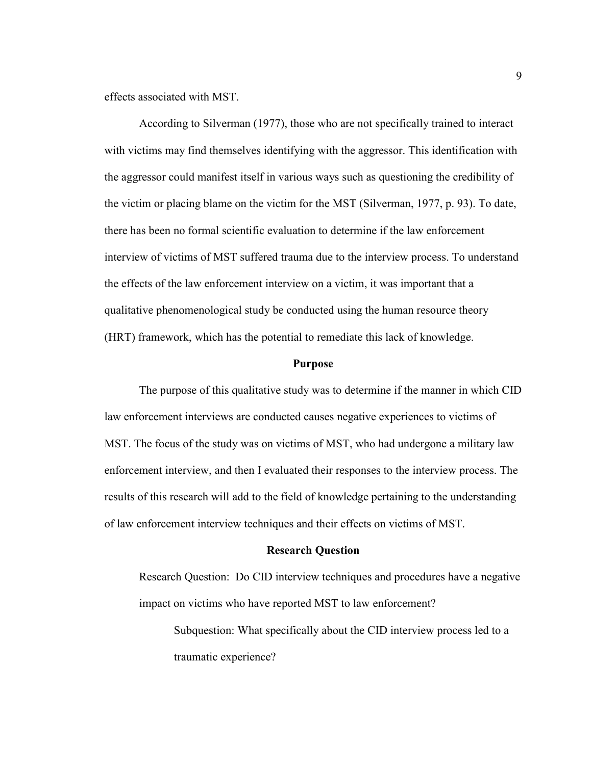effects associated with MST.

According to Silverman (1977), those who are not specifically trained to interact with victims may find themselves identifying with the aggressor. This identification with the aggressor could manifest itself in various ways such as questioning the credibility of the victim or placing blame on the victim for the MST (Silverman, 1977, p. 93). To date, there has been no formal scientific evaluation to determine if the law enforcement interview of victims of MST suffered trauma due to the interview process. To understand the effects of the law enforcement interview on a victim, it was important that a qualitative phenomenological study be conducted using the human resource theory (HRT) framework, which has the potential to remediate this lack of knowledge.

#### **Purpose**

The purpose of this qualitative study was to determine if the manner in which CID law enforcement interviews are conducted causes negative experiences to victims of MST. The focus of the study was on victims of MST, who had undergone a military law enforcement interview, and then I evaluated their responses to the interview process. The results of this research will add to the field of knowledge pertaining to the understanding of law enforcement interview techniques and their effects on victims of MST.

#### **Research Question**

Research Question: Do CID interview techniques and procedures have a negative impact on victims who have reported MST to law enforcement?

Subquestion: What specifically about the CID interview process led to a traumatic experience?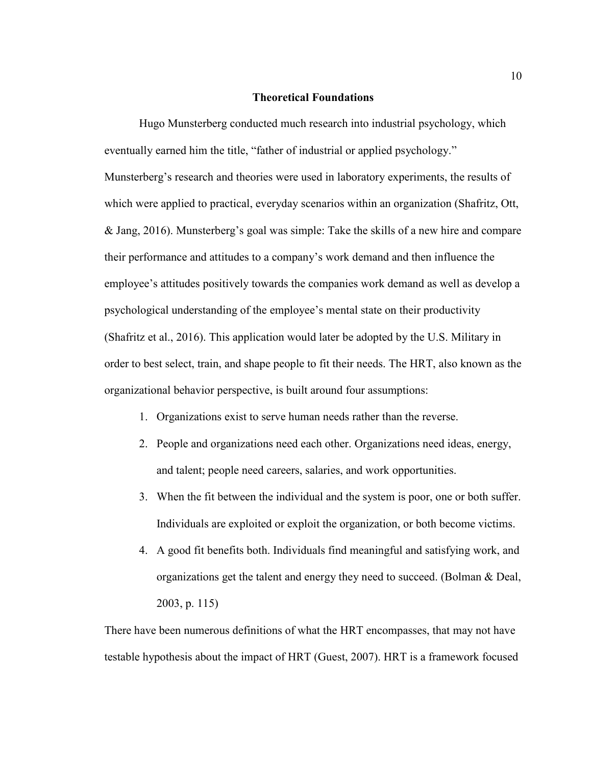#### **Theoretical Foundations**

Hugo Munsterberg conducted much research into industrial psychology, which eventually earned him the title, "father of industrial or applied psychology." Munsterberg's research and theories were used in laboratory experiments, the results of which were applied to practical, everyday scenarios within an organization (Shafritz, Ott, & Jang, 2016). Munsterberg's goal was simple: Take the skills of a new hire and compare their performance and attitudes to a company's work demand and then influence the employee's attitudes positively towards the companies work demand as well as develop a psychological understanding of the employee's mental state on their productivity (Shafritz et al., 2016). This application would later be adopted by the U.S. Military in order to best select, train, and shape people to fit their needs. The HRT, also known as the organizational behavior perspective, is built around four assumptions:

- 1. Organizations exist to serve human needs rather than the reverse.
- 2. People and organizations need each other. Organizations need ideas, energy, and talent; people need careers, salaries, and work opportunities.
- 3. When the fit between the individual and the system is poor, one or both suffer. Individuals are exploited or exploit the organization, or both become victims.
- 4. A good fit benefits both. Individuals find meaningful and satisfying work, and organizations get the talent and energy they need to succeed. (Bolman & Deal, 2003, p. 115)

There have been numerous definitions of what the HRT encompasses, that may not have testable hypothesis about the impact of HRT (Guest, 2007). HRT is a framework focused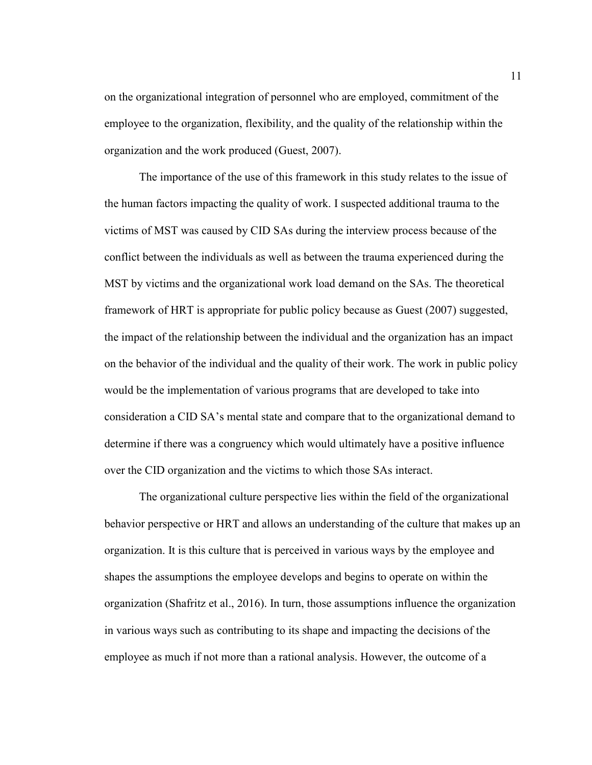on the organizational integration of personnel who are employed, commitment of the employee to the organization, flexibility, and the quality of the relationship within the organization and the work produced (Guest, 2007).

The importance of the use of this framework in this study relates to the issue of the human factors impacting the quality of work. I suspected additional trauma to the victims of MST was caused by CID SAs during the interview process because of the conflict between the individuals as well as between the trauma experienced during the MST by victims and the organizational work load demand on the SAs. The theoretical framework of HRT is appropriate for public policy because as Guest (2007) suggested, the impact of the relationship between the individual and the organization has an impact on the behavior of the individual and the quality of their work. The work in public policy would be the implementation of various programs that are developed to take into consideration a CID SA's mental state and compare that to the organizational demand to determine if there was a congruency which would ultimately have a positive influence over the CID organization and the victims to which those SAs interact.

The organizational culture perspective lies within the field of the organizational behavior perspective or HRT and allows an understanding of the culture that makes up an organization. It is this culture that is perceived in various ways by the employee and shapes the assumptions the employee develops and begins to operate on within the organization (Shafritz et al., 2016). In turn, those assumptions influence the organization in various ways such as contributing to its shape and impacting the decisions of the employee as much if not more than a rational analysis. However, the outcome of a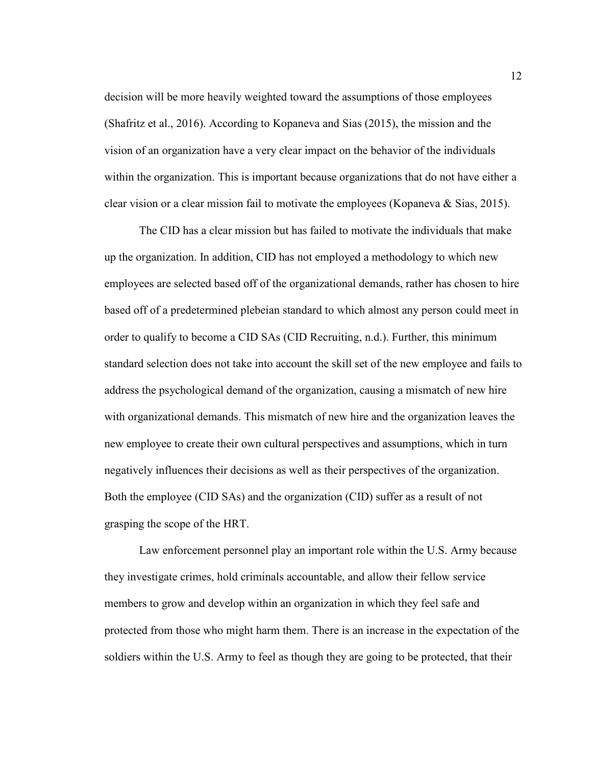decision will be more heavily weighted toward the assumptions of those employees (Shafritz et al., 2016). According to Kopaneva and Sias (2015), the mission and the vision of an organization have a very clear impact on the behavior of the individuals within the organization. This is important because organizations that do not have either a clear vision or a clear mission fail to motivate the employees (Kopaneva & Sias, 2015).

The CID has a clear mission but has failed to motivate the individuals that make up the organization. In addition, CID has not employed a methodology to which new employees are selected based off of the organizational demands, rather has chosen to hire based off of a predetermined plebeian standard to which almost any person could meet in order to qualify to become a CID SAs (CID Recruiting, n.d.). Further, this minimum standard selection does not take into account the skill set of the new employee and fails to address the psychological demand of the organization, causing a mismatch of new hire with organizational demands. This mismatch of new hire and the organization leaves the new employee to create their own cultural perspectives and assumptions, which in turn negatively influences their decisions as well as their perspectives of the organization. Both the employee (CID SAs) and the organization (CID) suffer as a result of not grasping the scope of the HRT.

Law enforcement personnel play an important role within the U.S. Army because they investigate crimes, hold criminals accountable, and allow their fellow service members to grow and develop within an organization in which they feel safe and protected from those who might harm them. There is an increase in the expectation of the soldiers within the U.S. Army to feel as though they are going to be protected, that their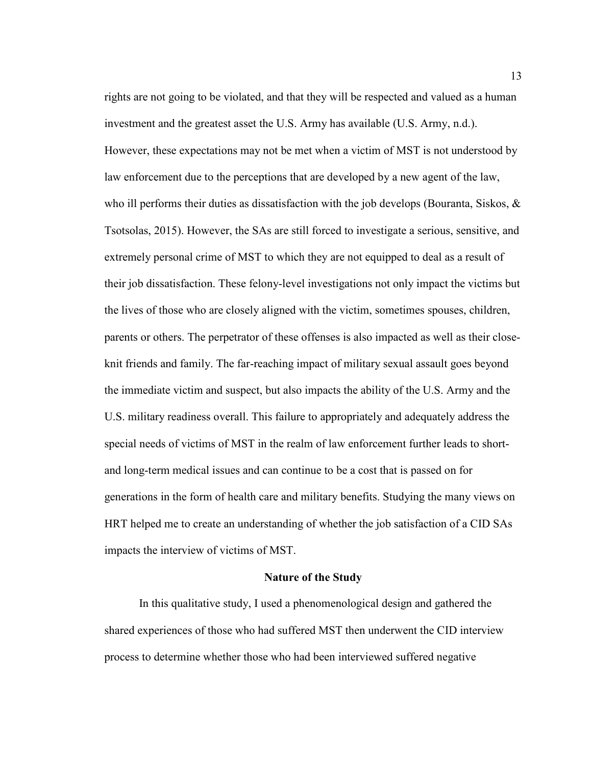rights are not going to be violated, and that they will be respected and valued as a human investment and the greatest asset the U.S. Army has available (U.S. Army, n.d.). However, these expectations may not be met when a victim of MST is not understood by law enforcement due to the perceptions that are developed by a new agent of the law, who ill performs their duties as dissatisfaction with the job develops (Bouranta, Siskos,  $\&$ Tsotsolas, 2015). However, the SAs are still forced to investigate a serious, sensitive, and extremely personal crime of MST to which they are not equipped to deal as a result of their job dissatisfaction. These felony-level investigations not only impact the victims but the lives of those who are closely aligned with the victim, sometimes spouses, children, parents or others. The perpetrator of these offenses is also impacted as well as their closeknit friends and family. The far-reaching impact of military sexual assault goes beyond the immediate victim and suspect, but also impacts the ability of the U.S. Army and the U.S. military readiness overall. This failure to appropriately and adequately address the special needs of victims of MST in the realm of law enforcement further leads to shortand long-term medical issues and can continue to be a cost that is passed on for generations in the form of health care and military benefits. Studying the many views on HRT helped me to create an understanding of whether the job satisfaction of a CID SAs impacts the interview of victims of MST.

#### **Nature of the Study**

In this qualitative study, I used a phenomenological design and gathered the shared experiences of those who had suffered MST then underwent the CID interview process to determine whether those who had been interviewed suffered negative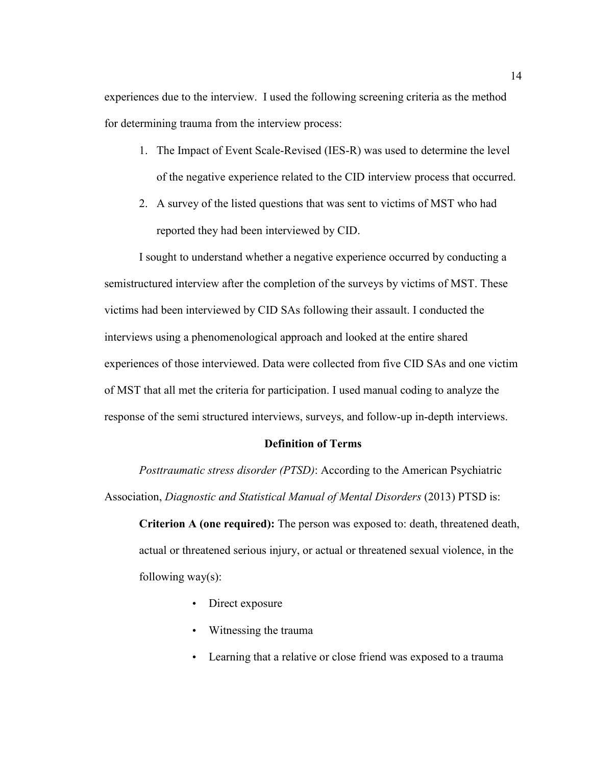experiences due to the interview. I used the following screening criteria as the method for determining trauma from the interview process:

- 1. The Impact of Event Scale-Revised (IES-R) was used to determine the level of the negative experience related to the CID interview process that occurred.
- 2. A survey of the listed questions that was sent to victims of MST who had reported they had been interviewed by CID.

I sought to understand whether a negative experience occurred by conducting a semistructured interview after the completion of the surveys by victims of MST. These victims had been interviewed by CID SAs following their assault. I conducted the interviews using a phenomenological approach and looked at the entire shared experiences of those interviewed. Data were collected from five CID SAs and one victim of MST that all met the criteria for participation. I used manual coding to analyze the response of the semi structured interviews, surveys, and follow-up in-depth interviews.

#### **Definition of Terms**

*Posttraumatic stress disorder (PTSD)*: According to the American Psychiatric Association, *Diagnostic and Statistical Manual of Mental Disorders* (2013) PTSD is:

**Criterion A (one required):** The person was exposed to: death, threatened death, actual or threatened serious injury, or actual or threatened sexual violence, in the following way $(s)$ :

- Direct exposure
- Witnessing the trauma
- Learning that a relative or close friend was exposed to a trauma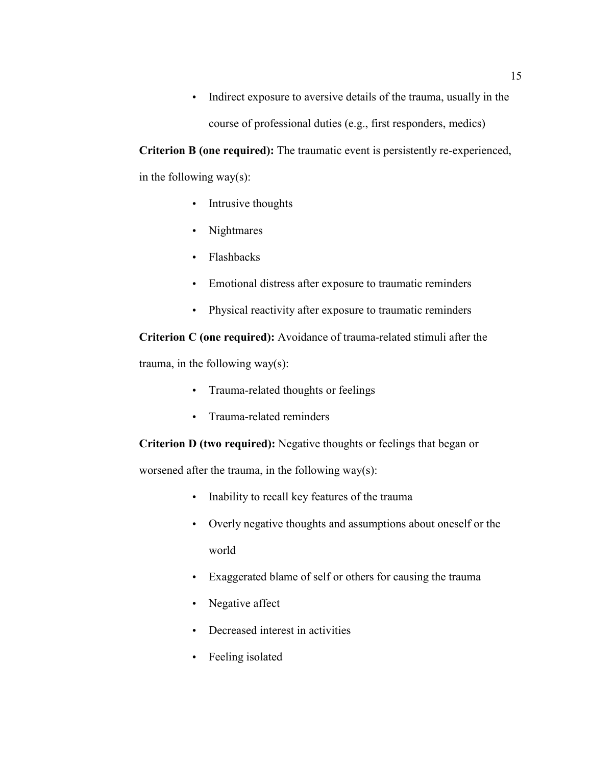• Indirect exposure to aversive details of the trauma, usually in the course of professional duties (e.g., first responders, medics)

**Criterion B (one required):** The traumatic event is persistently re-experienced, in the following way(s):

- Intrusive thoughts
- Nightmares
- Flashbacks
- Emotional distress after exposure to traumatic reminders
- Physical reactivity after exposure to traumatic reminders

**Criterion C (one required):** Avoidance of trauma-related stimuli after the trauma, in the following way(s):

- Trauma-related thoughts or feelings
- Trauma-related reminders

**Criterion D (two required):** Negative thoughts or feelings that began or

worsened after the trauma, in the following way(s):

- Inability to recall key features of the trauma
- Overly negative thoughts and assumptions about oneself or the world
- Exaggerated blame of self or others for causing the trauma
- Negative affect
- Decreased interest in activities
- Feeling isolated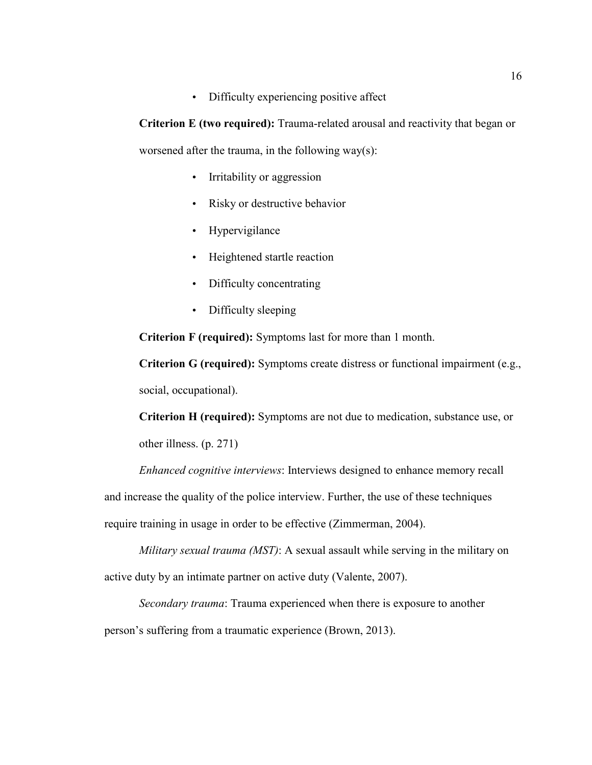• Difficulty experiencing positive affect

**Criterion E (two required):** Trauma-related arousal and reactivity that began or worsened after the trauma, in the following way $(s)$ :

- Irritability or aggression
- Risky or destructive behavior
- Hypervigilance
- Heightened startle reaction
- Difficulty concentrating
- Difficulty sleeping

**Criterion F (required):** Symptoms last for more than 1 month.

**Criterion G (required):** Symptoms create distress or functional impairment (e.g., social, occupational).

**Criterion H (required):** Symptoms are not due to medication, substance use, or other illness. (p. 271)

*Enhanced cognitive interviews*: Interviews designed to enhance memory recall

and increase the quality of the police interview. Further, the use of these techniques

require training in usage in order to be effective (Zimmerman, 2004).

*Military sexual trauma (MST)*: A sexual assault while serving in the military on active duty by an intimate partner on active duty (Valente, 2007).

*Secondary trauma*: Trauma experienced when there is exposure to another person's suffering from a traumatic experience (Brown, 2013).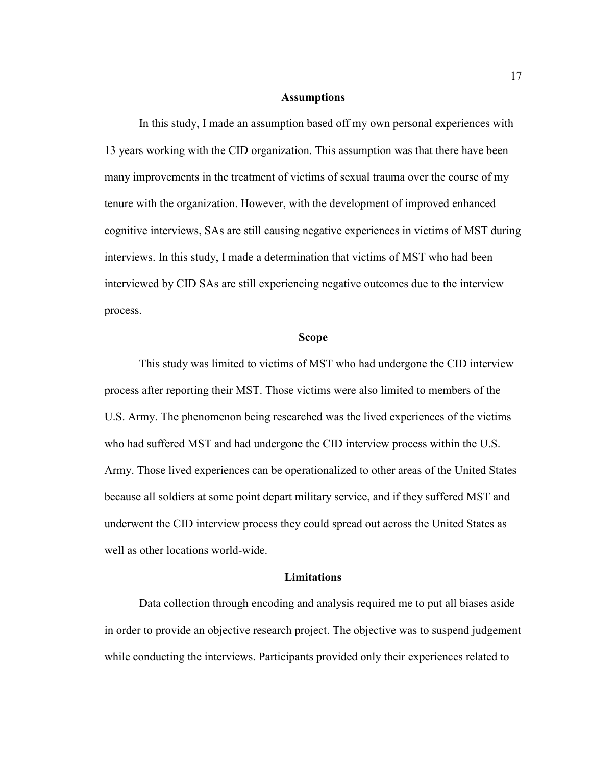#### **Assumptions**

 In this study, I made an assumption based off my own personal experiences with 13 years working with the CID organization. This assumption was that there have been many improvements in the treatment of victims of sexual trauma over the course of my tenure with the organization. However, with the development of improved enhanced cognitive interviews, SAs are still causing negative experiences in victims of MST during interviews. In this study, I made a determination that victims of MST who had been interviewed by CID SAs are still experiencing negative outcomes due to the interview process.

#### **Scope**

This study was limited to victims of MST who had undergone the CID interview process after reporting their MST. Those victims were also limited to members of the U.S. Army. The phenomenon being researched was the lived experiences of the victims who had suffered MST and had undergone the CID interview process within the U.S. Army. Those lived experiences can be operationalized to other areas of the United States because all soldiers at some point depart military service, and if they suffered MST and underwent the CID interview process they could spread out across the United States as well as other locations world-wide.

#### **Limitations**

Data collection through encoding and analysis required me to put all biases aside in order to provide an objective research project. The objective was to suspend judgement while conducting the interviews. Participants provided only their experiences related to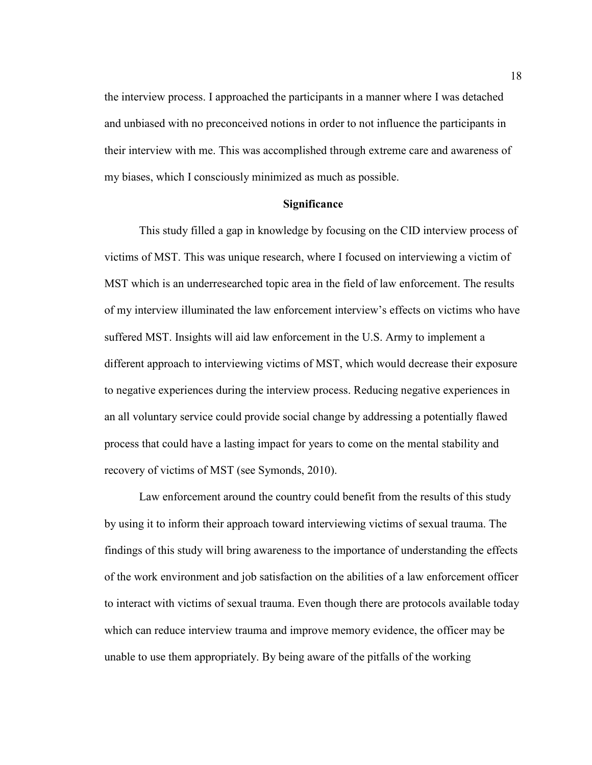the interview process. I approached the participants in a manner where I was detached and unbiased with no preconceived notions in order to not influence the participants in their interview with me. This was accomplished through extreme care and awareness of my biases, which I consciously minimized as much as possible.

#### **Significance**

This study filled a gap in knowledge by focusing on the CID interview process of victims of MST. This was unique research, where I focused on interviewing a victim of MST which is an underresearched topic area in the field of law enforcement. The results of my interview illuminated the law enforcement interview's effects on victims who have suffered MST. Insights will aid law enforcement in the U.S. Army to implement a different approach to interviewing victims of MST, which would decrease their exposure to negative experiences during the interview process. Reducing negative experiences in an all voluntary service could provide social change by addressing a potentially flawed process that could have a lasting impact for years to come on the mental stability and recovery of victims of MST (see Symonds, 2010).

Law enforcement around the country could benefit from the results of this study by using it to inform their approach toward interviewing victims of sexual trauma. The findings of this study will bring awareness to the importance of understanding the effects of the work environment and job satisfaction on the abilities of a law enforcement officer to interact with victims of sexual trauma. Even though there are protocols available today which can reduce interview trauma and improve memory evidence, the officer may be unable to use them appropriately. By being aware of the pitfalls of the working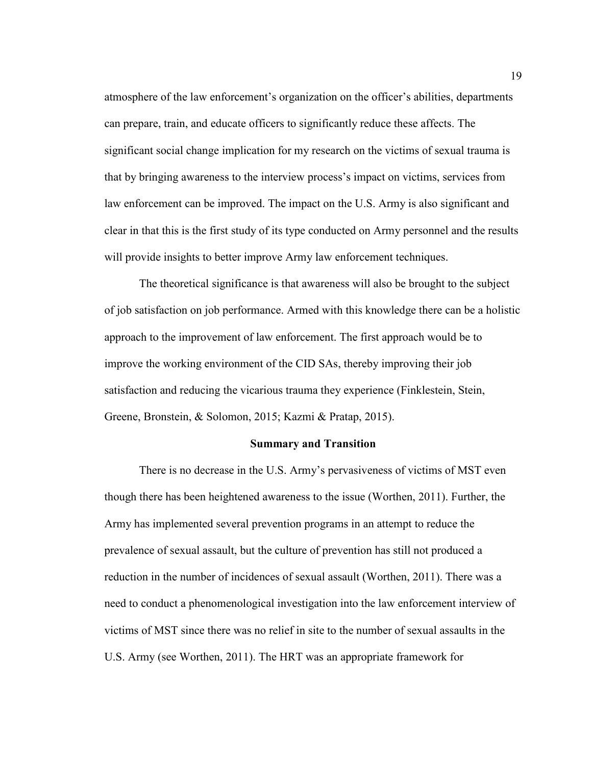atmosphere of the law enforcement's organization on the officer's abilities, departments can prepare, train, and educate officers to significantly reduce these affects. The significant social change implication for my research on the victims of sexual trauma is that by bringing awareness to the interview process's impact on victims, services from law enforcement can be improved. The impact on the U.S. Army is also significant and clear in that this is the first study of its type conducted on Army personnel and the results will provide insights to better improve Army law enforcement techniques.

The theoretical significance is that awareness will also be brought to the subject of job satisfaction on job performance. Armed with this knowledge there can be a holistic approach to the improvement of law enforcement. The first approach would be to improve the working environment of the CID SAs, thereby improving their job satisfaction and reducing the vicarious trauma they experience (Finklestein, Stein, Greene, Bronstein, & Solomon, 2015; Kazmi & Pratap, 2015).

#### **Summary and Transition**

There is no decrease in the U.S. Army's pervasiveness of victims of MST even though there has been heightened awareness to the issue (Worthen, 2011). Further, the Army has implemented several prevention programs in an attempt to reduce the prevalence of sexual assault, but the culture of prevention has still not produced a reduction in the number of incidences of sexual assault (Worthen, 2011). There was a need to conduct a phenomenological investigation into the law enforcement interview of victims of MST since there was no relief in site to the number of sexual assaults in the U.S. Army (see Worthen, 2011). The HRT was an appropriate framework for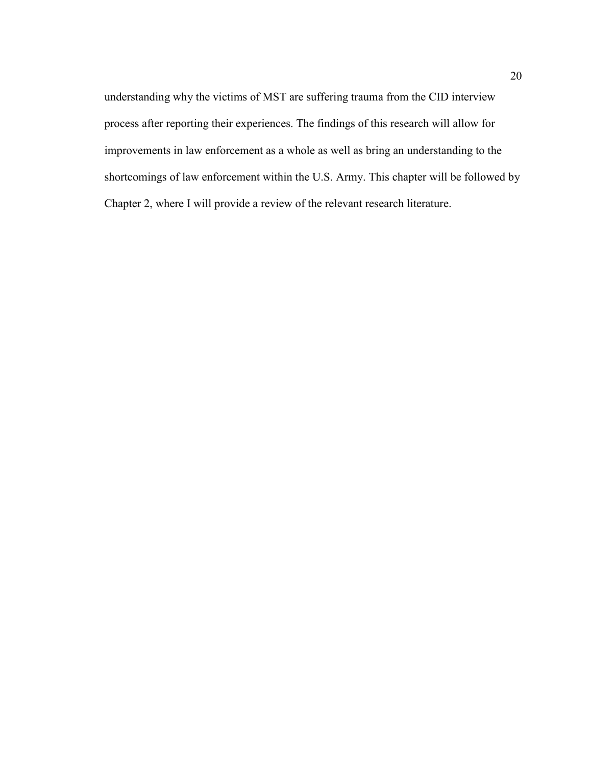understanding why the victims of MST are suffering trauma from the CID interview process after reporting their experiences. The findings of this research will allow for improvements in law enforcement as a whole as well as bring an understanding to the shortcomings of law enforcement within the U.S. Army. This chapter will be followed by Chapter 2, where I will provide a review of the relevant research literature.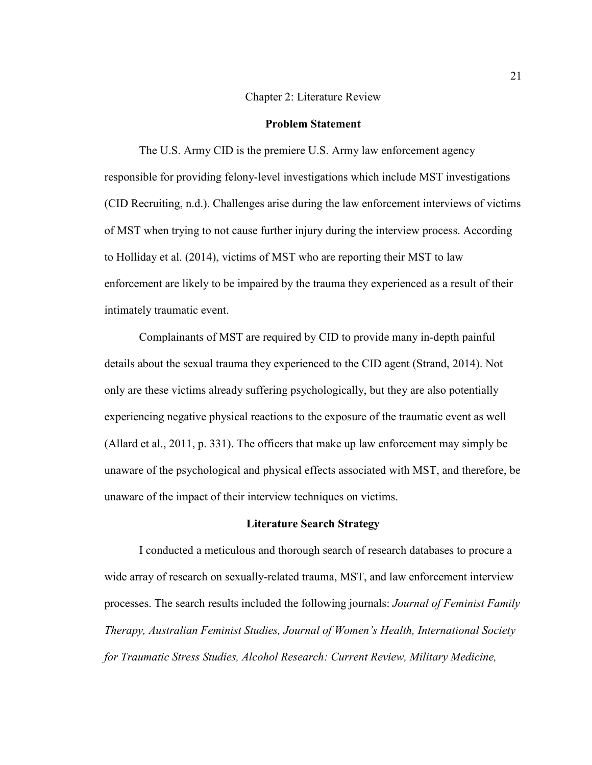#### Chapter 2: Literature Review

#### **Problem Statement**

The U.S. Army CID is the premiere U.S. Army law enforcement agency responsible for providing felony-level investigations which include MST investigations (CID Recruiting, n.d.). Challenges arise during the law enforcement interviews of victims of MST when trying to not cause further injury during the interview process. According to Holliday et al. (2014), victims of MST who are reporting their MST to law enforcement are likely to be impaired by the trauma they experienced as a result of their intimately traumatic event.

Complainants of MST are required by CID to provide many in-depth painful details about the sexual trauma they experienced to the CID agent (Strand, 2014). Not only are these victims already suffering psychologically, but they are also potentially experiencing negative physical reactions to the exposure of the traumatic event as well (Allard et al., 2011, p. 331). The officers that make up law enforcement may simply be unaware of the psychological and physical effects associated with MST, and therefore, be unaware of the impact of their interview techniques on victims.

#### **Literature Search Strategy**

I conducted a meticulous and thorough search of research databases to procure a wide array of research on sexually-related trauma, MST, and law enforcement interview processes. The search results included the following journals: *Journal of Feminist Family Therapy, Australian Feminist Studies, Journal of Women's Health, International Society for Traumatic Stress Studies, Alcohol Research: Current Review, Military Medicine,*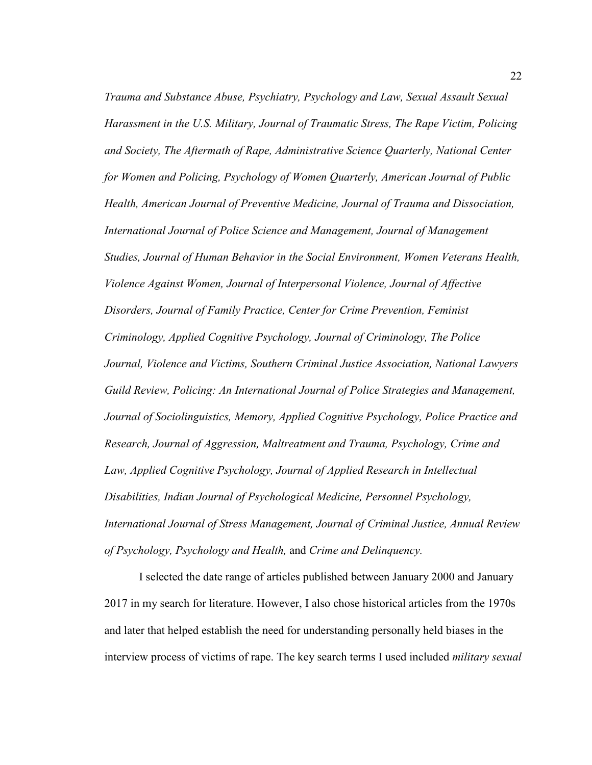*Trauma and Substance Abuse, Psychiatry, Psychology and Law, Sexual Assault Sexual Harassment in the U.S. Military, Journal of Traumatic Stress, The Rape Victim, Policing and Society, The Aftermath of Rape, Administrative Science Quarterly, National Center for Women and Policing, Psychology of Women Quarterly, American Journal of Public Health, American Journal of Preventive Medicine, Journal of Trauma and Dissociation, International Journal of Police Science and Management, Journal of Management Studies, Journal of Human Behavior in the Social Environment, Women Veterans Health, Violence Against Women, Journal of Interpersonal Violence, Journal of Affective Disorders, Journal of Family Practice, Center for Crime Prevention, Feminist Criminology, Applied Cognitive Psychology, Journal of Criminology, The Police Journal, Violence and Victims, Southern Criminal Justice Association, National Lawyers Guild Review, Policing: An International Journal of Police Strategies and Management, Journal of Sociolinguistics, Memory, Applied Cognitive Psychology, Police Practice and Research, Journal of Aggression, Maltreatment and Trauma, Psychology, Crime and Law, Applied Cognitive Psychology, Journal of Applied Research in Intellectual Disabilities, Indian Journal of Psychological Medicine, Personnel Psychology, International Journal of Stress Management, Journal of Criminal Justice, Annual Review of Psychology, Psychology and Health,* and *Crime and Delinquency.* 

I selected the date range of articles published between January 2000 and January 2017 in my search for literature. However, I also chose historical articles from the 1970s and later that helped establish the need for understanding personally held biases in the interview process of victims of rape. The key search terms I used included *military sexual*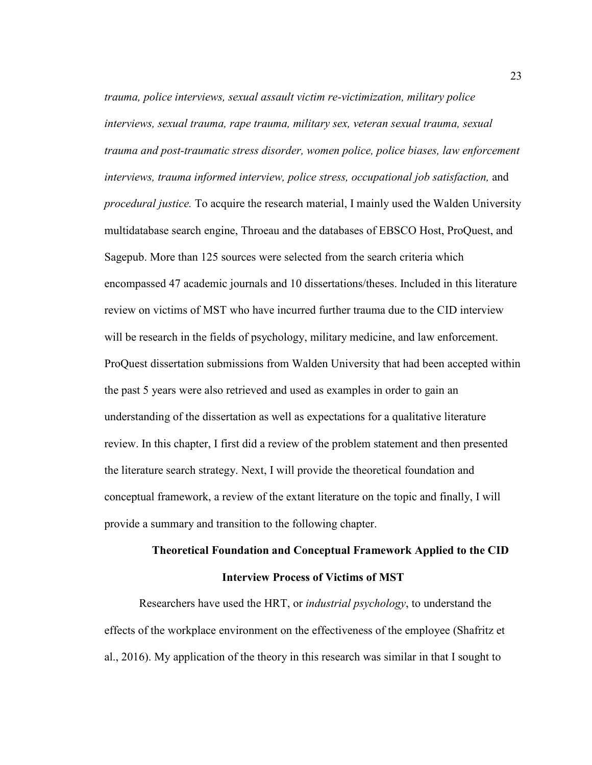*trauma, police interviews, sexual assault victim re-victimization, military police interviews, sexual trauma, rape trauma, military sex, veteran sexual trauma, sexual trauma and post-traumatic stress disorder, women police, police biases, law enforcement*  interviews, trauma informed interview, police stress, occupational job satisfaction, and *procedural justice.* To acquire the research material, I mainly used the Walden University multidatabase search engine, Throeau and the databases of EBSCO Host, ProQuest, and Sagepub. More than 125 sources were selected from the search criteria which encompassed 47 academic journals and 10 dissertations/theses. Included in this literature review on victims of MST who have incurred further trauma due to the CID interview will be research in the fields of psychology, military medicine, and law enforcement. ProQuest dissertation submissions from Walden University that had been accepted within the past 5 years were also retrieved and used as examples in order to gain an understanding of the dissertation as well as expectations for a qualitative literature review. In this chapter, I first did a review of the problem statement and then presented the literature search strategy. Next, I will provide the theoretical foundation and conceptual framework, a review of the extant literature on the topic and finally, I will provide a summary and transition to the following chapter.

## **Theoretical Foundation and Conceptual Framework Applied to the CID Interview Process of Victims of MST**

Researchers have used the HRT, or *industrial psychology*, to understand the effects of the workplace environment on the effectiveness of the employee (Shafritz et al., 2016). My application of the theory in this research was similar in that I sought to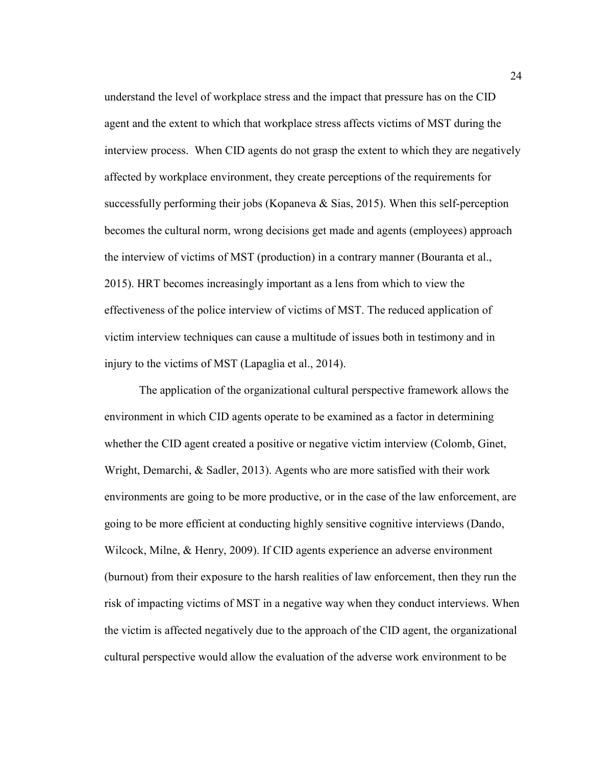understand the level of workplace stress and the impact that pressure has on the CID agent and the extent to which that workplace stress affects victims of MST during the interview process. When CID agents do not grasp the extent to which they are negatively affected by workplace environment, they create perceptions of the requirements for successfully performing their jobs (Kopaneva & Sias, 2015). When this self-perception becomes the cultural norm, wrong decisions get made and agents (employees) approach the interview of victims of MST (production) in a contrary manner (Bouranta et al., 2015). HRT becomes increasingly important as a lens from which to view the effectiveness of the police interview of victims of MST. The reduced application of victim interview techniques can cause a multitude of issues both in testimony and in injury to the victims of MST (Lapaglia et al., 2014).

The application of the organizational cultural perspective framework allows the environment in which CID agents operate to be examined as a factor in determining whether the CID agent created a positive or negative victim interview (Colomb, Ginet, Wright, Demarchi, & Sadler, 2013). Agents who are more satisfied with their work environments are going to be more productive, or in the case of the law enforcement, are going to be more efficient at conducting highly sensitive cognitive interviews (Dando, Wilcock, Milne, & Henry, 2009). If CID agents experience an adverse environment (burnout) from their exposure to the harsh realities of law enforcement, then they run the risk of impacting victims of MST in a negative way when they conduct interviews. When the victim is affected negatively due to the approach of the CID agent, the organizational cultural perspective would allow the evaluation of the adverse work environment to be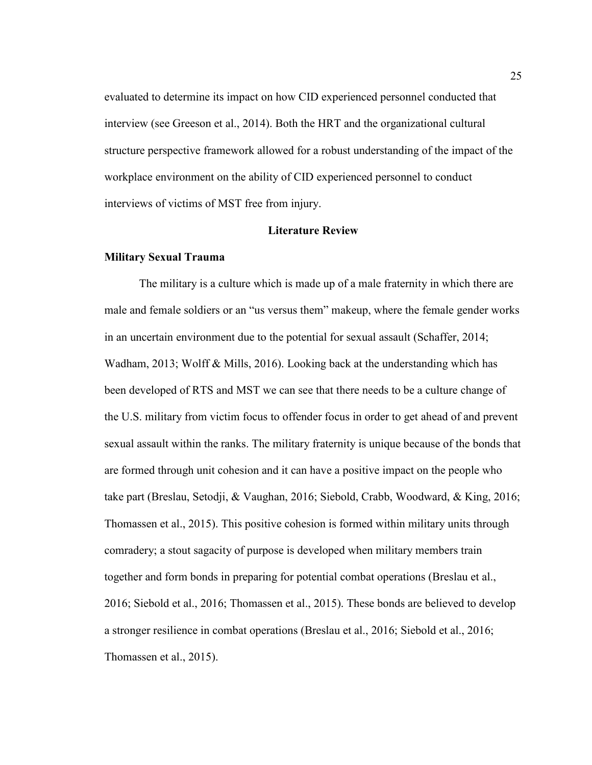evaluated to determine its impact on how CID experienced personnel conducted that interview (see Greeson et al., 2014). Both the HRT and the organizational cultural structure perspective framework allowed for a robust understanding of the impact of the workplace environment on the ability of CID experienced personnel to conduct interviews of victims of MST free from injury.

## **Literature Review**

# **Military Sexual Trauma**

The military is a culture which is made up of a male fraternity in which there are male and female soldiers or an "us versus them" makeup, where the female gender works in an uncertain environment due to the potential for sexual assault (Schaffer, 2014; Wadham, 2013; Wolff & Mills, 2016). Looking back at the understanding which has been developed of RTS and MST we can see that there needs to be a culture change of the U.S. military from victim focus to offender focus in order to get ahead of and prevent sexual assault within the ranks. The military fraternity is unique because of the bonds that are formed through unit cohesion and it can have a positive impact on the people who take part (Breslau, Setodji, & Vaughan, 2016; Siebold, Crabb, Woodward, & King, 2016; Thomassen et al., 2015). This positive cohesion is formed within military units through comradery; a stout sagacity of purpose is developed when military members train together and form bonds in preparing for potential combat operations (Breslau et al., 2016; Siebold et al., 2016; Thomassen et al., 2015). These bonds are believed to develop a stronger resilience in combat operations (Breslau et al., 2016; Siebold et al., 2016; Thomassen et al., 2015).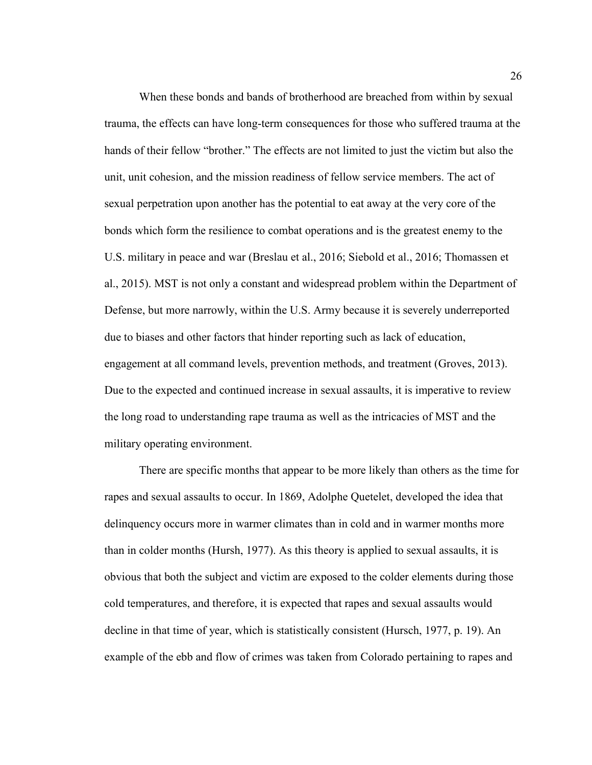When these bonds and bands of brotherhood are breached from within by sexual trauma, the effects can have long-term consequences for those who suffered trauma at the hands of their fellow "brother." The effects are not limited to just the victim but also the unit, unit cohesion, and the mission readiness of fellow service members. The act of sexual perpetration upon another has the potential to eat away at the very core of the bonds which form the resilience to combat operations and is the greatest enemy to the U.S. military in peace and war (Breslau et al., 2016; Siebold et al., 2016; Thomassen et al., 2015). MST is not only a constant and widespread problem within the Department of Defense, but more narrowly, within the U.S. Army because it is severely underreported due to biases and other factors that hinder reporting such as lack of education, engagement at all command levels, prevention methods, and treatment (Groves, 2013). Due to the expected and continued increase in sexual assaults, it is imperative to review the long road to understanding rape trauma as well as the intricacies of MST and the military operating environment.

There are specific months that appear to be more likely than others as the time for rapes and sexual assaults to occur. In 1869, Adolphe Quetelet, developed the idea that delinquency occurs more in warmer climates than in cold and in warmer months more than in colder months (Hursh, 1977). As this theory is applied to sexual assaults, it is obvious that both the subject and victim are exposed to the colder elements during those cold temperatures, and therefore, it is expected that rapes and sexual assaults would decline in that time of year, which is statistically consistent (Hursch, 1977, p. 19). An example of the ebb and flow of crimes was taken from Colorado pertaining to rapes and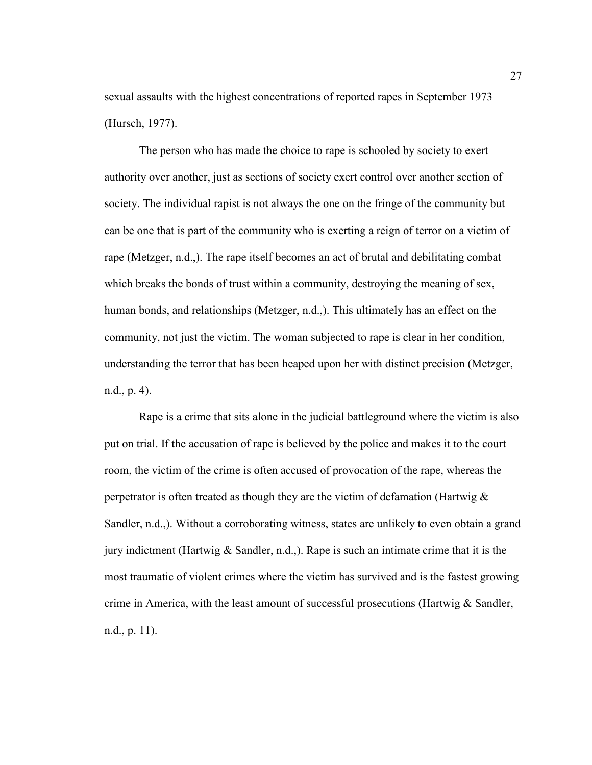sexual assaults with the highest concentrations of reported rapes in September 1973 (Hursch, 1977).

The person who has made the choice to rape is schooled by society to exert authority over another, just as sections of society exert control over another section of society. The individual rapist is not always the one on the fringe of the community but can be one that is part of the community who is exerting a reign of terror on a victim of rape (Metzger, n.d.,). The rape itself becomes an act of brutal and debilitating combat which breaks the bonds of trust within a community, destroying the meaning of sex, human bonds, and relationships (Metzger, n.d.,). This ultimately has an effect on the community, not just the victim. The woman subjected to rape is clear in her condition, understanding the terror that has been heaped upon her with distinct precision (Metzger, n.d., p. 4).

Rape is a crime that sits alone in the judicial battleground where the victim is also put on trial. If the accusation of rape is believed by the police and makes it to the court room, the victim of the crime is often accused of provocation of the rape, whereas the perpetrator is often treated as though they are the victim of defamation (Hartwig & Sandler, n.d.,). Without a corroborating witness, states are unlikely to even obtain a grand jury indictment (Hartwig  $\&$  Sandler, n.d.,). Rape is such an intimate crime that it is the most traumatic of violent crimes where the victim has survived and is the fastest growing crime in America, with the least amount of successful prosecutions (Hartwig & Sandler, n.d., p. 11).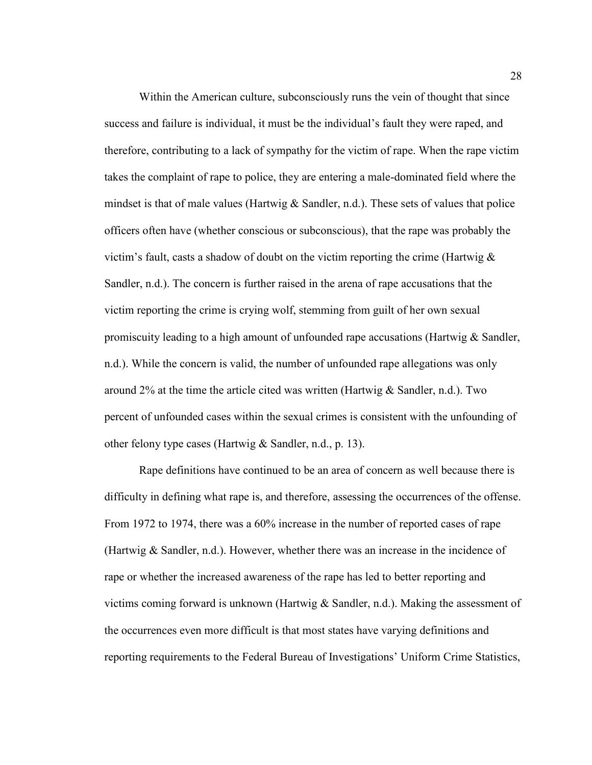Within the American culture, subconsciously runs the vein of thought that since success and failure is individual, it must be the individual's fault they were raped, and therefore, contributing to a lack of sympathy for the victim of rape. When the rape victim takes the complaint of rape to police, they are entering a male-dominated field where the mindset is that of male values (Hartwig  $&$  Sandler, n.d.). These sets of values that police officers often have (whether conscious or subconscious), that the rape was probably the victim's fault, casts a shadow of doubt on the victim reporting the crime (Hartwig  $\&$ Sandler, n.d.). The concern is further raised in the arena of rape accusations that the victim reporting the crime is crying wolf, stemming from guilt of her own sexual promiscuity leading to a high amount of unfounded rape accusations (Hartwig & Sandler, n.d.). While the concern is valid, the number of unfounded rape allegations was only around 2% at the time the article cited was written (Hartwig  $\&$  Sandler, n.d.). Two percent of unfounded cases within the sexual crimes is consistent with the unfounding of other felony type cases (Hartwig & Sandler, n.d., p. 13).

Rape definitions have continued to be an area of concern as well because there is difficulty in defining what rape is, and therefore, assessing the occurrences of the offense. From 1972 to 1974, there was a 60% increase in the number of reported cases of rape (Hartwig & Sandler, n.d.). However, whether there was an increase in the incidence of rape or whether the increased awareness of the rape has led to better reporting and victims coming forward is unknown (Hartwig & Sandler, n.d.). Making the assessment of the occurrences even more difficult is that most states have varying definitions and reporting requirements to the Federal Bureau of Investigations' Uniform Crime Statistics,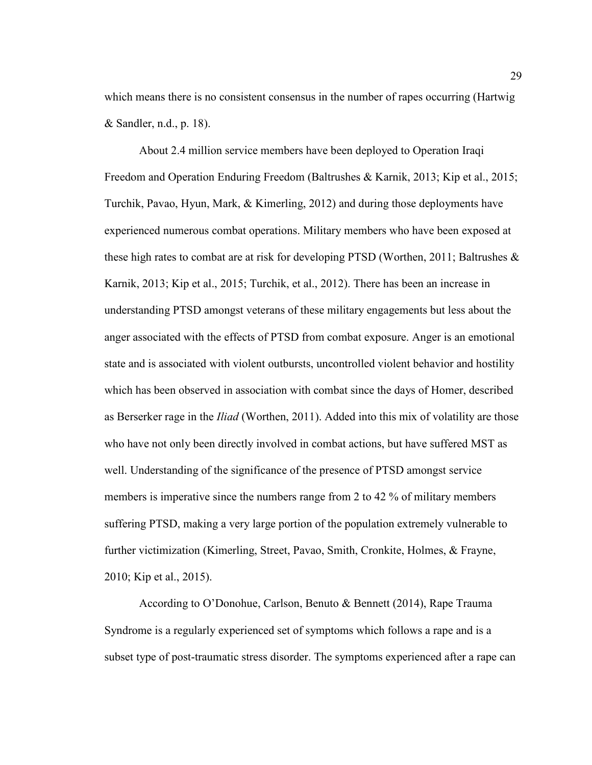which means there is no consistent consensus in the number of rapes occurring (Hartwig & Sandler, n.d., p. 18).

About 2.4 million service members have been deployed to Operation Iraqi Freedom and Operation Enduring Freedom (Baltrushes & Karnik, 2013; Kip et al., 2015; Turchik, Pavao, Hyun, Mark, & Kimerling, 2012) and during those deployments have experienced numerous combat operations. Military members who have been exposed at these high rates to combat are at risk for developing PTSD (Worthen, 2011; Baltrushes  $\&$ Karnik, 2013; Kip et al., 2015; Turchik, et al., 2012). There has been an increase in understanding PTSD amongst veterans of these military engagements but less about the anger associated with the effects of PTSD from combat exposure. Anger is an emotional state and is associated with violent outbursts, uncontrolled violent behavior and hostility which has been observed in association with combat since the days of Homer, described as Berserker rage in the *Iliad* (Worthen, 2011). Added into this mix of volatility are those who have not only been directly involved in combat actions, but have suffered MST as well. Understanding of the significance of the presence of PTSD amongst service members is imperative since the numbers range from 2 to 42 % of military members suffering PTSD, making a very large portion of the population extremely vulnerable to further victimization (Kimerling, Street, Pavao, Smith, Cronkite, Holmes, & Frayne, 2010; Kip et al., 2015).

According to O'Donohue, Carlson, Benuto & Bennett (2014), Rape Trauma Syndrome is a regularly experienced set of symptoms which follows a rape and is a subset type of post-traumatic stress disorder. The symptoms experienced after a rape can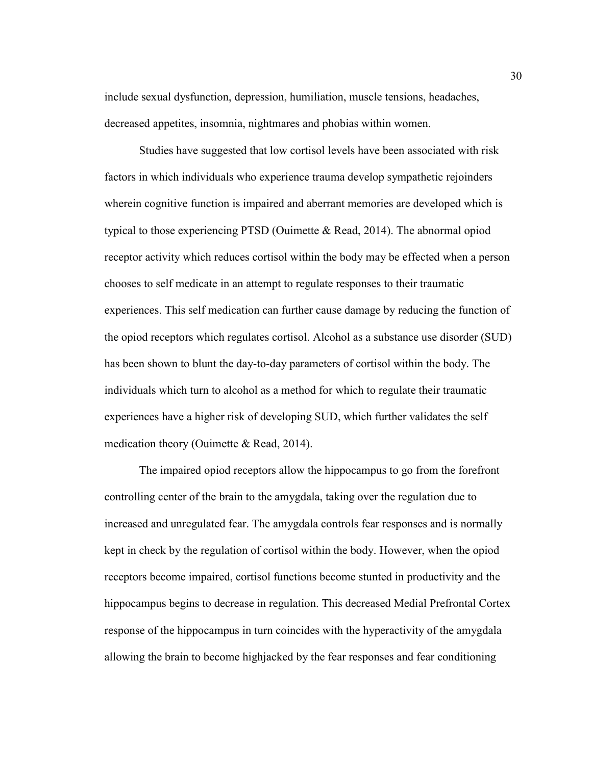include sexual dysfunction, depression, humiliation, muscle tensions, headaches, decreased appetites, insomnia, nightmares and phobias within women.

Studies have suggested that low cortisol levels have been associated with risk factors in which individuals who experience trauma develop sympathetic rejoinders wherein cognitive function is impaired and aberrant memories are developed which is typical to those experiencing PTSD (Ouimette & Read, 2014). The abnormal opiod receptor activity which reduces cortisol within the body may be effected when a person chooses to self medicate in an attempt to regulate responses to their traumatic experiences. This self medication can further cause damage by reducing the function of the opiod receptors which regulates cortisol. Alcohol as a substance use disorder (SUD) has been shown to blunt the day-to-day parameters of cortisol within the body. The individuals which turn to alcohol as a method for which to regulate their traumatic experiences have a higher risk of developing SUD, which further validates the self medication theory (Ouimette & Read, 2014).

The impaired opiod receptors allow the hippocampus to go from the forefront controlling center of the brain to the amygdala, taking over the regulation due to increased and unregulated fear. The amygdala controls fear responses and is normally kept in check by the regulation of cortisol within the body. However, when the opiod receptors become impaired, cortisol functions become stunted in productivity and the hippocampus begins to decrease in regulation. This decreased Medial Prefrontal Cortex response of the hippocampus in turn coincides with the hyperactivity of the amygdala allowing the brain to become highjacked by the fear responses and fear conditioning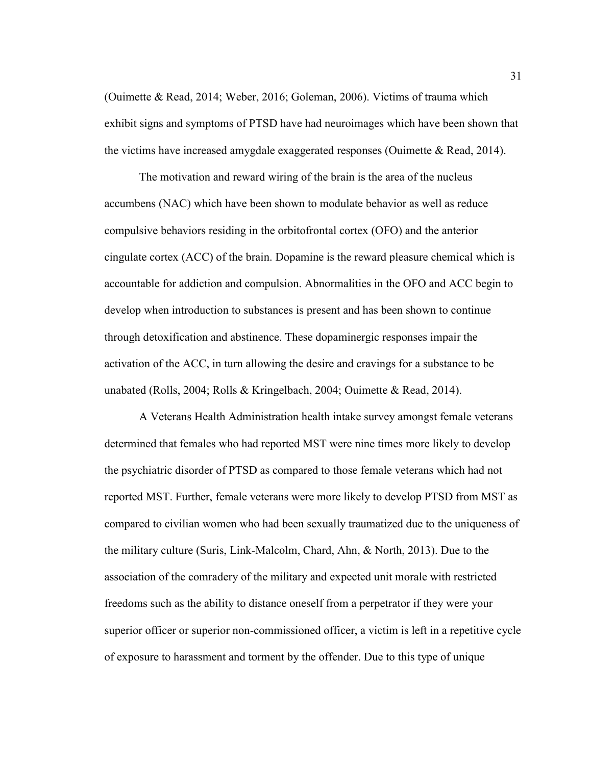(Ouimette & Read, 2014; Weber, 2016; Goleman, 2006). Victims of trauma which exhibit signs and symptoms of PTSD have had neuroimages which have been shown that the victims have increased amygdale exaggerated responses (Ouimette & Read, 2014).

The motivation and reward wiring of the brain is the area of the nucleus accumbens (NAC) which have been shown to modulate behavior as well as reduce compulsive behaviors residing in the orbitofrontal cortex (OFO) and the anterior cingulate cortex (ACC) of the brain. Dopamine is the reward pleasure chemical which is accountable for addiction and compulsion. Abnormalities in the OFO and ACC begin to develop when introduction to substances is present and has been shown to continue through detoxification and abstinence. These dopaminergic responses impair the activation of the ACC, in turn allowing the desire and cravings for a substance to be unabated (Rolls, 2004; Rolls & Kringelbach, 2004; Ouimette & Read, 2014).

A Veterans Health Administration health intake survey amongst female veterans determined that females who had reported MST were nine times more likely to develop the psychiatric disorder of PTSD as compared to those female veterans which had not reported MST. Further, female veterans were more likely to develop PTSD from MST as compared to civilian women who had been sexually traumatized due to the uniqueness of the military culture (Suris, Link-Malcolm, Chard, Ahn, & North, 2013). Due to the association of the comradery of the military and expected unit morale with restricted freedoms such as the ability to distance oneself from a perpetrator if they were your superior officer or superior non-commissioned officer, a victim is left in a repetitive cycle of exposure to harassment and torment by the offender. Due to this type of unique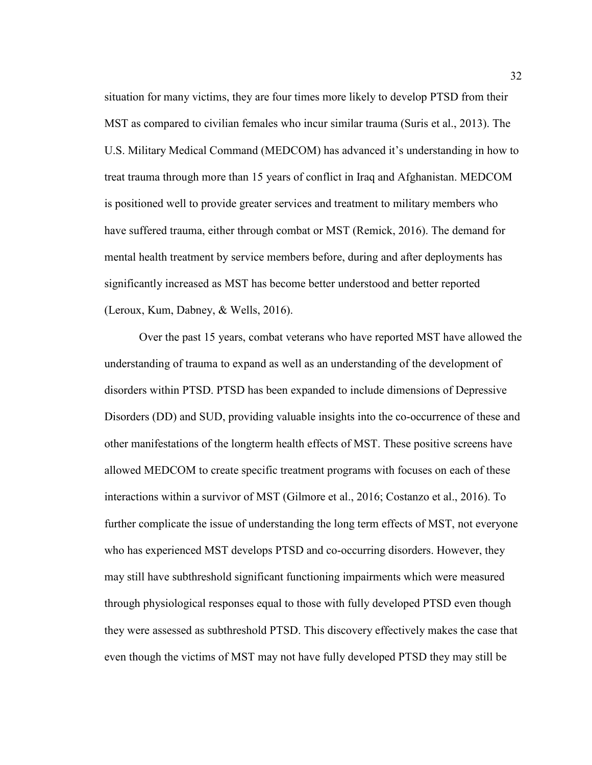situation for many victims, they are four times more likely to develop PTSD from their MST as compared to civilian females who incur similar trauma (Suris et al., 2013). The U.S. Military Medical Command (MEDCOM) has advanced it's understanding in how to treat trauma through more than 15 years of conflict in Iraq and Afghanistan. MEDCOM is positioned well to provide greater services and treatment to military members who have suffered trauma, either through combat or MST (Remick, 2016). The demand for mental health treatment by service members before, during and after deployments has significantly increased as MST has become better understood and better reported (Leroux, Kum, Dabney, & Wells, 2016).

Over the past 15 years, combat veterans who have reported MST have allowed the understanding of trauma to expand as well as an understanding of the development of disorders within PTSD. PTSD has been expanded to include dimensions of Depressive Disorders (DD) and SUD, providing valuable insights into the co-occurrence of these and other manifestations of the longterm health effects of MST. These positive screens have allowed MEDCOM to create specific treatment programs with focuses on each of these interactions within a survivor of MST (Gilmore et al., 2016; Costanzo et al., 2016). To further complicate the issue of understanding the long term effects of MST, not everyone who has experienced MST develops PTSD and co-occurring disorders. However, they may still have subthreshold significant functioning impairments which were measured through physiological responses equal to those with fully developed PTSD even though they were assessed as subthreshold PTSD. This discovery effectively makes the case that even though the victims of MST may not have fully developed PTSD they may still be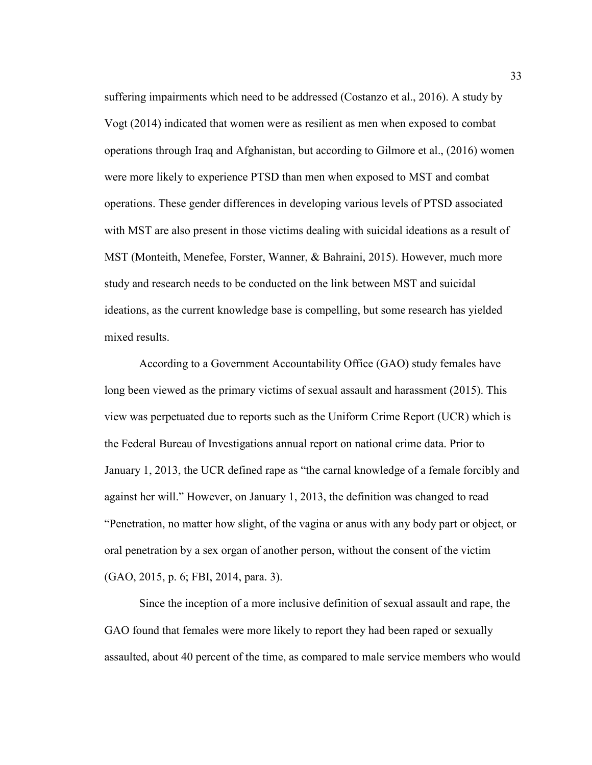suffering impairments which need to be addressed (Costanzo et al., 2016). A study by Vogt (2014) indicated that women were as resilient as men when exposed to combat operations through Iraq and Afghanistan, but according to Gilmore et al., (2016) women were more likely to experience PTSD than men when exposed to MST and combat operations. These gender differences in developing various levels of PTSD associated with MST are also present in those victims dealing with suicidal ideations as a result of MST (Monteith, Menefee, Forster, Wanner, & Bahraini, 2015). However, much more study and research needs to be conducted on the link between MST and suicidal ideations, as the current knowledge base is compelling, but some research has yielded mixed results.

According to a Government Accountability Office (GAO) study females have long been viewed as the primary victims of sexual assault and harassment (2015). This view was perpetuated due to reports such as the Uniform Crime Report (UCR) which is the Federal Bureau of Investigations annual report on national crime data. Prior to January 1, 2013, the UCR defined rape as "the carnal knowledge of a female forcibly and against her will." However, on January 1, 2013, the definition was changed to read "Penetration, no matter how slight, of the vagina or anus with any body part or object, or oral penetration by a sex organ of another person, without the consent of the victim (GAO, 2015, p. 6; FBI, 2014, para. 3).

Since the inception of a more inclusive definition of sexual assault and rape, the GAO found that females were more likely to report they had been raped or sexually assaulted, about 40 percent of the time, as compared to male service members who would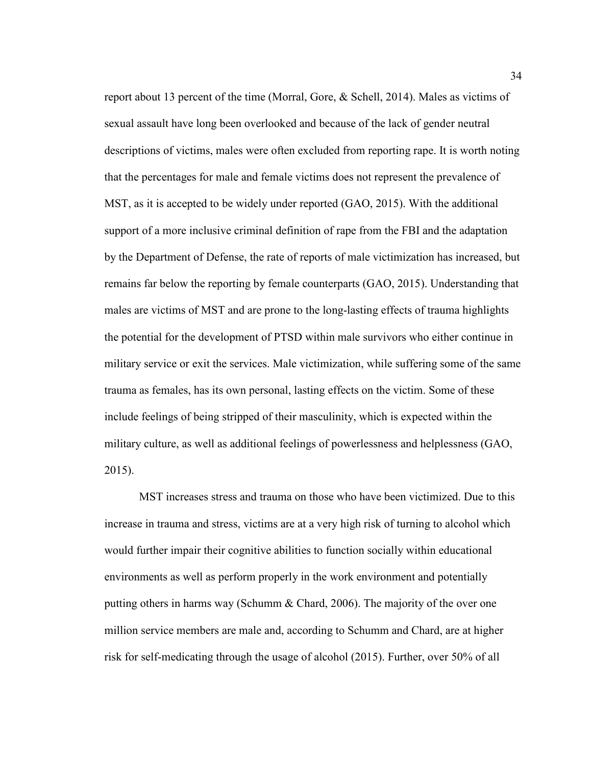report about 13 percent of the time (Morral, Gore, & Schell, 2014). Males as victims of sexual assault have long been overlooked and because of the lack of gender neutral descriptions of victims, males were often excluded from reporting rape. It is worth noting that the percentages for male and female victims does not represent the prevalence of MST, as it is accepted to be widely under reported (GAO, 2015). With the additional support of a more inclusive criminal definition of rape from the FBI and the adaptation by the Department of Defense, the rate of reports of male victimization has increased, but remains far below the reporting by female counterparts (GAO, 2015). Understanding that males are victims of MST and are prone to the long-lasting effects of trauma highlights the potential for the development of PTSD within male survivors who either continue in military service or exit the services. Male victimization, while suffering some of the same trauma as females, has its own personal, lasting effects on the victim. Some of these include feelings of being stripped of their masculinity, which is expected within the military culture, as well as additional feelings of powerlessness and helplessness (GAO, 2015).

MST increases stress and trauma on those who have been victimized. Due to this increase in trauma and stress, victims are at a very high risk of turning to alcohol which would further impair their cognitive abilities to function socially within educational environments as well as perform properly in the work environment and potentially putting others in harms way (Schumm & Chard, 2006). The majority of the over one million service members are male and, according to Schumm and Chard, are at higher risk for self-medicating through the usage of alcohol (2015). Further, over 50% of all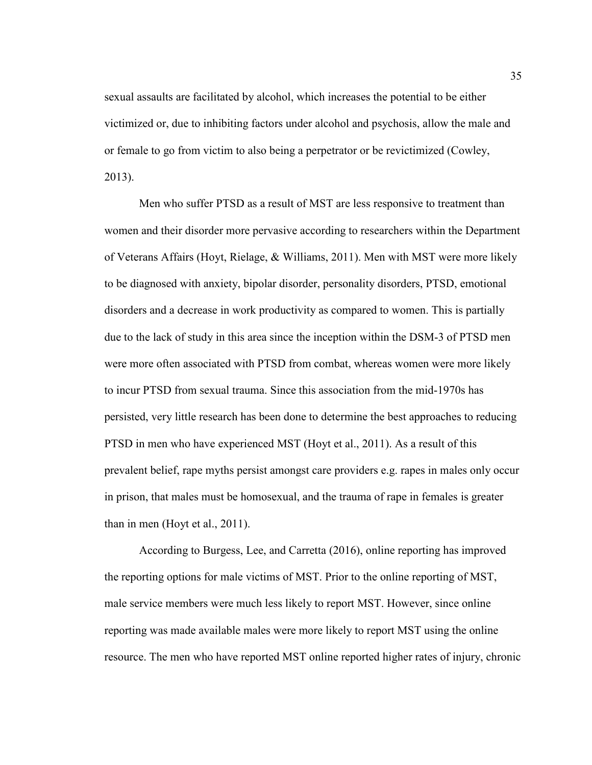sexual assaults are facilitated by alcohol, which increases the potential to be either victimized or, due to inhibiting factors under alcohol and psychosis, allow the male and or female to go from victim to also being a perpetrator or be revictimized (Cowley, 2013).

Men who suffer PTSD as a result of MST are less responsive to treatment than women and their disorder more pervasive according to researchers within the Department of Veterans Affairs (Hoyt, Rielage, & Williams, 2011). Men with MST were more likely to be diagnosed with anxiety, bipolar disorder, personality disorders, PTSD, emotional disorders and a decrease in work productivity as compared to women. This is partially due to the lack of study in this area since the inception within the DSM-3 of PTSD men were more often associated with PTSD from combat, whereas women were more likely to incur PTSD from sexual trauma. Since this association from the mid-1970s has persisted, very little research has been done to determine the best approaches to reducing PTSD in men who have experienced MST (Hoyt et al., 2011). As a result of this prevalent belief, rape myths persist amongst care providers e.g. rapes in males only occur in prison, that males must be homosexual, and the trauma of rape in females is greater than in men (Hoyt et al., 2011).

According to Burgess, Lee, and Carretta (2016), online reporting has improved the reporting options for male victims of MST. Prior to the online reporting of MST, male service members were much less likely to report MST. However, since online reporting was made available males were more likely to report MST using the online resource. The men who have reported MST online reported higher rates of injury, chronic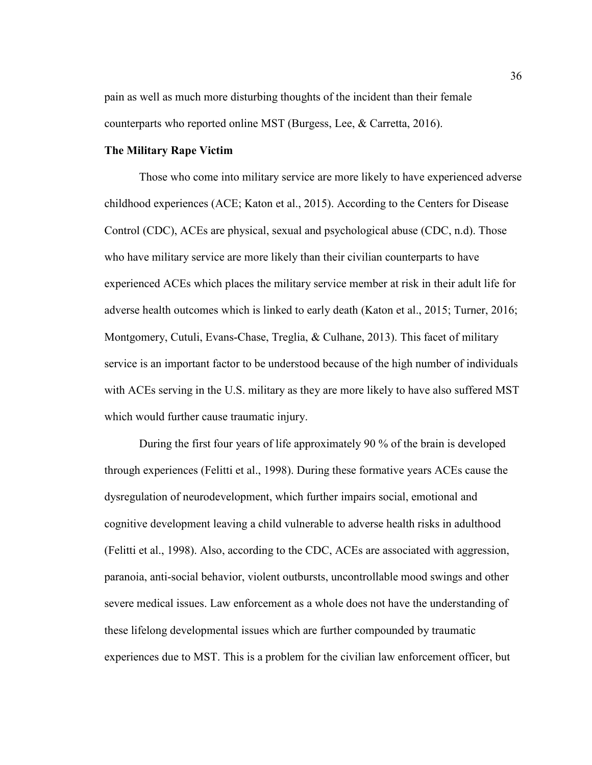pain as well as much more disturbing thoughts of the incident than their female counterparts who reported online MST (Burgess, Lee, & Carretta, 2016).

# **The Military Rape Victim**

Those who come into military service are more likely to have experienced adverse childhood experiences (ACE; Katon et al., 2015). According to the Centers for Disease Control (CDC), ACEs are physical, sexual and psychological abuse (CDC, n.d). Those who have military service are more likely than their civilian counterparts to have experienced ACEs which places the military service member at risk in their adult life for adverse health outcomes which is linked to early death (Katon et al., 2015; Turner, 2016; Montgomery, Cutuli, Evans-Chase, Treglia, & Culhane, 2013). This facet of military service is an important factor to be understood because of the high number of individuals with ACEs serving in the U.S. military as they are more likely to have also suffered MST which would further cause traumatic injury.

During the first four years of life approximately 90 % of the brain is developed through experiences (Felitti et al., 1998). During these formative years ACEs cause the dysregulation of neurodevelopment, which further impairs social, emotional and cognitive development leaving a child vulnerable to adverse health risks in adulthood (Felitti et al., 1998). Also, according to the CDC, ACEs are associated with aggression, paranoia, anti-social behavior, violent outbursts, uncontrollable mood swings and other severe medical issues. Law enforcement as a whole does not have the understanding of these lifelong developmental issues which are further compounded by traumatic experiences due to MST. This is a problem for the civilian law enforcement officer, but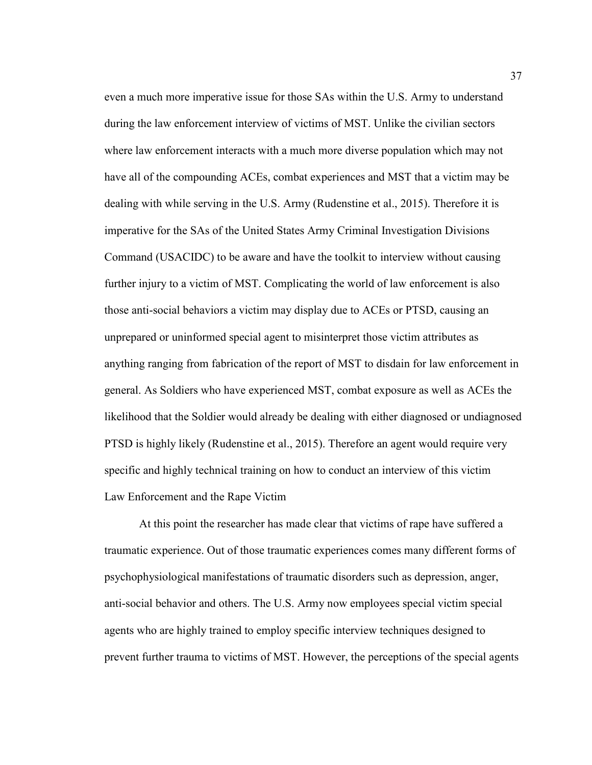even a much more imperative issue for those SAs within the U.S. Army to understand during the law enforcement interview of victims of MST. Unlike the civilian sectors where law enforcement interacts with a much more diverse population which may not have all of the compounding ACEs, combat experiences and MST that a victim may be dealing with while serving in the U.S. Army (Rudenstine et al., 2015). Therefore it is imperative for the SAs of the United States Army Criminal Investigation Divisions Command (USACIDC) to be aware and have the toolkit to interview without causing further injury to a victim of MST. Complicating the world of law enforcement is also those anti-social behaviors a victim may display due to ACEs or PTSD, causing an unprepared or uninformed special agent to misinterpret those victim attributes as anything ranging from fabrication of the report of MST to disdain for law enforcement in general. As Soldiers who have experienced MST, combat exposure as well as ACEs the likelihood that the Soldier would already be dealing with either diagnosed or undiagnosed PTSD is highly likely (Rudenstine et al., 2015). Therefore an agent would require very specific and highly technical training on how to conduct an interview of this victim Law Enforcement and the Rape Victim

At this point the researcher has made clear that victims of rape have suffered a traumatic experience. Out of those traumatic experiences comes many different forms of psychophysiological manifestations of traumatic disorders such as depression, anger, anti-social behavior and others. The U.S. Army now employees special victim special agents who are highly trained to employ specific interview techniques designed to prevent further trauma to victims of MST. However, the perceptions of the special agents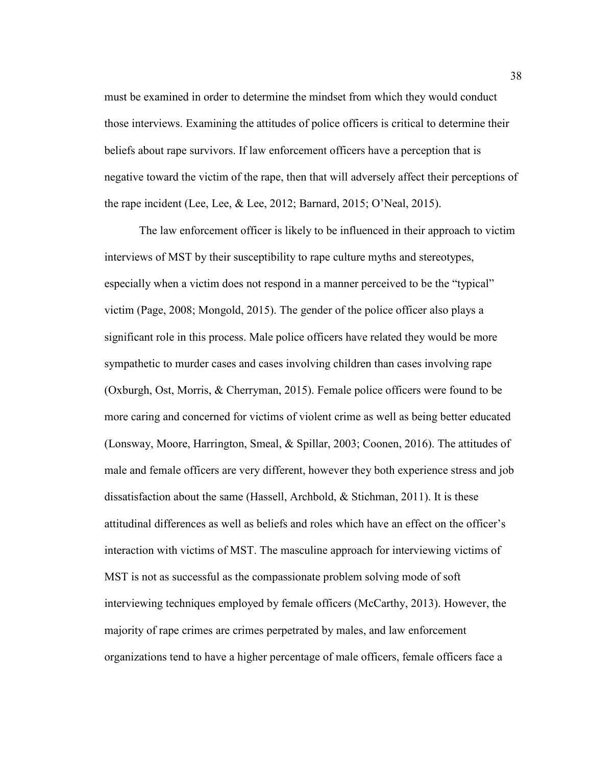must be examined in order to determine the mindset from which they would conduct those interviews. Examining the attitudes of police officers is critical to determine their beliefs about rape survivors. If law enforcement officers have a perception that is negative toward the victim of the rape, then that will adversely affect their perceptions of the rape incident (Lee, Lee, & Lee, 2012; Barnard, 2015; O'Neal, 2015).

The law enforcement officer is likely to be influenced in their approach to victim interviews of MST by their susceptibility to rape culture myths and stereotypes, especially when a victim does not respond in a manner perceived to be the "typical" victim (Page, 2008; Mongold, 2015). The gender of the police officer also plays a significant role in this process. Male police officers have related they would be more sympathetic to murder cases and cases involving children than cases involving rape (Oxburgh, Ost, Morris, & Cherryman, 2015). Female police officers were found to be more caring and concerned for victims of violent crime as well as being better educated (Lonsway, Moore, Harrington, Smeal, & Spillar, 2003; Coonen, 2016). The attitudes of male and female officers are very different, however they both experience stress and job dissatisfaction about the same (Hassell, Archbold, & Stichman, 2011). It is these attitudinal differences as well as beliefs and roles which have an effect on the officer's interaction with victims of MST. The masculine approach for interviewing victims of MST is not as successful as the compassionate problem solving mode of soft interviewing techniques employed by female officers (McCarthy, 2013). However, the majority of rape crimes are crimes perpetrated by males, and law enforcement organizations tend to have a higher percentage of male officers, female officers face a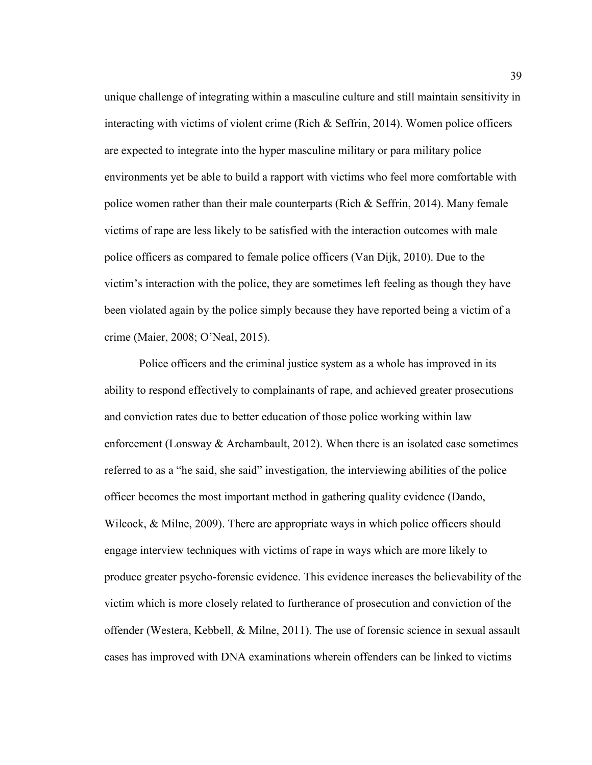unique challenge of integrating within a masculine culture and still maintain sensitivity in interacting with victims of violent crime (Rich  $\&$  Seffrin, 2014). Women police officers are expected to integrate into the hyper masculine military or para military police environments yet be able to build a rapport with victims who feel more comfortable with police women rather than their male counterparts (Rich & Seffrin, 2014). Many female victims of rape are less likely to be satisfied with the interaction outcomes with male police officers as compared to female police officers (Van Dijk, 2010). Due to the victim's interaction with the police, they are sometimes left feeling as though they have been violated again by the police simply because they have reported being a victim of a crime (Maier, 2008; O'Neal, 2015).

Police officers and the criminal justice system as a whole has improved in its ability to respond effectively to complainants of rape, and achieved greater prosecutions and conviction rates due to better education of those police working within law enforcement (Lonsway  $\&$  Archambault, 2012). When there is an isolated case sometimes referred to as a "he said, she said" investigation, the interviewing abilities of the police officer becomes the most important method in gathering quality evidence (Dando, Wilcock, & Milne, 2009). There are appropriate ways in which police officers should engage interview techniques with victims of rape in ways which are more likely to produce greater psycho-forensic evidence. This evidence increases the believability of the victim which is more closely related to furtherance of prosecution and conviction of the offender (Westera, Kebbell, & Milne, 2011). The use of forensic science in sexual assault cases has improved with DNA examinations wherein offenders can be linked to victims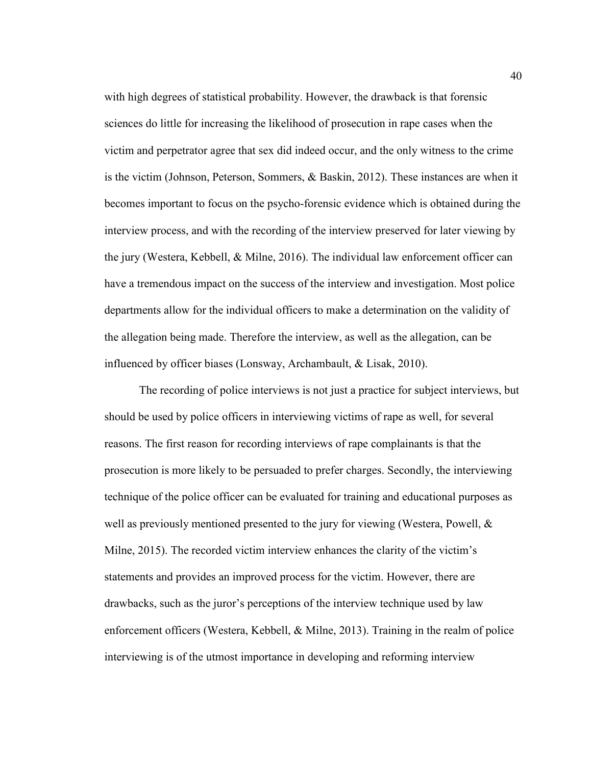with high degrees of statistical probability. However, the drawback is that forensic sciences do little for increasing the likelihood of prosecution in rape cases when the victim and perpetrator agree that sex did indeed occur, and the only witness to the crime is the victim (Johnson, Peterson, Sommers, & Baskin, 2012). These instances are when it becomes important to focus on the psycho-forensic evidence which is obtained during the interview process, and with the recording of the interview preserved for later viewing by the jury (Westera, Kebbell, & Milne, 2016). The individual law enforcement officer can have a tremendous impact on the success of the interview and investigation. Most police departments allow for the individual officers to make a determination on the validity of the allegation being made. Therefore the interview, as well as the allegation, can be influenced by officer biases (Lonsway, Archambault, & Lisak, 2010).

The recording of police interviews is not just a practice for subject interviews, but should be used by police officers in interviewing victims of rape as well, for several reasons. The first reason for recording interviews of rape complainants is that the prosecution is more likely to be persuaded to prefer charges. Secondly, the interviewing technique of the police officer can be evaluated for training and educational purposes as well as previously mentioned presented to the jury for viewing (Westera, Powell, & Milne, 2015). The recorded victim interview enhances the clarity of the victim's statements and provides an improved process for the victim. However, there are drawbacks, such as the juror's perceptions of the interview technique used by law enforcement officers (Westera, Kebbell, & Milne, 2013). Training in the realm of police interviewing is of the utmost importance in developing and reforming interview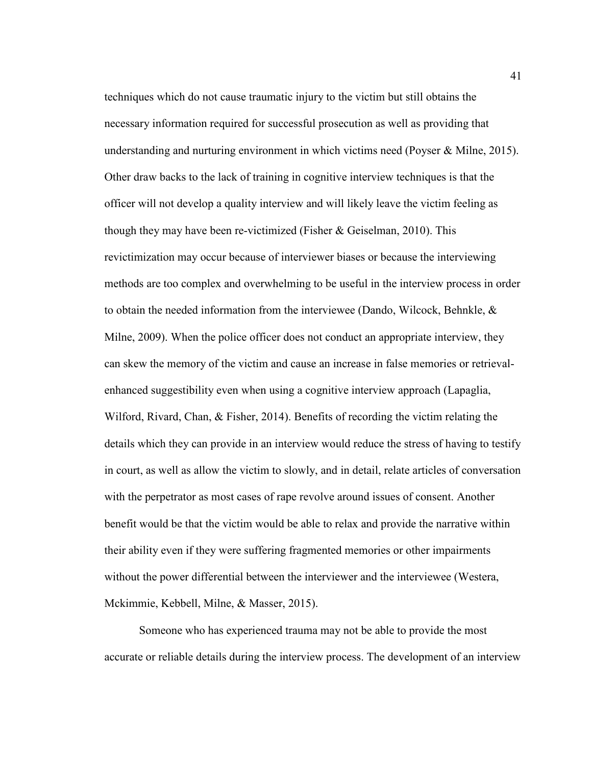techniques which do not cause traumatic injury to the victim but still obtains the necessary information required for successful prosecution as well as providing that understanding and nurturing environment in which victims need (Poyser & Milne, 2015). Other draw backs to the lack of training in cognitive interview techniques is that the officer will not develop a quality interview and will likely leave the victim feeling as though they may have been re-victimized (Fisher & Geiselman, 2010). This revictimization may occur because of interviewer biases or because the interviewing methods are too complex and overwhelming to be useful in the interview process in order to obtain the needed information from the interviewee (Dando, Wilcock, Behnkle,  $\&$ Milne, 2009). When the police officer does not conduct an appropriate interview, they can skew the memory of the victim and cause an increase in false memories or retrievalenhanced suggestibility even when using a cognitive interview approach (Lapaglia, Wilford, Rivard, Chan, & Fisher, 2014). Benefits of recording the victim relating the details which they can provide in an interview would reduce the stress of having to testify in court, as well as allow the victim to slowly, and in detail, relate articles of conversation with the perpetrator as most cases of rape revolve around issues of consent. Another benefit would be that the victim would be able to relax and provide the narrative within their ability even if they were suffering fragmented memories or other impairments without the power differential between the interviewer and the interviewee (Westera, Mckimmie, Kebbell, Milne, & Masser, 2015).

Someone who has experienced trauma may not be able to provide the most accurate or reliable details during the interview process. The development of an interview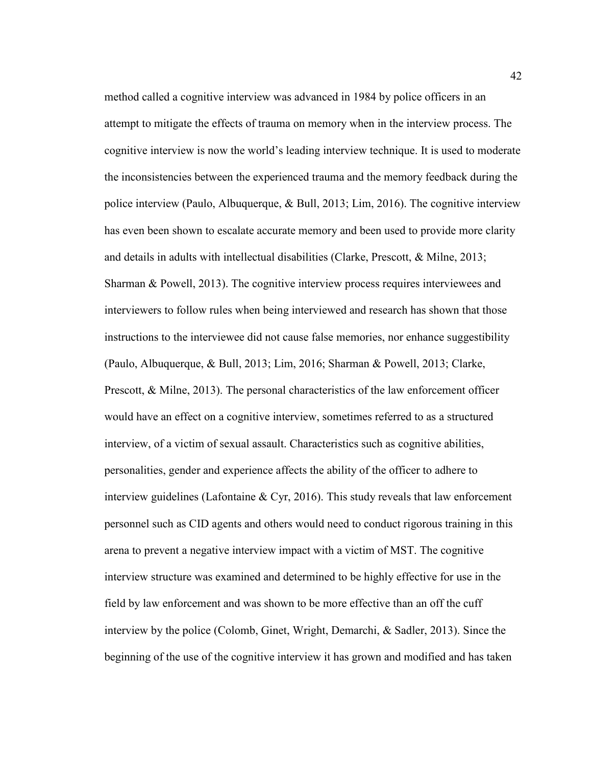method called a cognitive interview was advanced in 1984 by police officers in an attempt to mitigate the effects of trauma on memory when in the interview process. The cognitive interview is now the world's leading interview technique. It is used to moderate the inconsistencies between the experienced trauma and the memory feedback during the police interview (Paulo, Albuquerque, & Bull, 2013; Lim, 2016). The cognitive interview has even been shown to escalate accurate memory and been used to provide more clarity and details in adults with intellectual disabilities (Clarke, Prescott, & Milne, 2013; Sharman & Powell, 2013). The cognitive interview process requires interviewees and interviewers to follow rules when being interviewed and research has shown that those instructions to the interviewee did not cause false memories, nor enhance suggestibility (Paulo, Albuquerque, & Bull, 2013; Lim, 2016; Sharman & Powell, 2013; Clarke, Prescott, & Milne, 2013). The personal characteristics of the law enforcement officer would have an effect on a cognitive interview, sometimes referred to as a structured interview, of a victim of sexual assault. Characteristics such as cognitive abilities, personalities, gender and experience affects the ability of the officer to adhere to interview guidelines (Lafontaine  $\&$  Cyr, 2016). This study reveals that law enforcement personnel such as CID agents and others would need to conduct rigorous training in this arena to prevent a negative interview impact with a victim of MST. The cognitive interview structure was examined and determined to be highly effective for use in the field by law enforcement and was shown to be more effective than an off the cuff interview by the police (Colomb, Ginet, Wright, Demarchi, & Sadler, 2013). Since the beginning of the use of the cognitive interview it has grown and modified and has taken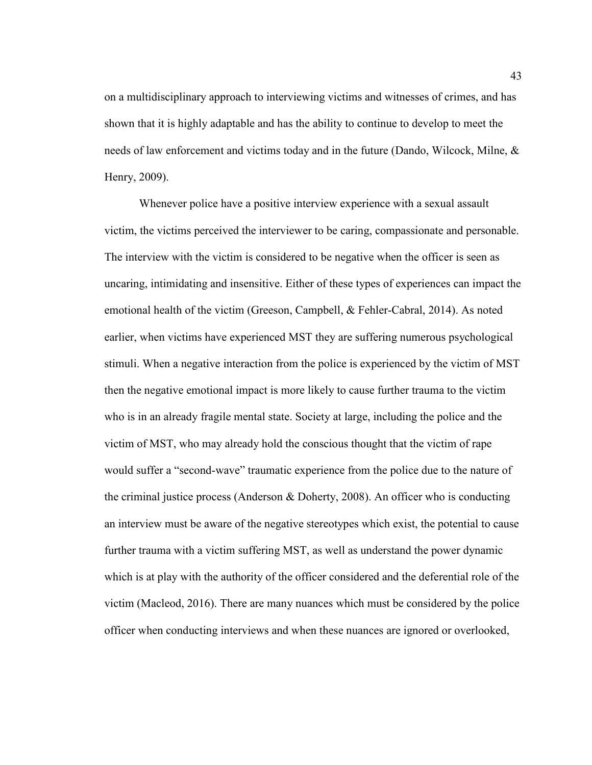on a multidisciplinary approach to interviewing victims and witnesses of crimes, and has shown that it is highly adaptable and has the ability to continue to develop to meet the needs of law enforcement and victims today and in the future (Dando, Wilcock, Milne, & Henry, 2009).

Whenever police have a positive interview experience with a sexual assault victim, the victims perceived the interviewer to be caring, compassionate and personable. The interview with the victim is considered to be negative when the officer is seen as uncaring, intimidating and insensitive. Either of these types of experiences can impact the emotional health of the victim (Greeson, Campbell, & Fehler-Cabral, 2014). As noted earlier, when victims have experienced MST they are suffering numerous psychological stimuli. When a negative interaction from the police is experienced by the victim of MST then the negative emotional impact is more likely to cause further trauma to the victim who is in an already fragile mental state. Society at large, including the police and the victim of MST, who may already hold the conscious thought that the victim of rape would suffer a "second-wave" traumatic experience from the police due to the nature of the criminal justice process (Anderson & Doherty, 2008). An officer who is conducting an interview must be aware of the negative stereotypes which exist, the potential to cause further trauma with a victim suffering MST, as well as understand the power dynamic which is at play with the authority of the officer considered and the deferential role of the victim (Macleod, 2016). There are many nuances which must be considered by the police officer when conducting interviews and when these nuances are ignored or overlooked,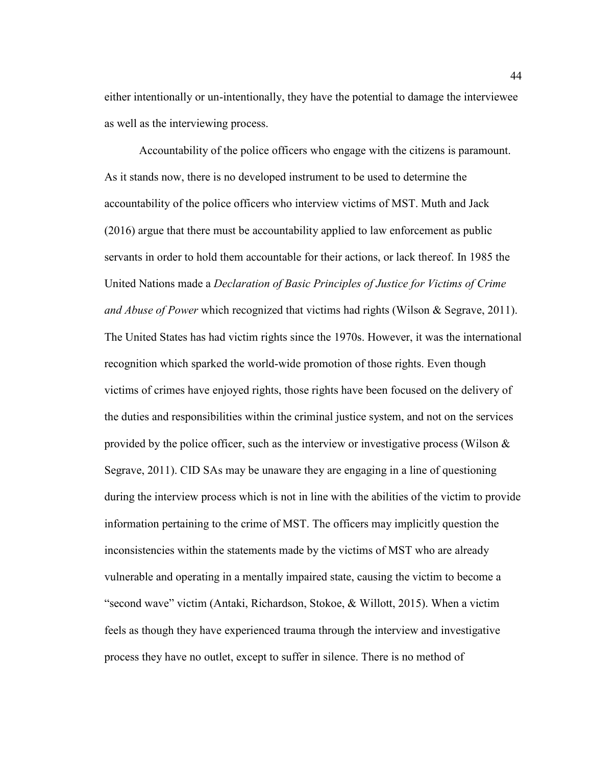either intentionally or un-intentionally, they have the potential to damage the interviewee as well as the interviewing process.

Accountability of the police officers who engage with the citizens is paramount. As it stands now, there is no developed instrument to be used to determine the accountability of the police officers who interview victims of MST. Muth and Jack (2016) argue that there must be accountability applied to law enforcement as public servants in order to hold them accountable for their actions, or lack thereof. In 1985 the United Nations made a *Declaration of Basic Principles of Justice for Victims of Crime and Abuse of Power* which recognized that victims had rights (Wilson & Segrave, 2011). The United States has had victim rights since the 1970s. However, it was the international recognition which sparked the world-wide promotion of those rights. Even though victims of crimes have enjoyed rights, those rights have been focused on the delivery of the duties and responsibilities within the criminal justice system, and not on the services provided by the police officer, such as the interview or investigative process (Wilson  $\&$ Segrave, 2011). CID SAs may be unaware they are engaging in a line of questioning during the interview process which is not in line with the abilities of the victim to provide information pertaining to the crime of MST. The officers may implicitly question the inconsistencies within the statements made by the victims of MST who are already vulnerable and operating in a mentally impaired state, causing the victim to become a "second wave" victim (Antaki, Richardson, Stokoe, & Willott, 2015). When a victim feels as though they have experienced trauma through the interview and investigative process they have no outlet, except to suffer in silence. There is no method of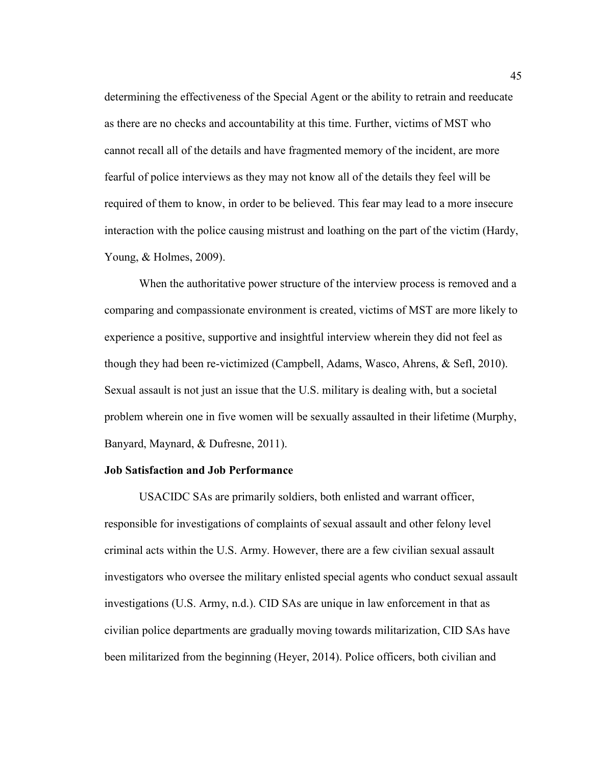determining the effectiveness of the Special Agent or the ability to retrain and reeducate as there are no checks and accountability at this time. Further, victims of MST who cannot recall all of the details and have fragmented memory of the incident, are more fearful of police interviews as they may not know all of the details they feel will be required of them to know, in order to be believed. This fear may lead to a more insecure interaction with the police causing mistrust and loathing on the part of the victim (Hardy, Young, & Holmes, 2009).

When the authoritative power structure of the interview process is removed and a comparing and compassionate environment is created, victims of MST are more likely to experience a positive, supportive and insightful interview wherein they did not feel as though they had been re-victimized (Campbell, Adams, Wasco, Ahrens, & Sefl, 2010). Sexual assault is not just an issue that the U.S. military is dealing with, but a societal problem wherein one in five women will be sexually assaulted in their lifetime (Murphy, Banyard, Maynard, & Dufresne, 2011).

## **Job Satisfaction and Job Performance**

USACIDC SAs are primarily soldiers, both enlisted and warrant officer, responsible for investigations of complaints of sexual assault and other felony level criminal acts within the U.S. Army. However, there are a few civilian sexual assault investigators who oversee the military enlisted special agents who conduct sexual assault investigations (U.S. Army, n.d.). CID SAs are unique in law enforcement in that as civilian police departments are gradually moving towards militarization, CID SAs have been militarized from the beginning (Heyer, 2014). Police officers, both civilian and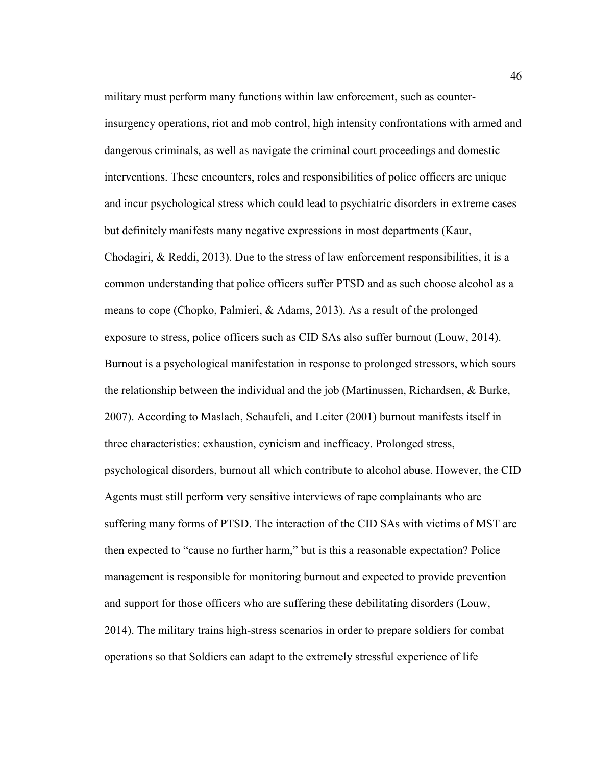military must perform many functions within law enforcement, such as counterinsurgency operations, riot and mob control, high intensity confrontations with armed and dangerous criminals, as well as navigate the criminal court proceedings and domestic interventions. These encounters, roles and responsibilities of police officers are unique and incur psychological stress which could lead to psychiatric disorders in extreme cases but definitely manifests many negative expressions in most departments (Kaur, Chodagiri, & Reddi, 2013). Due to the stress of law enforcement responsibilities, it is a common understanding that police officers suffer PTSD and as such choose alcohol as a means to cope (Chopko, Palmieri, & Adams, 2013). As a result of the prolonged exposure to stress, police officers such as CID SAs also suffer burnout (Louw, 2014). Burnout is a psychological manifestation in response to prolonged stressors, which sours the relationship between the individual and the job (Martinussen, Richardsen, & Burke, 2007). According to Maslach, Schaufeli, and Leiter (2001) burnout manifests itself in three characteristics: exhaustion, cynicism and inefficacy. Prolonged stress, psychological disorders, burnout all which contribute to alcohol abuse. However, the CID Agents must still perform very sensitive interviews of rape complainants who are suffering many forms of PTSD. The interaction of the CID SAs with victims of MST are then expected to "cause no further harm," but is this a reasonable expectation? Police management is responsible for monitoring burnout and expected to provide prevention and support for those officers who are suffering these debilitating disorders (Louw, 2014). The military trains high-stress scenarios in order to prepare soldiers for combat operations so that Soldiers can adapt to the extremely stressful experience of life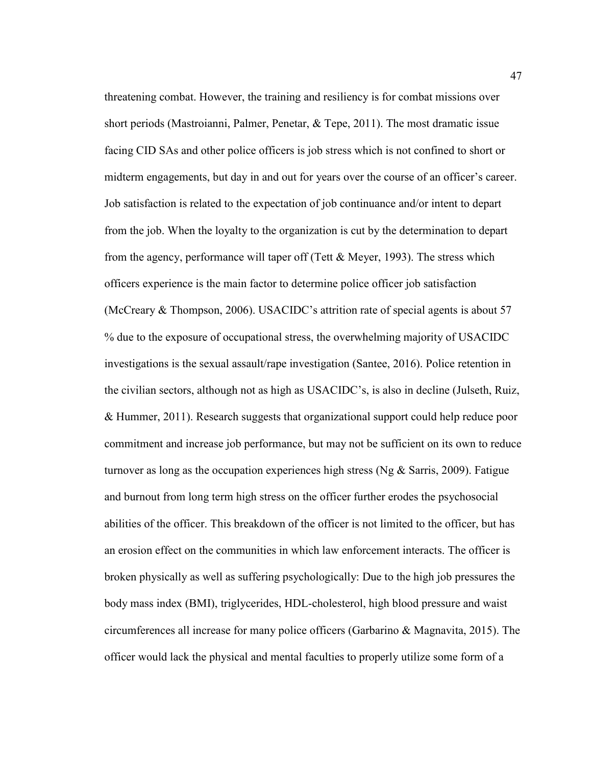threatening combat. However, the training and resiliency is for combat missions over short periods (Mastroianni, Palmer, Penetar, & Tepe, 2011). The most dramatic issue facing CID SAs and other police officers is job stress which is not confined to short or midterm engagements, but day in and out for years over the course of an officer's career. Job satisfaction is related to the expectation of job continuance and/or intent to depart from the job. When the loyalty to the organization is cut by the determination to depart from the agency, performance will taper off (Tett  $&$  Meyer, 1993). The stress which officers experience is the main factor to determine police officer job satisfaction (McCreary & Thompson, 2006). USACIDC's attrition rate of special agents is about 57 % due to the exposure of occupational stress, the overwhelming majority of USACIDC investigations is the sexual assault/rape investigation (Santee, 2016). Police retention in the civilian sectors, although not as high as USACIDC's, is also in decline (Julseth, Ruiz, & Hummer, 2011). Research suggests that organizational support could help reduce poor commitment and increase job performance, but may not be sufficient on its own to reduce turnover as long as the occupation experiences high stress (Ng & Sarris, 2009). Fatigue and burnout from long term high stress on the officer further erodes the psychosocial abilities of the officer. This breakdown of the officer is not limited to the officer, but has an erosion effect on the communities in which law enforcement interacts. The officer is broken physically as well as suffering psychologically: Due to the high job pressures the body mass index (BMI), triglycerides, HDL-cholesterol, high blood pressure and waist circumferences all increase for many police officers (Garbarino & Magnavita, 2015). The officer would lack the physical and mental faculties to properly utilize some form of a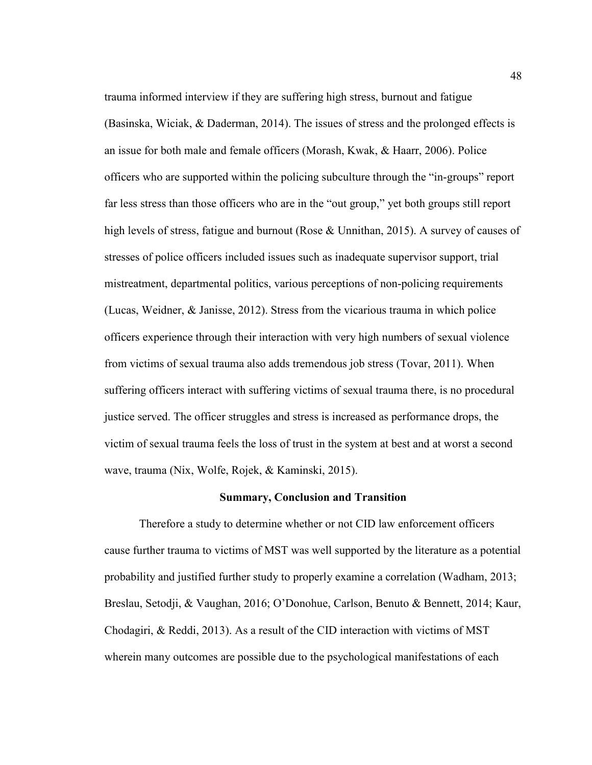trauma informed interview if they are suffering high stress, burnout and fatigue (Basinska, Wiciak, & Daderman, 2014). The issues of stress and the prolonged effects is an issue for both male and female officers (Morash, Kwak, & Haarr, 2006). Police officers who are supported within the policing subculture through the "in-groups" report far less stress than those officers who are in the "out group," yet both groups still report high levels of stress, fatigue and burnout (Rose & Unnithan, 2015). A survey of causes of stresses of police officers included issues such as inadequate supervisor support, trial mistreatment, departmental politics, various perceptions of non-policing requirements (Lucas, Weidner, & Janisse, 2012). Stress from the vicarious trauma in which police officers experience through their interaction with very high numbers of sexual violence from victims of sexual trauma also adds tremendous job stress (Tovar, 2011). When suffering officers interact with suffering victims of sexual trauma there, is no procedural justice served. The officer struggles and stress is increased as performance drops, the victim of sexual trauma feels the loss of trust in the system at best and at worst a second wave, trauma (Nix, Wolfe, Rojek, & Kaminski, 2015).

#### **Summary, Conclusion and Transition**

Therefore a study to determine whether or not CID law enforcement officers cause further trauma to victims of MST was well supported by the literature as a potential probability and justified further study to properly examine a correlation (Wadham, 2013; Breslau, Setodji, & Vaughan, 2016; O'Donohue, Carlson, Benuto & Bennett, 2014; Kaur, Chodagiri, & Reddi, 2013). As a result of the CID interaction with victims of MST wherein many outcomes are possible due to the psychological manifestations of each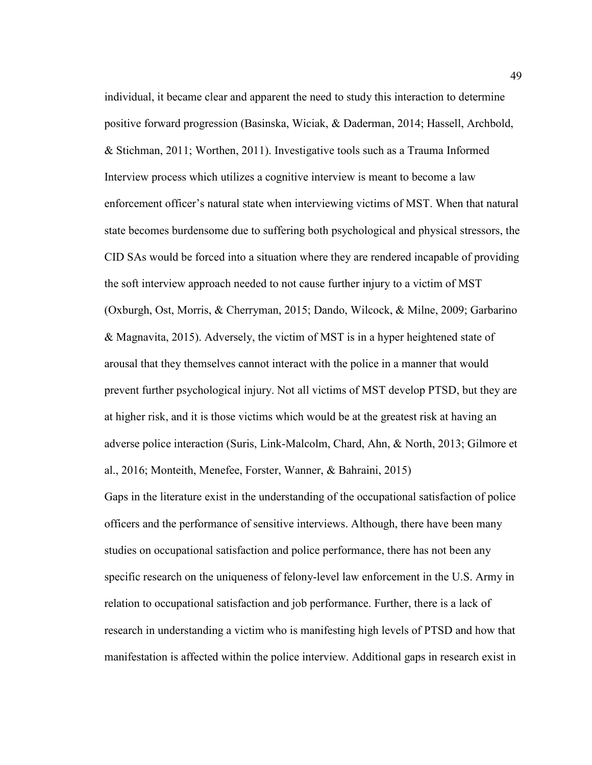individual, it became clear and apparent the need to study this interaction to determine positive forward progression (Basinska, Wiciak, & Daderman, 2014; Hassell, Archbold, & Stichman, 2011; Worthen, 2011). Investigative tools such as a Trauma Informed Interview process which utilizes a cognitive interview is meant to become a law enforcement officer's natural state when interviewing victims of MST. When that natural state becomes burdensome due to suffering both psychological and physical stressors, the CID SAs would be forced into a situation where they are rendered incapable of providing the soft interview approach needed to not cause further injury to a victim of MST (Oxburgh, Ost, Morris, & Cherryman, 2015; Dando, Wilcock, & Milne, 2009; Garbarino & Magnavita, 2015). Adversely, the victim of MST is in a hyper heightened state of arousal that they themselves cannot interact with the police in a manner that would prevent further psychological injury. Not all victims of MST develop PTSD, but they are at higher risk, and it is those victims which would be at the greatest risk at having an adverse police interaction (Suris, Link-Malcolm, Chard, Ahn, & North, 2013; Gilmore et al., 2016; Monteith, Menefee, Forster, Wanner, & Bahraini, 2015)

Gaps in the literature exist in the understanding of the occupational satisfaction of police officers and the performance of sensitive interviews. Although, there have been many studies on occupational satisfaction and police performance, there has not been any specific research on the uniqueness of felony-level law enforcement in the U.S. Army in relation to occupational satisfaction and job performance. Further, there is a lack of research in understanding a victim who is manifesting high levels of PTSD and how that manifestation is affected within the police interview. Additional gaps in research exist in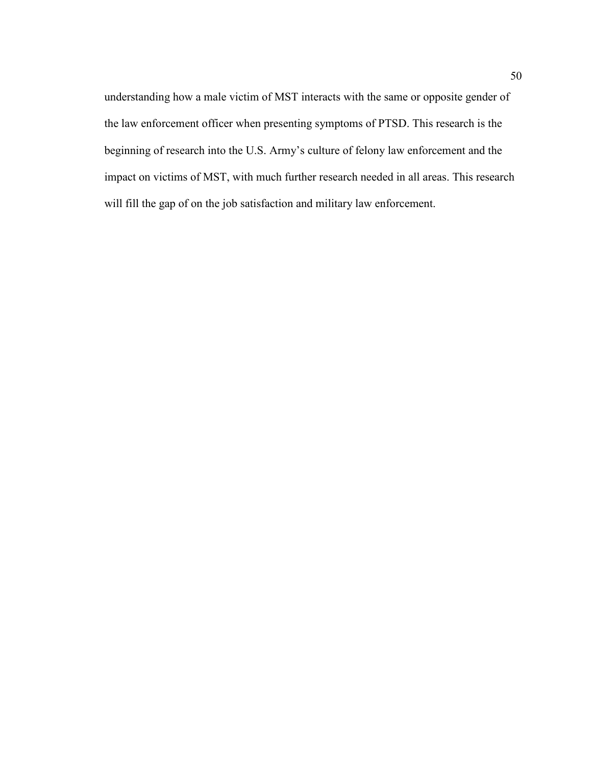understanding how a male victim of MST interacts with the same or opposite gender of the law enforcement officer when presenting symptoms of PTSD. This research is the beginning of research into the U.S. Army's culture of felony law enforcement and the impact on victims of MST, with much further research needed in all areas. This research will fill the gap of on the job satisfaction and military law enforcement.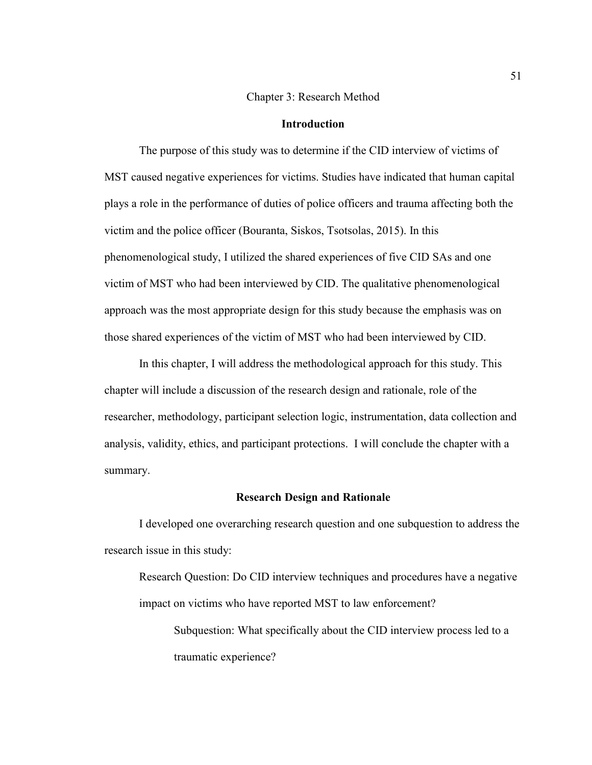## Chapter 3: Research Method

# **Introduction**

The purpose of this study was to determine if the CID interview of victims of MST caused negative experiences for victims. Studies have indicated that human capital plays a role in the performance of duties of police officers and trauma affecting both the victim and the police officer (Bouranta, Siskos, Tsotsolas, 2015). In this phenomenological study, I utilized the shared experiences of five CID SAs and one victim of MST who had been interviewed by CID. The qualitative phenomenological approach was the most appropriate design for this study because the emphasis was on those shared experiences of the victim of MST who had been interviewed by CID.

In this chapter, I will address the methodological approach for this study. This chapter will include a discussion of the research design and rationale, role of the researcher, methodology, participant selection logic, instrumentation, data collection and analysis, validity, ethics, and participant protections. I will conclude the chapter with a summary.

## **Research Design and Rationale**

I developed one overarching research question and one subquestion to address the research issue in this study:

Research Question: Do CID interview techniques and procedures have a negative impact on victims who have reported MST to law enforcement?

Subquestion: What specifically about the CID interview process led to a traumatic experience?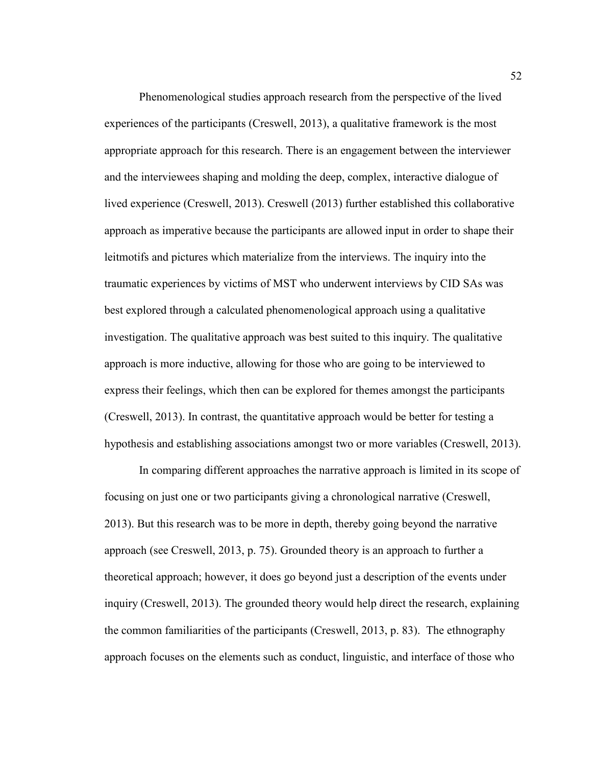Phenomenological studies approach research from the perspective of the lived experiences of the participants (Creswell, 2013), a qualitative framework is the most appropriate approach for this research. There is an engagement between the interviewer and the interviewees shaping and molding the deep, complex, interactive dialogue of lived experience (Creswell, 2013). Creswell (2013) further established this collaborative approach as imperative because the participants are allowed input in order to shape their leitmotifs and pictures which materialize from the interviews. The inquiry into the traumatic experiences by victims of MST who underwent interviews by CID SAs was best explored through a calculated phenomenological approach using a qualitative investigation. The qualitative approach was best suited to this inquiry. The qualitative approach is more inductive, allowing for those who are going to be interviewed to express their feelings, which then can be explored for themes amongst the participants (Creswell, 2013). In contrast, the quantitative approach would be better for testing a hypothesis and establishing associations amongst two or more variables (Creswell, 2013).

In comparing different approaches the narrative approach is limited in its scope of focusing on just one or two participants giving a chronological narrative (Creswell, 2013). But this research was to be more in depth, thereby going beyond the narrative approach (see Creswell, 2013, p. 75). Grounded theory is an approach to further a theoretical approach; however, it does go beyond just a description of the events under inquiry (Creswell, 2013). The grounded theory would help direct the research, explaining the common familiarities of the participants (Creswell, 2013, p. 83). The ethnography approach focuses on the elements such as conduct, linguistic, and interface of those who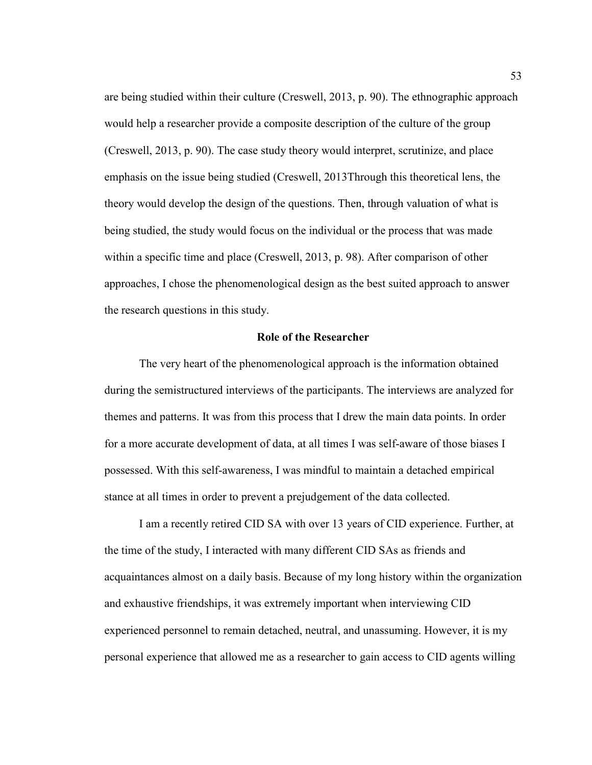are being studied within their culture (Creswell, 2013, p. 90). The ethnographic approach would help a researcher provide a composite description of the culture of the group (Creswell, 2013, p. 90). The case study theory would interpret, scrutinize, and place emphasis on the issue being studied (Creswell, 2013Through this theoretical lens, the theory would develop the design of the questions. Then, through valuation of what is being studied, the study would focus on the individual or the process that was made within a specific time and place (Creswell, 2013, p. 98). After comparison of other approaches, I chose the phenomenological design as the best suited approach to answer the research questions in this study.

## **Role of the Researcher**

The very heart of the phenomenological approach is the information obtained during the semistructured interviews of the participants. The interviews are analyzed for themes and patterns. It was from this process that I drew the main data points. In order for a more accurate development of data, at all times I was self-aware of those biases I possessed. With this self-awareness, I was mindful to maintain a detached empirical stance at all times in order to prevent a prejudgement of the data collected.

I am a recently retired CID SA with over 13 years of CID experience. Further, at the time of the study, I interacted with many different CID SAs as friends and acquaintances almost on a daily basis. Because of my long history within the organization and exhaustive friendships, it was extremely important when interviewing CID experienced personnel to remain detached, neutral, and unassuming. However, it is my personal experience that allowed me as a researcher to gain access to CID agents willing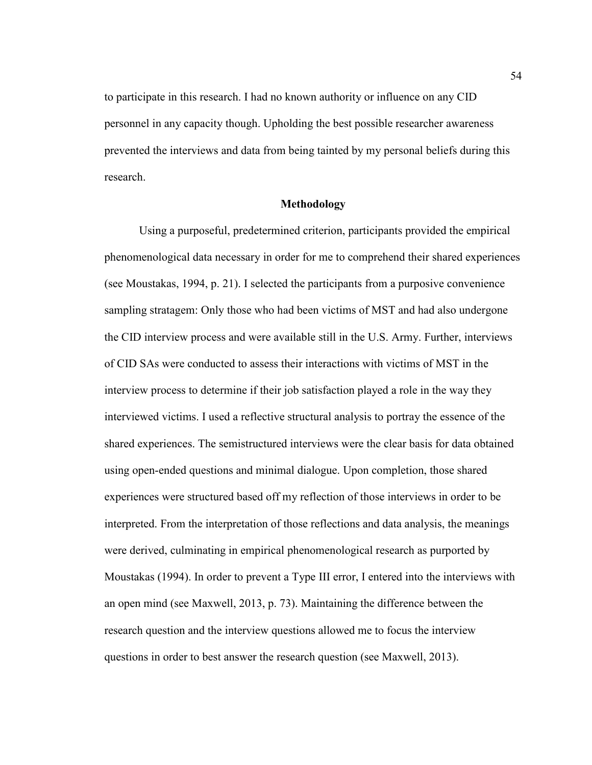to participate in this research. I had no known authority or influence on any CID personnel in any capacity though. Upholding the best possible researcher awareness prevented the interviews and data from being tainted by my personal beliefs during this research.

## **Methodology**

Using a purposeful, predetermined criterion, participants provided the empirical phenomenological data necessary in order for me to comprehend their shared experiences (see Moustakas, 1994, p. 21). I selected the participants from a purposive convenience sampling stratagem: Only those who had been victims of MST and had also undergone the CID interview process and were available still in the U.S. Army. Further, interviews of CID SAs were conducted to assess their interactions with victims of MST in the interview process to determine if their job satisfaction played a role in the way they interviewed victims. I used a reflective structural analysis to portray the essence of the shared experiences. The semistructured interviews were the clear basis for data obtained using open-ended questions and minimal dialogue. Upon completion, those shared experiences were structured based off my reflection of those interviews in order to be interpreted. From the interpretation of those reflections and data analysis, the meanings were derived, culminating in empirical phenomenological research as purported by Moustakas (1994). In order to prevent a Type III error, I entered into the interviews with an open mind (see Maxwell, 2013, p. 73). Maintaining the difference between the research question and the interview questions allowed me to focus the interview questions in order to best answer the research question (see Maxwell, 2013).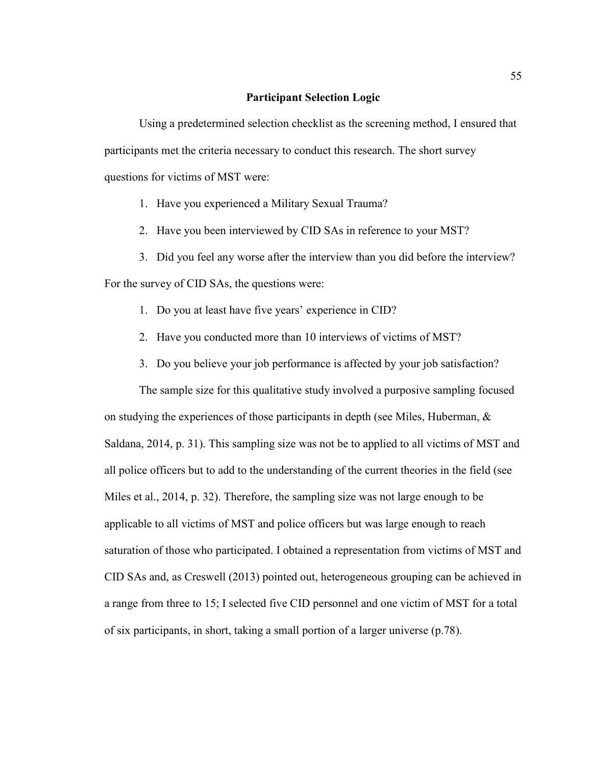## **Participant Selection Logic**

Using a predetermined selection checklist as the screening method, I ensured that participants met the criteria necessary to conduct this research. The short survey questions for victims of MST were:

1. Have you experienced a Military Sexual Trauma?

2. Have you been interviewed by CID SAs in reference to your MST?

3. Did you feel any worse after the interview than you did before the interview?

For the survey of CID SAs, the questions were:

- 1. Do you at least have five years' experience in CID?
- 2. Have you conducted more than 10 interviews of victims of MST?
- 3. Do you believe your job performance is affected by your job satisfaction?

The sample size for this qualitative study involved a purposive sampling focused on studying the experiences of those participants in depth (see Miles, Huberman,  $\&$ Saldana, 2014, p. 31). This sampling size was not be to applied to all victims of MST and all police officers but to add to the understanding of the current theories in the field (see Miles et al., 2014, p. 32). Therefore, the sampling size was not large enough to be applicable to all victims of MST and police officers but was large enough to reach saturation of those who participated. I obtained a representation from victims of MST and CID SAs and, as Creswell (2013) pointed out, heterogeneous grouping can be achieved in a range from three to 15; I selected five CID personnel and one victim of MST for a total of six participants, in short, taking a small portion of a larger universe (p.78).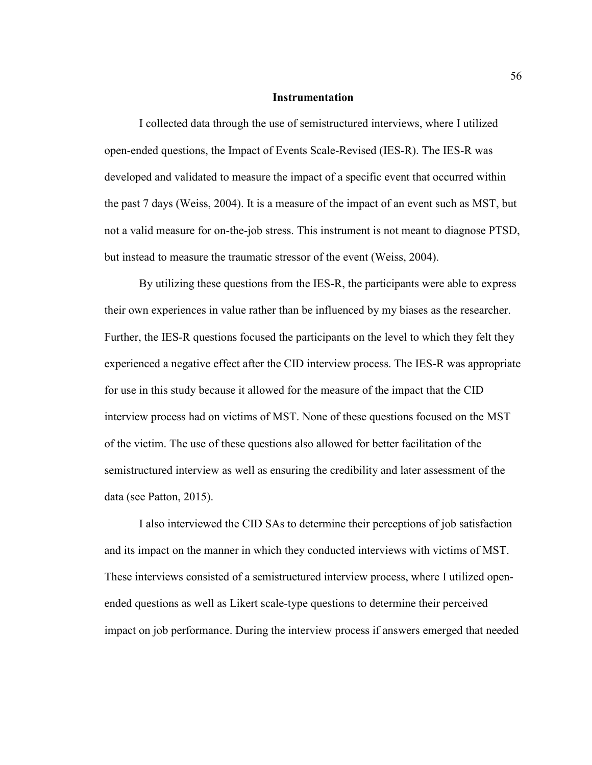#### **Instrumentation**

I collected data through the use of semistructured interviews, where I utilized open-ended questions, the Impact of Events Scale-Revised (IES-R). The IES-R was developed and validated to measure the impact of a specific event that occurred within the past 7 days (Weiss, 2004). It is a measure of the impact of an event such as MST, but not a valid measure for on-the-job stress. This instrument is not meant to diagnose PTSD, but instead to measure the traumatic stressor of the event (Weiss, 2004).

By utilizing these questions from the IES-R, the participants were able to express their own experiences in value rather than be influenced by my biases as the researcher. Further, the IES-R questions focused the participants on the level to which they felt they experienced a negative effect after the CID interview process. The IES-R was appropriate for use in this study because it allowed for the measure of the impact that the CID interview process had on victims of MST. None of these questions focused on the MST of the victim. The use of these questions also allowed for better facilitation of the semistructured interview as well as ensuring the credibility and later assessment of the data (see Patton, 2015).

I also interviewed the CID SAs to determine their perceptions of job satisfaction and its impact on the manner in which they conducted interviews with victims of MST. These interviews consisted of a semistructured interview process, where I utilized openended questions as well as Likert scale-type questions to determine their perceived impact on job performance. During the interview process if answers emerged that needed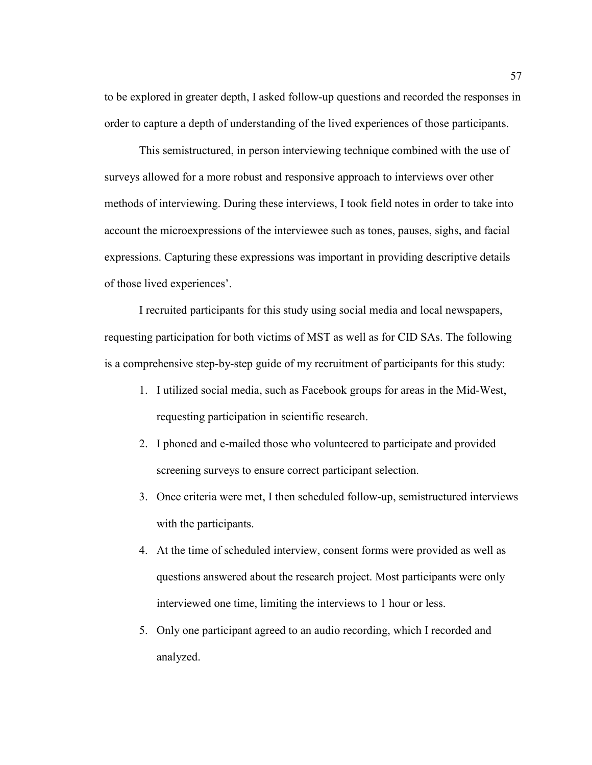to be explored in greater depth, I asked follow-up questions and recorded the responses in order to capture a depth of understanding of the lived experiences of those participants.

This semistructured, in person interviewing technique combined with the use of surveys allowed for a more robust and responsive approach to interviews over other methods of interviewing. During these interviews, I took field notes in order to take into account the microexpressions of the interviewee such as tones, pauses, sighs, and facial expressions. Capturing these expressions was important in providing descriptive details of those lived experiences'.

I recruited participants for this study using social media and local newspapers, requesting participation for both victims of MST as well as for CID SAs. The following is a comprehensive step-by-step guide of my recruitment of participants for this study:

- 1. I utilized social media, such as Facebook groups for areas in the Mid-West, requesting participation in scientific research.
- 2. I phoned and e-mailed those who volunteered to participate and provided screening surveys to ensure correct participant selection.
- 3. Once criteria were met, I then scheduled follow-up, semistructured interviews with the participants.
- 4. At the time of scheduled interview, consent forms were provided as well as questions answered about the research project. Most participants were only interviewed one time, limiting the interviews to 1 hour or less.
- 5. Only one participant agreed to an audio recording, which I recorded and analyzed.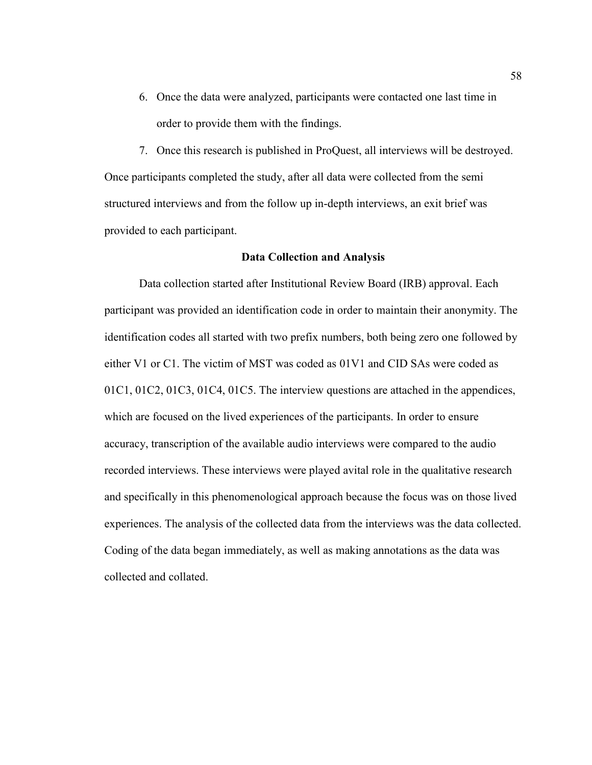6. Once the data were analyzed, participants were contacted one last time in order to provide them with the findings.

7. Once this research is published in ProQuest, all interviews will be destroyed. Once participants completed the study, after all data were collected from the semi structured interviews and from the follow up in-depth interviews, an exit brief was provided to each participant.

#### **Data Collection and Analysis**

Data collection started after Institutional Review Board (IRB) approval. Each participant was provided an identification code in order to maintain their anonymity. The identification codes all started with two prefix numbers, both being zero one followed by either V1 or C1. The victim of MST was coded as 01V1 and CID SAs were coded as 01C1, 01C2, 01C3, 01C4, 01C5. The interview questions are attached in the appendices, which are focused on the lived experiences of the participants. In order to ensure accuracy, transcription of the available audio interviews were compared to the audio recorded interviews. These interviews were played avital role in the qualitative research and specifically in this phenomenological approach because the focus was on those lived experiences. The analysis of the collected data from the interviews was the data collected. Coding of the data began immediately, as well as making annotations as the data was collected and collated.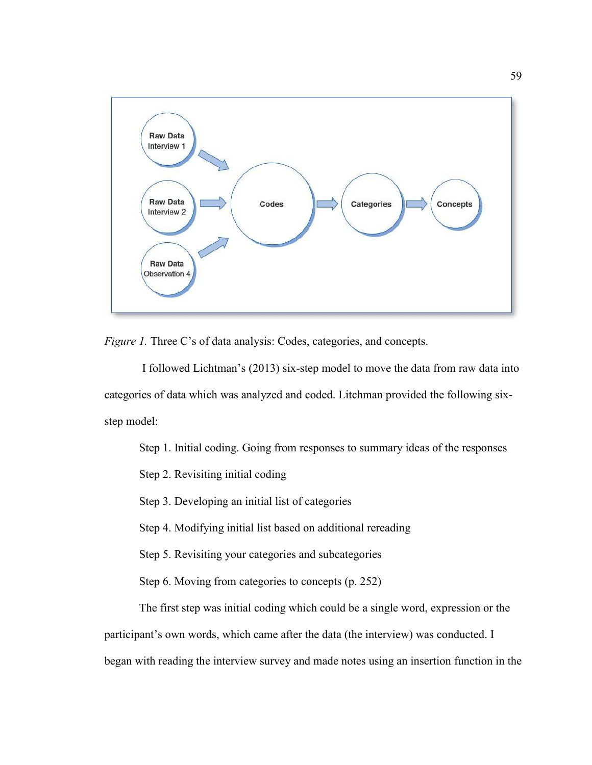

*Figure 1.* Three C's of data analysis: Codes, categories, and concepts.

I followed Lichtman's (2013) six-step model to move the data from raw data into categories of data which was analyzed and coded. Litchman provided the following sixstep model:

- Step 1. Initial coding. Going from responses to summary ideas of the responses
- Step 2. Revisiting initial coding
- Step 3. Developing an initial list of categories
- Step 4. Modifying initial list based on additional rereading
- Step 5. Revisiting your categories and subcategories
- Step 6. Moving from categories to concepts (p. 252)

 The first step was initial coding which could be a single word, expression or the participant's own words, which came after the data (the interview) was conducted. I began with reading the interview survey and made notes using an insertion function in the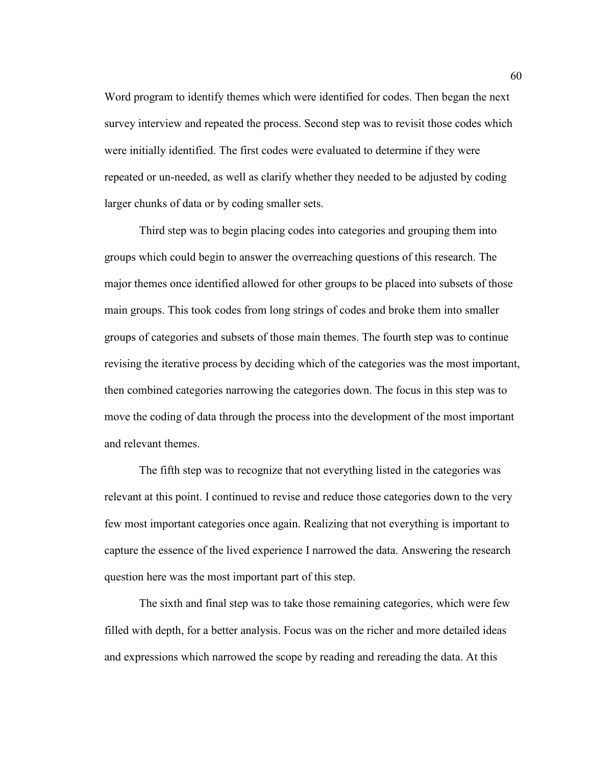Word program to identify themes which were identified for codes. Then began the next survey interview and repeated the process. Second step was to revisit those codes which were initially identified. The first codes were evaluated to determine if they were repeated or un-needed, as well as clarify whether they needed to be adjusted by coding larger chunks of data or by coding smaller sets.

 Third step was to begin placing codes into categories and grouping them into groups which could begin to answer the overreaching questions of this research. The major themes once identified allowed for other groups to be placed into subsets of those main groups. This took codes from long strings of codes and broke them into smaller groups of categories and subsets of those main themes. The fourth step was to continue revising the iterative process by deciding which of the categories was the most important, then combined categories narrowing the categories down. The focus in this step was to move the coding of data through the process into the development of the most important and relevant themes.

 The fifth step was to recognize that not everything listed in the categories was relevant at this point. I continued to revise and reduce those categories down to the very few most important categories once again. Realizing that not everything is important to capture the essence of the lived experience I narrowed the data. Answering the research question here was the most important part of this step.

 The sixth and final step was to take those remaining categories, which were few filled with depth, for a better analysis. Focus was on the richer and more detailed ideas and expressions which narrowed the scope by reading and rereading the data. At this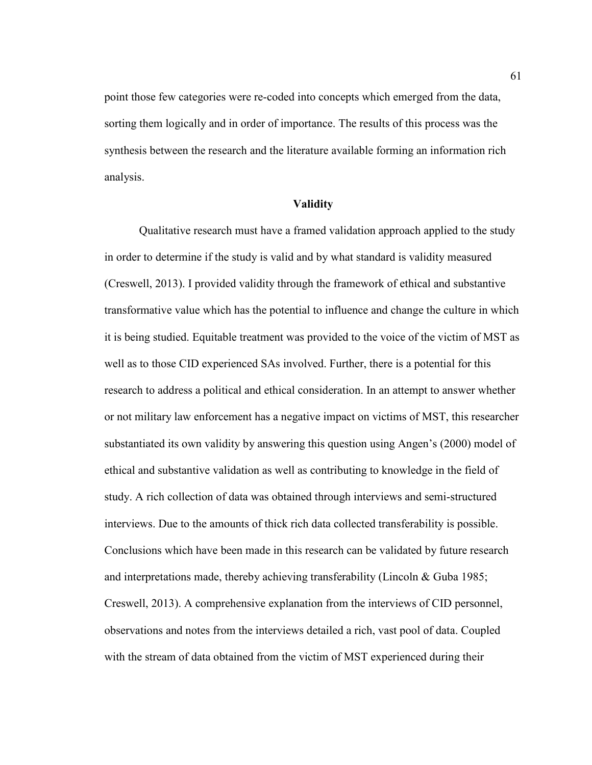point those few categories were re-coded into concepts which emerged from the data, sorting them logically and in order of importance. The results of this process was the synthesis between the research and the literature available forming an information rich analysis.

### **Validity**

 Qualitative research must have a framed validation approach applied to the study in order to determine if the study is valid and by what standard is validity measured (Creswell, 2013). I provided validity through the framework of ethical and substantive transformative value which has the potential to influence and change the culture in which it is being studied. Equitable treatment was provided to the voice of the victim of MST as well as to those CID experienced SAs involved. Further, there is a potential for this research to address a political and ethical consideration. In an attempt to answer whether or not military law enforcement has a negative impact on victims of MST, this researcher substantiated its own validity by answering this question using Angen's (2000) model of ethical and substantive validation as well as contributing to knowledge in the field of study. A rich collection of data was obtained through interviews and semi-structured interviews. Due to the amounts of thick rich data collected transferability is possible. Conclusions which have been made in this research can be validated by future research and interpretations made, thereby achieving transferability (Lincoln & Guba 1985; Creswell, 2013). A comprehensive explanation from the interviews of CID personnel, observations and notes from the interviews detailed a rich, vast pool of data. Coupled with the stream of data obtained from the victim of MST experienced during their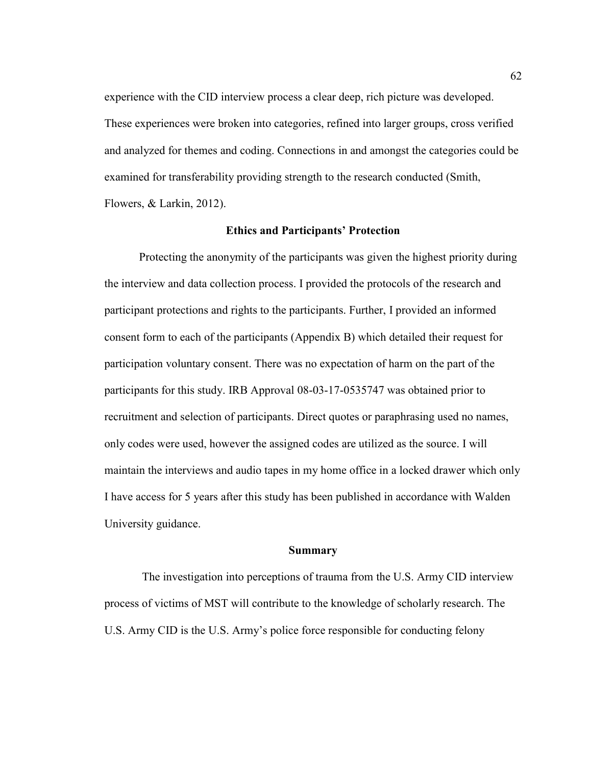experience with the CID interview process a clear deep, rich picture was developed. These experiences were broken into categories, refined into larger groups, cross verified and analyzed for themes and coding. Connections in and amongst the categories could be examined for transferability providing strength to the research conducted (Smith, Flowers, & Larkin, 2012).

## **Ethics and Participants' Protection**

 Protecting the anonymity of the participants was given the highest priority during the interview and data collection process. I provided the protocols of the research and participant protections and rights to the participants. Further, I provided an informed consent form to each of the participants (Appendix B) which detailed their request for participation voluntary consent. There was no expectation of harm on the part of the participants for this study. IRB Approval 08-03-17-0535747 was obtained prior to recruitment and selection of participants. Direct quotes or paraphrasing used no names, only codes were used, however the assigned codes are utilized as the source. I will maintain the interviews and audio tapes in my home office in a locked drawer which only I have access for 5 years after this study has been published in accordance with Walden University guidance.

### **Summary**

 The investigation into perceptions of trauma from the U.S. Army CID interview process of victims of MST will contribute to the knowledge of scholarly research. The U.S. Army CID is the U.S. Army's police force responsible for conducting felony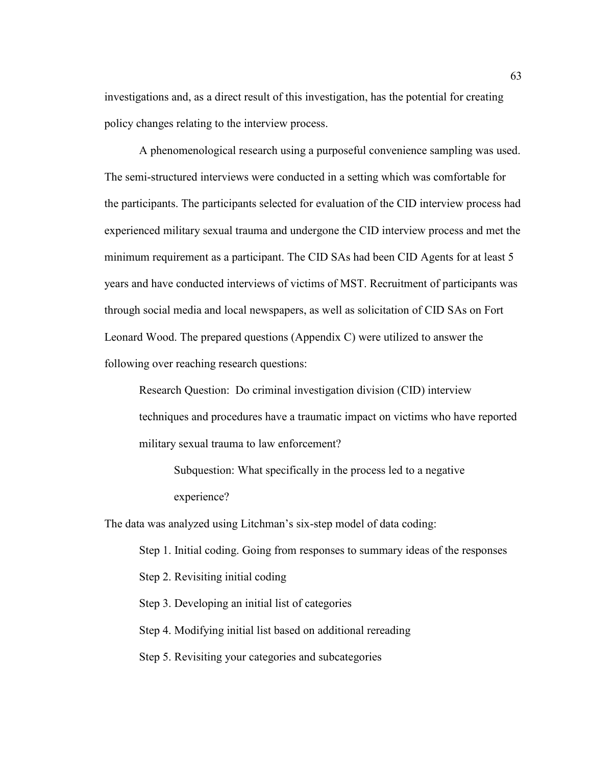investigations and, as a direct result of this investigation, has the potential for creating policy changes relating to the interview process.

 A phenomenological research using a purposeful convenience sampling was used. The semi-structured interviews were conducted in a setting which was comfortable for the participants. The participants selected for evaluation of the CID interview process had experienced military sexual trauma and undergone the CID interview process and met the minimum requirement as a participant. The CID SAs had been CID Agents for at least 5 years and have conducted interviews of victims of MST. Recruitment of participants was through social media and local newspapers, as well as solicitation of CID SAs on Fort Leonard Wood. The prepared questions (Appendix C) were utilized to answer the following over reaching research questions:

Research Question: Do criminal investigation division (CID) interview techniques and procedures have a traumatic impact on victims who have reported military sexual trauma to law enforcement?

Subquestion: What specifically in the process led to a negative experience?

The data was analyzed using Litchman's six-step model of data coding:

Step 1. Initial coding. Going from responses to summary ideas of the responses

Step 2. Revisiting initial coding

Step 3. Developing an initial list of categories

Step 4. Modifying initial list based on additional rereading

Step 5. Revisiting your categories and subcategories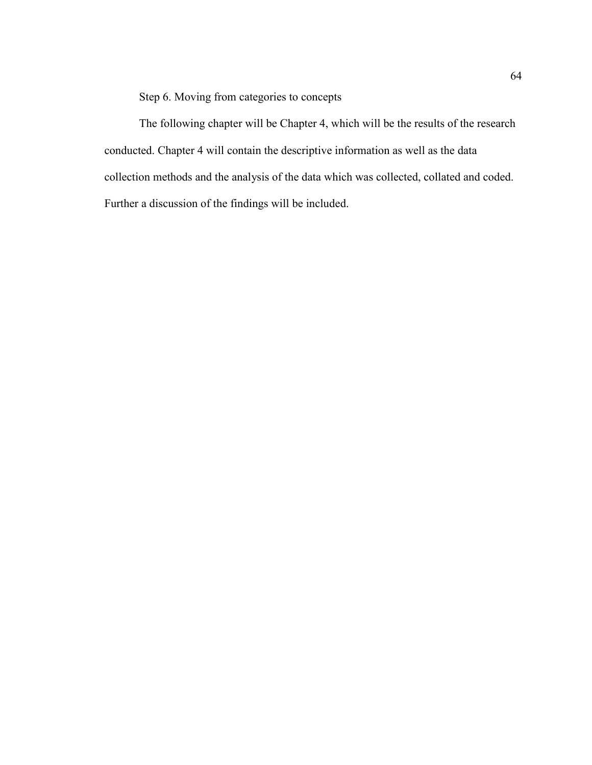Step 6. Moving from categories to concepts

 The following chapter will be Chapter 4, which will be the results of the research conducted. Chapter 4 will contain the descriptive information as well as the data collection methods and the analysis of the data which was collected, collated and coded. Further a discussion of the findings will be included.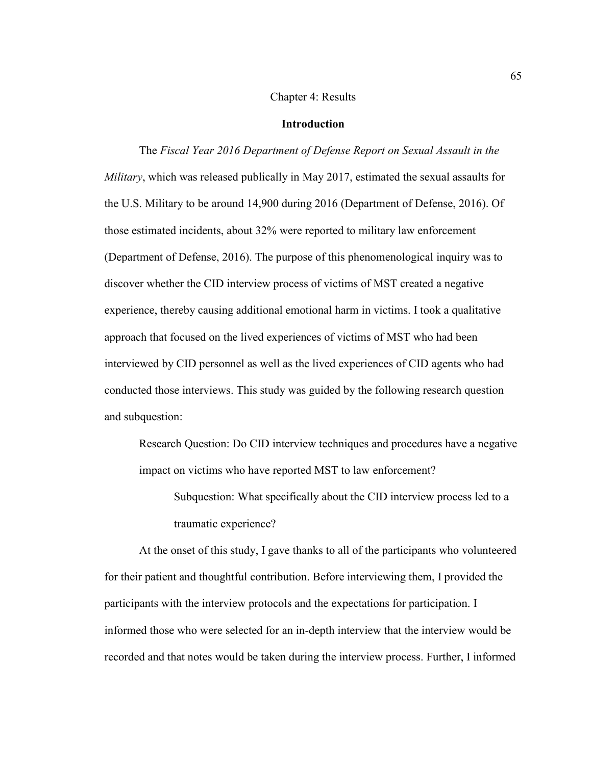# Chapter 4: Results

# **Introduction**

The *Fiscal Year 2016 Department of Defense Report on Sexual Assault in the Military*, which was released publically in May 2017, estimated the sexual assaults for the U.S. Military to be around 14,900 during 2016 (Department of Defense, 2016). Of those estimated incidents, about 32% were reported to military law enforcement (Department of Defense, 2016). The purpose of this phenomenological inquiry was to discover whether the CID interview process of victims of MST created a negative experience, thereby causing additional emotional harm in victims. I took a qualitative approach that focused on the lived experiences of victims of MST who had been interviewed by CID personnel as well as the lived experiences of CID agents who had conducted those interviews. This study was guided by the following research question and subquestion:

Research Question: Do CID interview techniques and procedures have a negative impact on victims who have reported MST to law enforcement?

Subquestion: What specifically about the CID interview process led to a traumatic experience?

 At the onset of this study, I gave thanks to all of the participants who volunteered for their patient and thoughtful contribution. Before interviewing them, I provided the participants with the interview protocols and the expectations for participation. I informed those who were selected for an in-depth interview that the interview would be recorded and that notes would be taken during the interview process. Further, I informed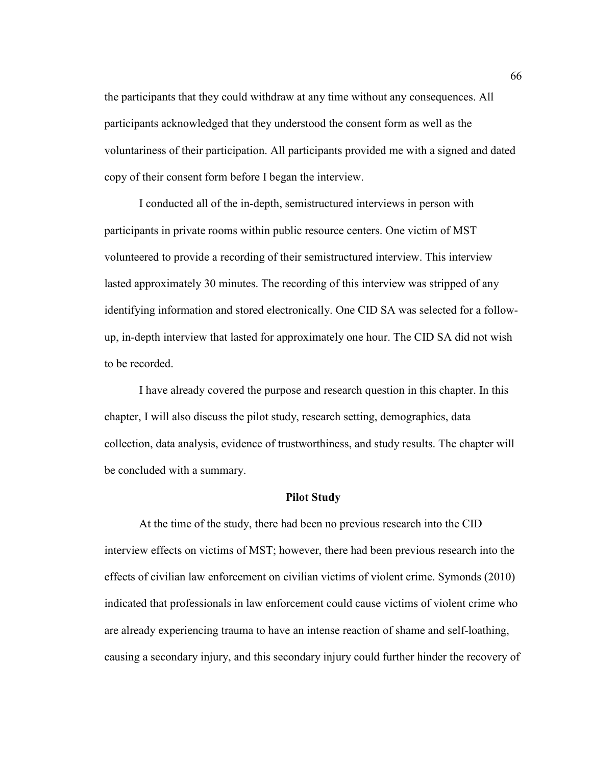the participants that they could withdraw at any time without any consequences. All participants acknowledged that they understood the consent form as well as the voluntariness of their participation. All participants provided me with a signed and dated copy of their consent form before I began the interview.

 I conducted all of the in-depth, semistructured interviews in person with participants in private rooms within public resource centers. One victim of MST volunteered to provide a recording of their semistructured interview. This interview lasted approximately 30 minutes. The recording of this interview was stripped of any identifying information and stored electronically. One CID SA was selected for a followup, in-depth interview that lasted for approximately one hour. The CID SA did not wish to be recorded.

I have already covered the purpose and research question in this chapter. In this chapter, I will also discuss the pilot study, research setting, demographics, data collection, data analysis, evidence of trustworthiness, and study results. The chapter will be concluded with a summary.

## **Pilot Study**

 At the time of the study, there had been no previous research into the CID interview effects on victims of MST; however, there had been previous research into the effects of civilian law enforcement on civilian victims of violent crime. Symonds (2010) indicated that professionals in law enforcement could cause victims of violent crime who are already experiencing trauma to have an intense reaction of shame and self-loathing, causing a secondary injury, and this secondary injury could further hinder the recovery of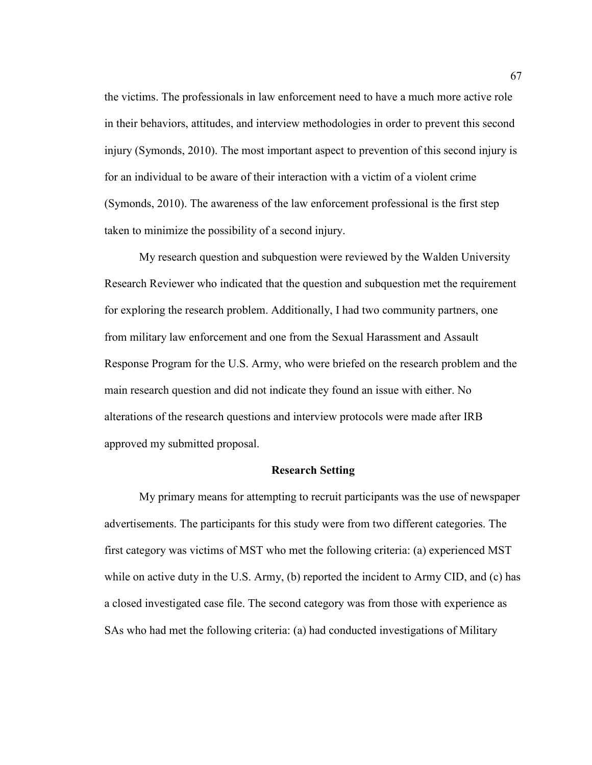the victims. The professionals in law enforcement need to have a much more active role in their behaviors, attitudes, and interview methodologies in order to prevent this second injury (Symonds, 2010). The most important aspect to prevention of this second injury is for an individual to be aware of their interaction with a victim of a violent crime (Symonds, 2010). The awareness of the law enforcement professional is the first step taken to minimize the possibility of a second injury.

My research question and subquestion were reviewed by the Walden University Research Reviewer who indicated that the question and subquestion met the requirement for exploring the research problem. Additionally, I had two community partners, one from military law enforcement and one from the Sexual Harassment and Assault Response Program for the U.S. Army, who were briefed on the research problem and the main research question and did not indicate they found an issue with either. No alterations of the research questions and interview protocols were made after IRB approved my submitted proposal.

# **Research Setting**

My primary means for attempting to recruit participants was the use of newspaper advertisements. The participants for this study were from two different categories. The first category was victims of MST who met the following criteria: (a) experienced MST while on active duty in the U.S. Army, (b) reported the incident to Army CID, and (c) has a closed investigated case file. The second category was from those with experience as SAs who had met the following criteria: (a) had conducted investigations of Military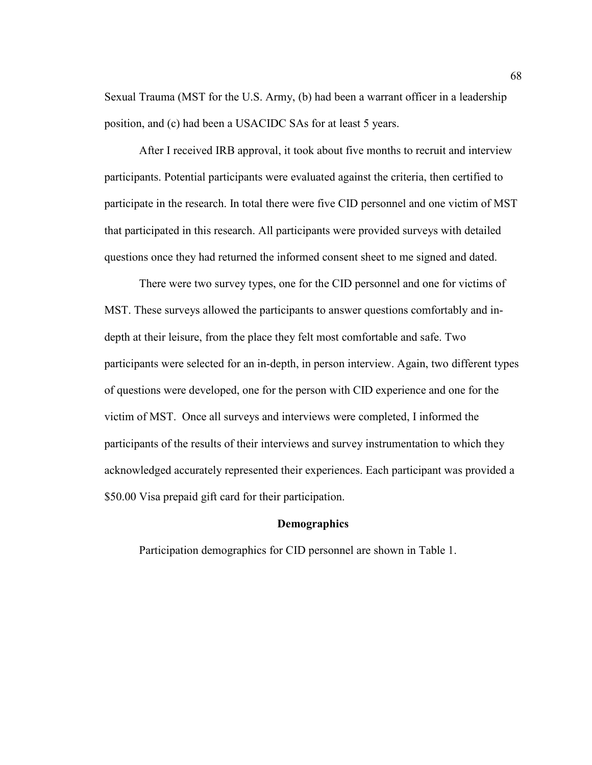Sexual Trauma (MST for the U.S. Army, (b) had been a warrant officer in a leadership position, and (c) had been a USACIDC SAs for at least 5 years.

After I received IRB approval, it took about five months to recruit and interview participants. Potential participants were evaluated against the criteria, then certified to participate in the research. In total there were five CID personnel and one victim of MST that participated in this research. All participants were provided surveys with detailed questions once they had returned the informed consent sheet to me signed and dated.

There were two survey types, one for the CID personnel and one for victims of MST. These surveys allowed the participants to answer questions comfortably and indepth at their leisure, from the place they felt most comfortable and safe. Two participants were selected for an in-depth, in person interview. Again, two different types of questions were developed, one for the person with CID experience and one for the victim of MST. Once all surveys and interviews were completed, I informed the participants of the results of their interviews and survey instrumentation to which they acknowledged accurately represented their experiences. Each participant was provided a \$50.00 Visa prepaid gift card for their participation.

## **Demographics**

Participation demographics for CID personnel are shown in Table 1.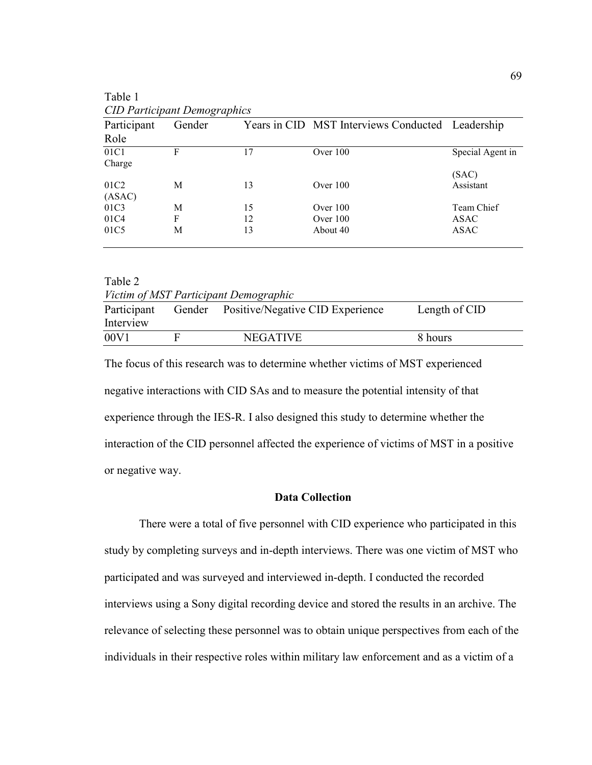| CID Participant Demographics |        |    |                                                  |                  |
|------------------------------|--------|----|--------------------------------------------------|------------------|
| Participant                  | Gender |    | Years in CID MST Interviews Conducted Leadership |                  |
| Role                         |        |    |                                                  |                  |
| 01C1                         | F      | 17 | Over $100$                                       | Special Agent in |
| Charge                       |        |    |                                                  |                  |
|                              |        |    |                                                  | (SAC)            |
| 01C <sub>2</sub>             | М      | 13 | Over $100$                                       | Assistant        |
| (ASAC)                       |        |    |                                                  |                  |
| 01C3                         | M      | 15 | Over $100$                                       | Team Chief       |
| 01C4                         | F      | 12 | Over $100$                                       | ASAC             |
| 01C5                         | M      | 13 | About 40                                         | ASAC             |
|                              |        |    |                                                  |                  |

| Table 1                             |  |
|-------------------------------------|--|
| <b>CID Participant Demographics</b> |  |

Table 2 *Victim of MST Participant Demographic* 

| r icum of mot I unicipani Demographic<br>Participant |  | Gender Positive/Negative CID Experience | Length of CID |
|------------------------------------------------------|--|-----------------------------------------|---------------|
| Interview<br>00V1                                    |  | <b>NEGATIVE</b>                         | 8 hours       |

The focus of this research was to determine whether victims of MST experienced negative interactions with CID SAs and to measure the potential intensity of that experience through the IES-R. I also designed this study to determine whether the interaction of the CID personnel affected the experience of victims of MST in a positive or negative way.

# **Data Collection**

 There were a total of five personnel with CID experience who participated in this study by completing surveys and in-depth interviews. There was one victim of MST who participated and was surveyed and interviewed in-depth. I conducted the recorded interviews using a Sony digital recording device and stored the results in an archive. The relevance of selecting these personnel was to obtain unique perspectives from each of the individuals in their respective roles within military law enforcement and as a victim of a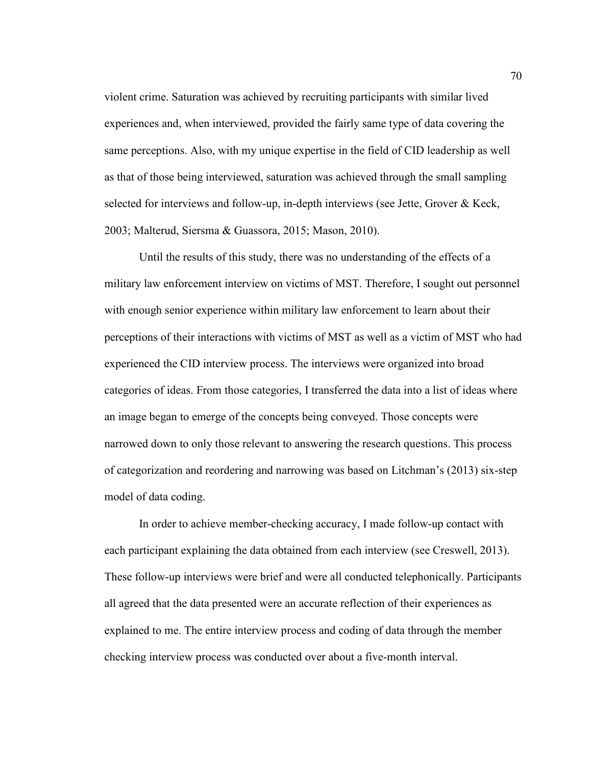violent crime. Saturation was achieved by recruiting participants with similar lived experiences and, when interviewed, provided the fairly same type of data covering the same perceptions. Also, with my unique expertise in the field of CID leadership as well as that of those being interviewed, saturation was achieved through the small sampling selected for interviews and follow-up, in-depth interviews (see Jette, Grover & Keck, 2003; Malterud, Siersma & Guassora, 2015; Mason, 2010).

Until the results of this study, there was no understanding of the effects of a military law enforcement interview on victims of MST. Therefore, I sought out personnel with enough senior experience within military law enforcement to learn about their perceptions of their interactions with victims of MST as well as a victim of MST who had experienced the CID interview process. The interviews were organized into broad categories of ideas. From those categories, I transferred the data into a list of ideas where an image began to emerge of the concepts being conveyed. Those concepts were narrowed down to only those relevant to answering the research questions. This process of categorization and reordering and narrowing was based on Litchman's (2013) six-step model of data coding.

In order to achieve member-checking accuracy, I made follow-up contact with each participant explaining the data obtained from each interview (see Creswell, 2013). These follow-up interviews were brief and were all conducted telephonically. Participants all agreed that the data presented were an accurate reflection of their experiences as explained to me. The entire interview process and coding of data through the member checking interview process was conducted over about a five-month interval.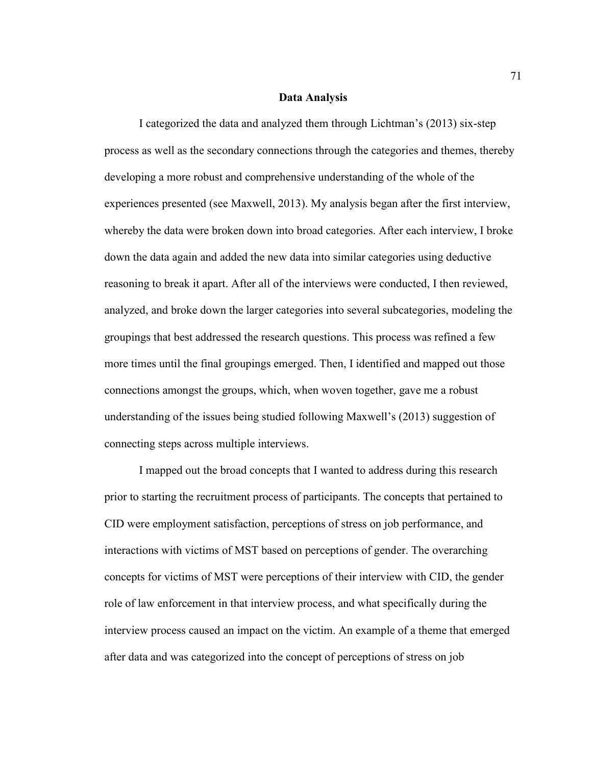## **Data Analysis**

 I categorized the data and analyzed them through Lichtman's (2013) six-step process as well as the secondary connections through the categories and themes, thereby developing a more robust and comprehensive understanding of the whole of the experiences presented (see Maxwell, 2013). My analysis began after the first interview, whereby the data were broken down into broad categories. After each interview, I broke down the data again and added the new data into similar categories using deductive reasoning to break it apart. After all of the interviews were conducted, I then reviewed, analyzed, and broke down the larger categories into several subcategories, modeling the groupings that best addressed the research questions. This process was refined a few more times until the final groupings emerged. Then, I identified and mapped out those connections amongst the groups, which, when woven together, gave me a robust understanding of the issues being studied following Maxwell's (2013) suggestion of connecting steps across multiple interviews.

 I mapped out the broad concepts that I wanted to address during this research prior to starting the recruitment process of participants. The concepts that pertained to CID were employment satisfaction, perceptions of stress on job performance, and interactions with victims of MST based on perceptions of gender. The overarching concepts for victims of MST were perceptions of their interview with CID, the gender role of law enforcement in that interview process, and what specifically during the interview process caused an impact on the victim. An example of a theme that emerged after data and was categorized into the concept of perceptions of stress on job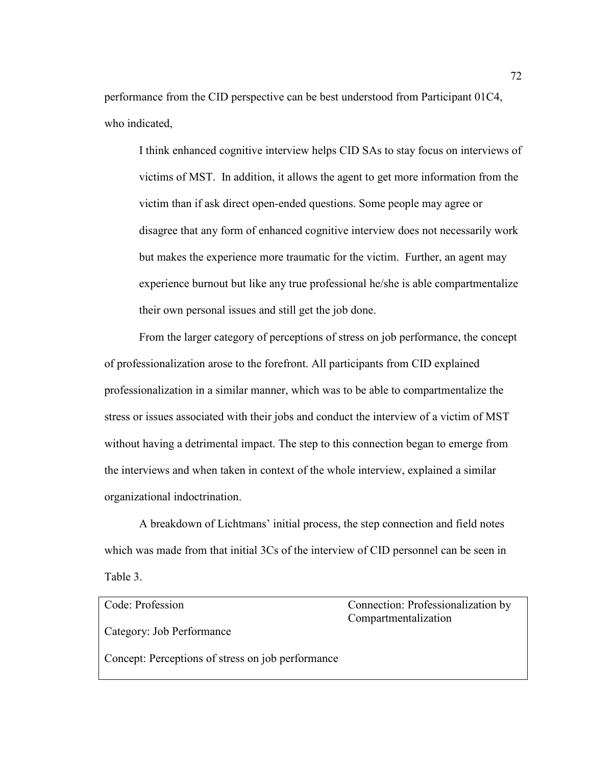performance from the CID perspective can be best understood from Participant 01C4, who indicated,

I think enhanced cognitive interview helps CID SAs to stay focus on interviews of victims of MST. In addition, it allows the agent to get more information from the victim than if ask direct open-ended questions. Some people may agree or disagree that any form of enhanced cognitive interview does not necessarily work but makes the experience more traumatic for the victim. Further, an agent may experience burnout but like any true professional he/she is able compartmentalize their own personal issues and still get the job done.

From the larger category of perceptions of stress on job performance, the concept of professionalization arose to the forefront. All participants from CID explained professionalization in a similar manner, which was to be able to compartmentalize the stress or issues associated with their jobs and conduct the interview of a victim of MST without having a detrimental impact. The step to this connection began to emerge from the interviews and when taken in context of the whole interview, explained a similar organizational indoctrination.

A breakdown of Lichtmans' initial process, the step connection and field notes which was made from that initial 3Cs of the interview of CID personnel can be seen in Table 3.

| Code: Profession                                  | Connection: Professionalization by |
|---------------------------------------------------|------------------------------------|
|                                                   | Compartmentalization               |
| Category: Job Performance                         |                                    |
| Concept: Perceptions of stress on job performance |                                    |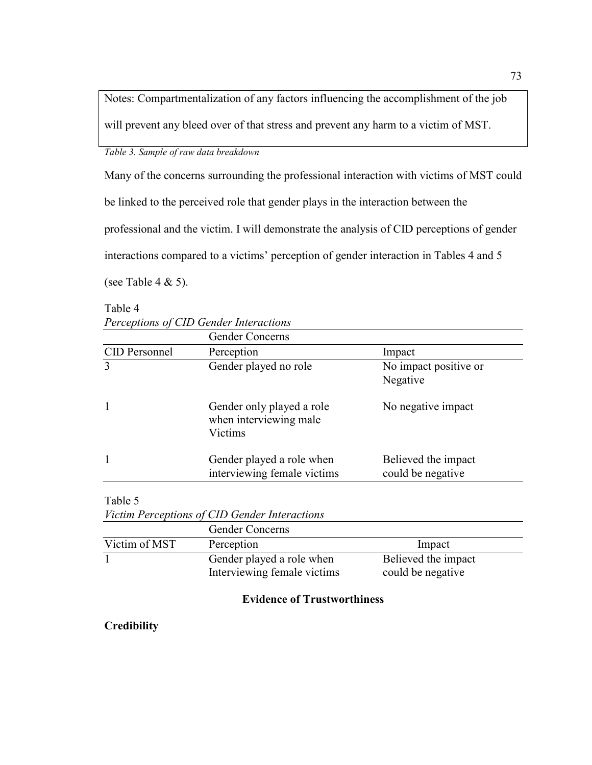Notes: Compartmentalization of any factors influencing the accomplishment of the job will prevent any bleed over of that stress and prevent any harm to a victim of MST.

*Table 3. Sample of raw data breakdown* 

Many of the concerns surrounding the professional interaction with victims of MST could be linked to the perceived role that gender plays in the interaction between the professional and the victim. I will demonstrate the analysis of CID perceptions of gender interactions compared to a victims' perception of gender interaction in Tables 4 and 5 (see Table 4  $\&$  5).

Table 4

*Perceptions of CID Gender Interactions* 

| Perception                                                     |                                           |
|----------------------------------------------------------------|-------------------------------------------|
|                                                                | Impact                                    |
| Gender played no role                                          | No impact positive or<br>Negative         |
| Gender only played a role<br>when interviewing male<br>Victims | No negative impact                        |
| Gender played a role when                                      | Believed the impact<br>could be negative. |
|                                                                | interviewing female victims               |

Table 5

| Victim Perceptions of CID Gender Interactions |  |
|-----------------------------------------------|--|
|-----------------------------------------------|--|

|               | <b>Gender Concerns</b>      |                     |
|---------------|-----------------------------|---------------------|
| Victim of MST | Perception                  | Impact              |
|               | Gender played a role when   | Believed the impact |
|               | Interviewing female victims | could be negative   |

# **Evidence of Trustworthiness**

**Credibility**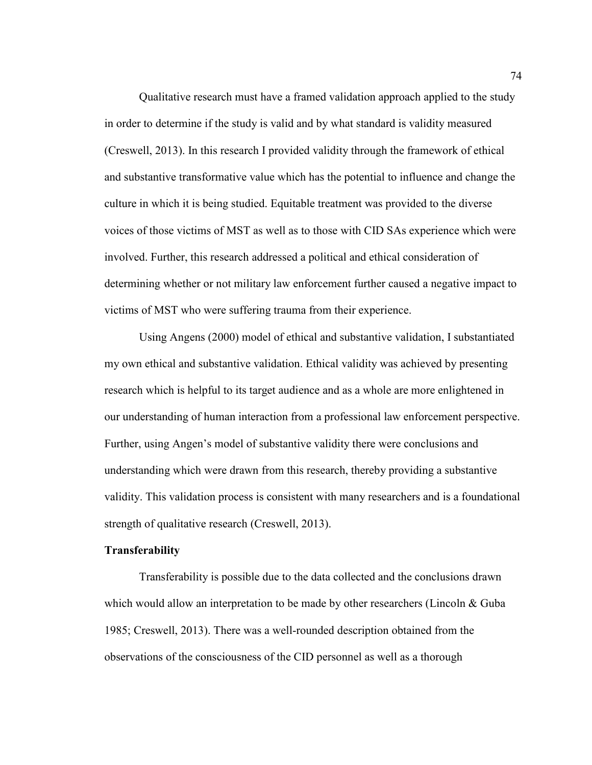Qualitative research must have a framed validation approach applied to the study in order to determine if the study is valid and by what standard is validity measured (Creswell, 2013). In this research I provided validity through the framework of ethical and substantive transformative value which has the potential to influence and change the culture in which it is being studied. Equitable treatment was provided to the diverse voices of those victims of MST as well as to those with CID SAs experience which were involved. Further, this research addressed a political and ethical consideration of determining whether or not military law enforcement further caused a negative impact to victims of MST who were suffering trauma from their experience.

Using Angens (2000) model of ethical and substantive validation, I substantiated my own ethical and substantive validation. Ethical validity was achieved by presenting research which is helpful to its target audience and as a whole are more enlightened in our understanding of human interaction from a professional law enforcement perspective. Further, using Angen's model of substantive validity there were conclusions and understanding which were drawn from this research, thereby providing a substantive validity. This validation process is consistent with many researchers and is a foundational strength of qualitative research (Creswell, 2013).

## **Transferability**

 Transferability is possible due to the data collected and the conclusions drawn which would allow an interpretation to be made by other researchers (Lincoln & Guba 1985; Creswell, 2013). There was a well-rounded description obtained from the observations of the consciousness of the CID personnel as well as a thorough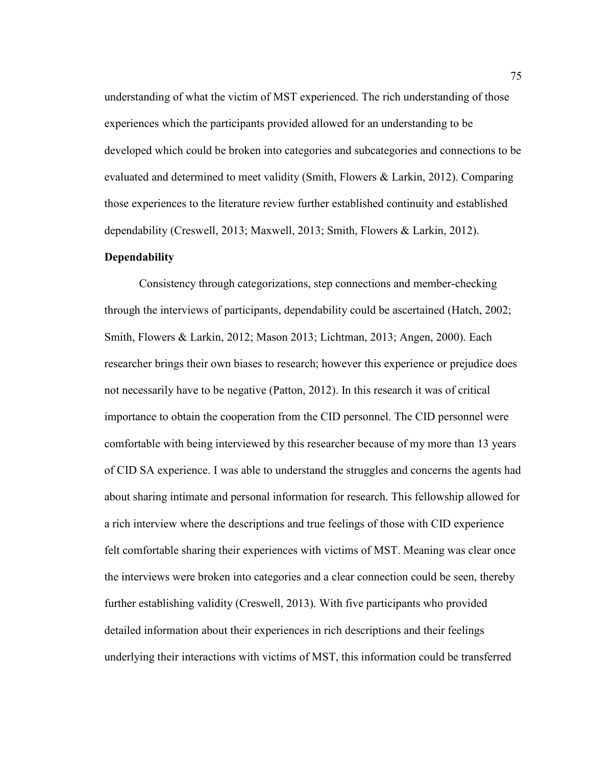understanding of what the victim of MST experienced. The rich understanding of those experiences which the participants provided allowed for an understanding to be developed which could be broken into categories and subcategories and connections to be evaluated and determined to meet validity (Smith, Flowers & Larkin, 2012). Comparing those experiences to the literature review further established continuity and established dependability (Creswell, 2013; Maxwell, 2013; Smith, Flowers & Larkin, 2012).

# **Dependability**

Consistency through categorizations, step connections and member-checking through the interviews of participants, dependability could be ascertained (Hatch, 2002; Smith, Flowers & Larkin, 2012; Mason 2013; Lichtman, 2013; Angen, 2000). Each researcher brings their own biases to research; however this experience or prejudice does not necessarily have to be negative (Patton, 2012). In this research it was of critical importance to obtain the cooperation from the CID personnel. The CID personnel were comfortable with being interviewed by this researcher because of my more than 13 years of CID SA experience. I was able to understand the struggles and concerns the agents had about sharing intimate and personal information for research. This fellowship allowed for a rich interview where the descriptions and true feelings of those with CID experience felt comfortable sharing their experiences with victims of MST. Meaning was clear once the interviews were broken into categories and a clear connection could be seen, thereby further establishing validity (Creswell, 2013). With five participants who provided detailed information about their experiences in rich descriptions and their feelings underlying their interactions with victims of MST, this information could be transferred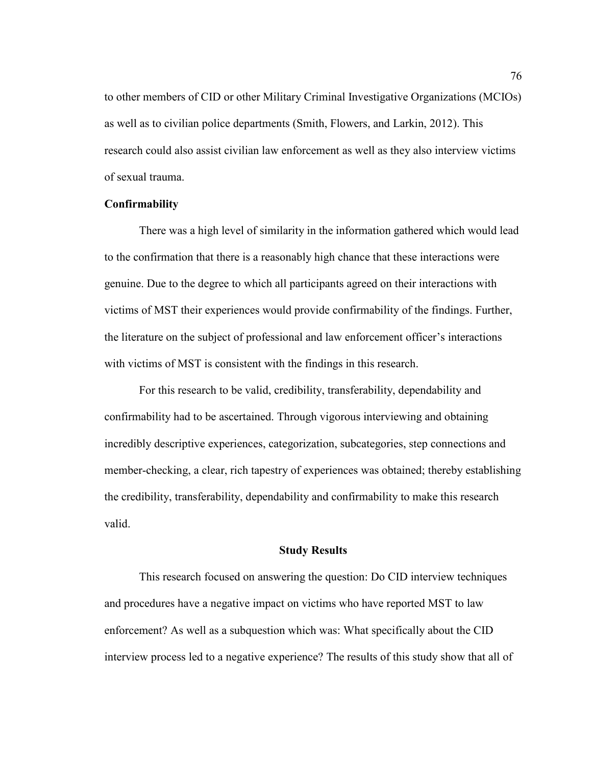to other members of CID or other Military Criminal Investigative Organizations (MCIOs) as well as to civilian police departments (Smith, Flowers, and Larkin, 2012). This research could also assist civilian law enforcement as well as they also interview victims of sexual trauma.

## **Confirmability**

There was a high level of similarity in the information gathered which would lead to the confirmation that there is a reasonably high chance that these interactions were genuine. Due to the degree to which all participants agreed on their interactions with victims of MST their experiences would provide confirmability of the findings. Further, the literature on the subject of professional and law enforcement officer's interactions with victims of MST is consistent with the findings in this research.

For this research to be valid, credibility, transferability, dependability and confirmability had to be ascertained. Through vigorous interviewing and obtaining incredibly descriptive experiences, categorization, subcategories, step connections and member-checking, a clear, rich tapestry of experiences was obtained; thereby establishing the credibility, transferability, dependability and confirmability to make this research valid.

### **Study Results**

This research focused on answering the question: Do CID interview techniques and procedures have a negative impact on victims who have reported MST to law enforcement? As well as a subquestion which was: What specifically about the CID interview process led to a negative experience? The results of this study show that all of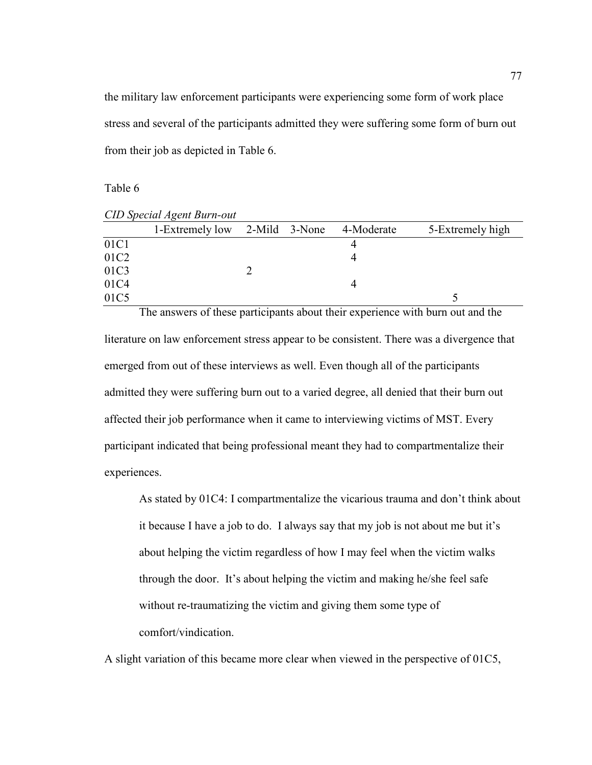the military law enforcement participants were experiencing some form of work place stress and several of the participants admitted they were suffering some form of burn out from their job as depicted in Table 6.

Table 6

|                  | <b>CID Special Agent Burn-out</b> |  |            |                  |
|------------------|-----------------------------------|--|------------|------------------|
|                  | 1-Extremely low 2-Mild 3-None     |  | 4-Moderate | 5-Extremely high |
| 01C1             |                                   |  |            |                  |
| 01C <sub>2</sub> |                                   |  | 4          |                  |
| 01C3             |                                   |  |            |                  |
| 01C4             |                                   |  | 4          |                  |
| 01C5             |                                   |  |            |                  |

The answers of these participants about their experience with burn out and the literature on law enforcement stress appear to be consistent. There was a divergence that emerged from out of these interviews as well. Even though all of the participants admitted they were suffering burn out to a varied degree, all denied that their burn out affected their job performance when it came to interviewing victims of MST. Every participant indicated that being professional meant they had to compartmentalize their experiences.

As stated by 01C4: I compartmentalize the vicarious trauma and don't think about it because I have a job to do. I always say that my job is not about me but it's about helping the victim regardless of how I may feel when the victim walks through the door. It's about helping the victim and making he/she feel safe without re-traumatizing the victim and giving them some type of comfort/vindication.

A slight variation of this became more clear when viewed in the perspective of 01C5,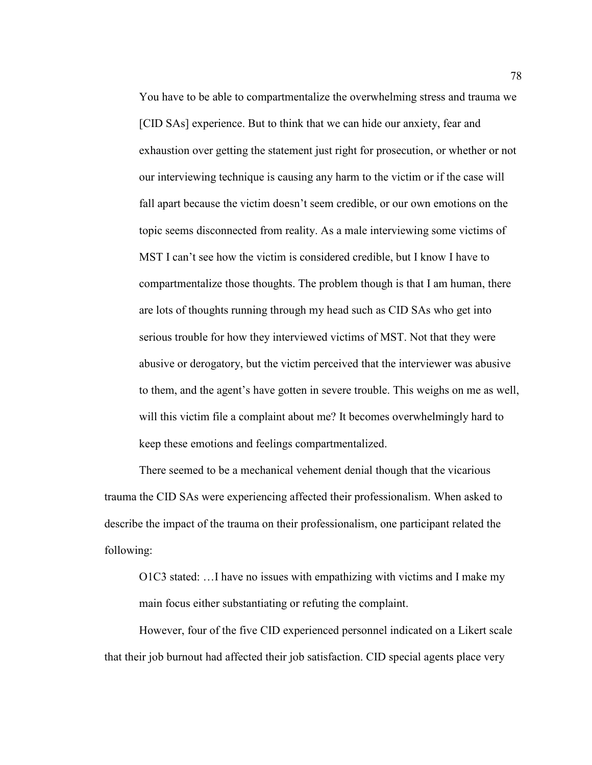You have to be able to compartmentalize the overwhelming stress and trauma we [CID SAs] experience. But to think that we can hide our anxiety, fear and exhaustion over getting the statement just right for prosecution, or whether or not our interviewing technique is causing any harm to the victim or if the case will fall apart because the victim doesn't seem credible, or our own emotions on the topic seems disconnected from reality. As a male interviewing some victims of MST I can't see how the victim is considered credible, but I know I have to compartmentalize those thoughts. The problem though is that I am human, there are lots of thoughts running through my head such as CID SAs who get into serious trouble for how they interviewed victims of MST. Not that they were abusive or derogatory, but the victim perceived that the interviewer was abusive to them, and the agent's have gotten in severe trouble. This weighs on me as well, will this victim file a complaint about me? It becomes overwhelmingly hard to keep these emotions and feelings compartmentalized.

There seemed to be a mechanical vehement denial though that the vicarious trauma the CID SAs were experiencing affected their professionalism. When asked to describe the impact of the trauma on their professionalism, one participant related the following:

O1C3 stated: …I have no issues with empathizing with victims and I make my main focus either substantiating or refuting the complaint.

However, four of the five CID experienced personnel indicated on a Likert scale that their job burnout had affected their job satisfaction. CID special agents place very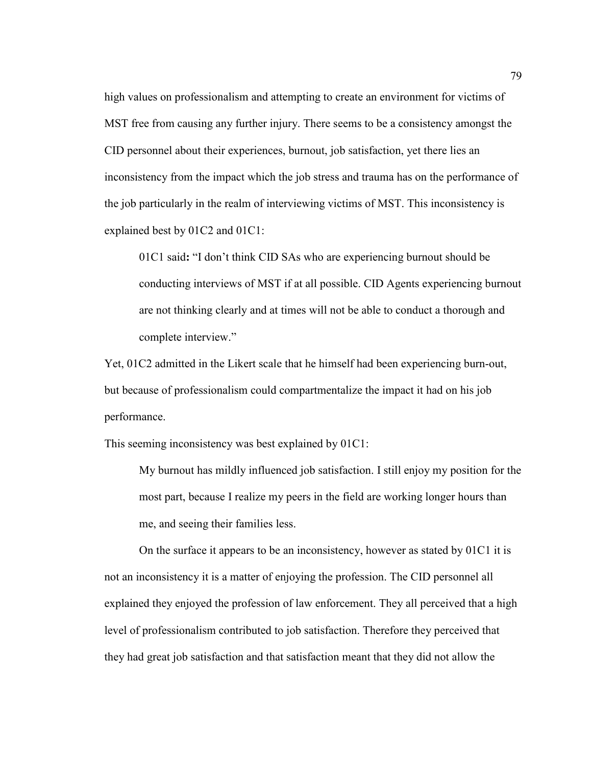high values on professionalism and attempting to create an environment for victims of MST free from causing any further injury. There seems to be a consistency amongst the CID personnel about their experiences, burnout, job satisfaction, yet there lies an inconsistency from the impact which the job stress and trauma has on the performance of the job particularly in the realm of interviewing victims of MST. This inconsistency is explained best by 01C2 and 01C1:

01C1 said**:** "I don't think CID SAs who are experiencing burnout should be conducting interviews of MST if at all possible. CID Agents experiencing burnout are not thinking clearly and at times will not be able to conduct a thorough and complete interview."

Yet, 01C2 admitted in the Likert scale that he himself had been experiencing burn-out, but because of professionalism could compartmentalize the impact it had on his job performance.

This seeming inconsistency was best explained by 01C1:

My burnout has mildly influenced job satisfaction. I still enjoy my position for the most part, because I realize my peers in the field are working longer hours than me, and seeing their families less.

 On the surface it appears to be an inconsistency, however as stated by 01C1 it is not an inconsistency it is a matter of enjoying the profession. The CID personnel all explained they enjoyed the profession of law enforcement. They all perceived that a high level of professionalism contributed to job satisfaction. Therefore they perceived that they had great job satisfaction and that satisfaction meant that they did not allow the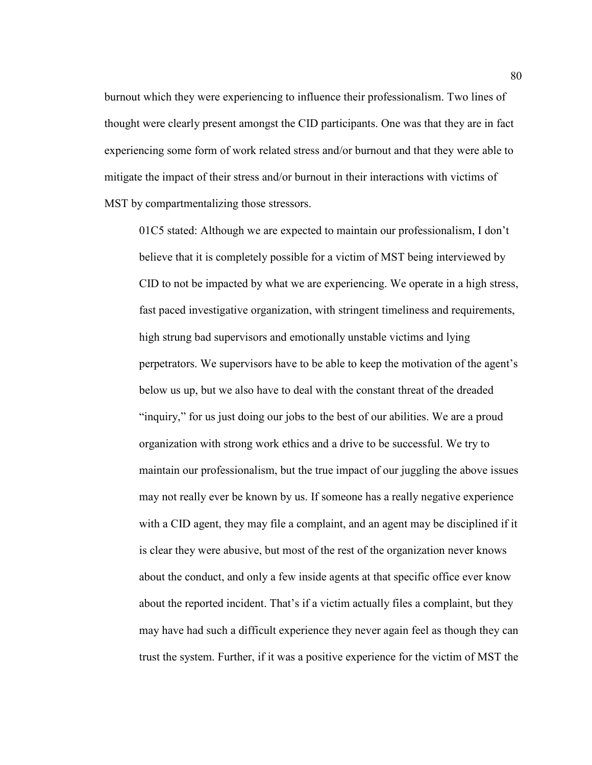burnout which they were experiencing to influence their professionalism. Two lines of thought were clearly present amongst the CID participants. One was that they are in fact experiencing some form of work related stress and/or burnout and that they were able to mitigate the impact of their stress and/or burnout in their interactions with victims of MST by compartmentalizing those stressors.

01C5 stated: Although we are expected to maintain our professionalism, I don't believe that it is completely possible for a victim of MST being interviewed by CID to not be impacted by what we are experiencing. We operate in a high stress, fast paced investigative organization, with stringent timeliness and requirements, high strung bad supervisors and emotionally unstable victims and lying perpetrators. We supervisors have to be able to keep the motivation of the agent's below us up, but we also have to deal with the constant threat of the dreaded "inquiry," for us just doing our jobs to the best of our abilities. We are a proud organization with strong work ethics and a drive to be successful. We try to maintain our professionalism, but the true impact of our juggling the above issues may not really ever be known by us. If someone has a really negative experience with a CID agent, they may file a complaint, and an agent may be disciplined if it is clear they were abusive, but most of the rest of the organization never knows about the conduct, and only a few inside agents at that specific office ever know about the reported incident. That's if a victim actually files a complaint, but they may have had such a difficult experience they never again feel as though they can trust the system. Further, if it was a positive experience for the victim of MST the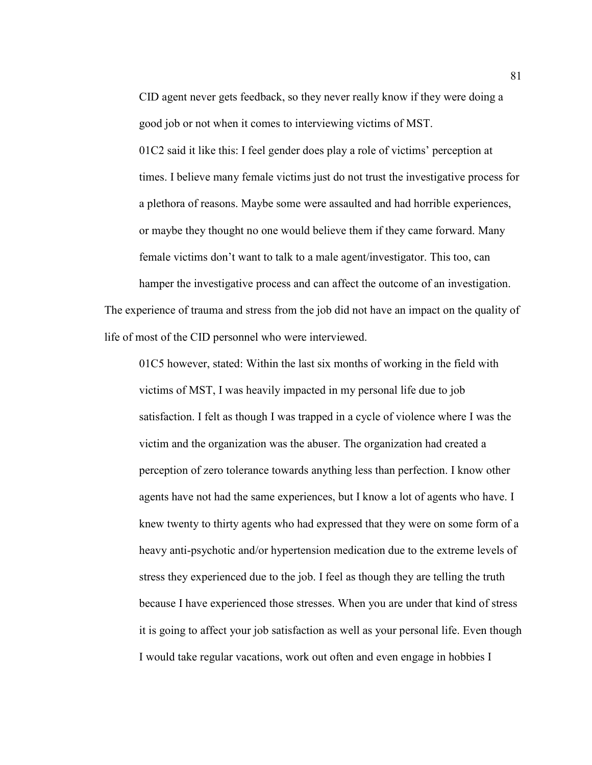CID agent never gets feedback, so they never really know if they were doing a good job or not when it comes to interviewing victims of MST.

01C2 said it like this: I feel gender does play a role of victims' perception at times. I believe many female victims just do not trust the investigative process for a plethora of reasons. Maybe some were assaulted and had horrible experiences, or maybe they thought no one would believe them if they came forward. Many female victims don't want to talk to a male agent/investigator. This too, can

hamper the investigative process and can affect the outcome of an investigation. The experience of trauma and stress from the job did not have an impact on the quality of life of most of the CID personnel who were interviewed.

01C5 however, stated: Within the last six months of working in the field with victims of MST, I was heavily impacted in my personal life due to job satisfaction. I felt as though I was trapped in a cycle of violence where I was the victim and the organization was the abuser. The organization had created a perception of zero tolerance towards anything less than perfection. I know other agents have not had the same experiences, but I know a lot of agents who have. I knew twenty to thirty agents who had expressed that they were on some form of a heavy anti-psychotic and/or hypertension medication due to the extreme levels of stress they experienced due to the job. I feel as though they are telling the truth because I have experienced those stresses. When you are under that kind of stress it is going to affect your job satisfaction as well as your personal life. Even though I would take regular vacations, work out often and even engage in hobbies I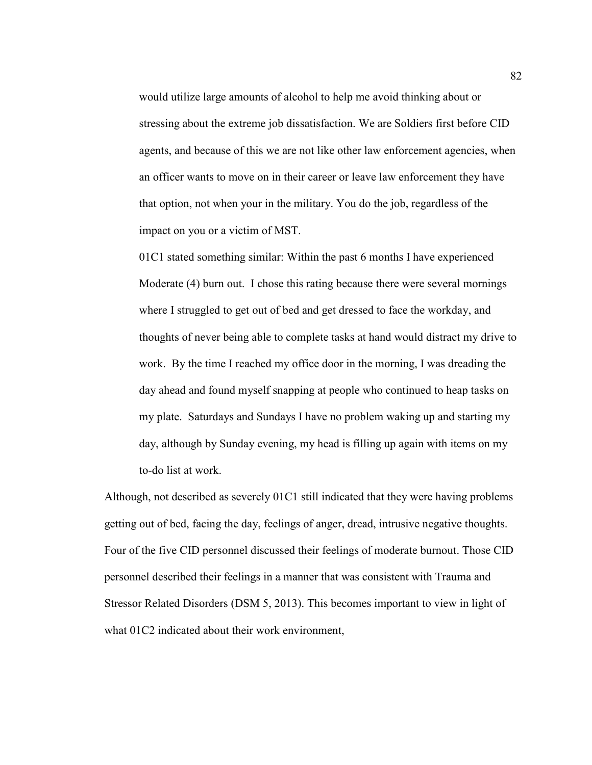would utilize large amounts of alcohol to help me avoid thinking about or stressing about the extreme job dissatisfaction. We are Soldiers first before CID agents, and because of this we are not like other law enforcement agencies, when an officer wants to move on in their career or leave law enforcement they have that option, not when your in the military. You do the job, regardless of the impact on you or a victim of MST.

01C1 stated something similar: Within the past 6 months I have experienced Moderate (4) burn out. I chose this rating because there were several mornings where I struggled to get out of bed and get dressed to face the workday, and thoughts of never being able to complete tasks at hand would distract my drive to work. By the time I reached my office door in the morning, I was dreading the day ahead and found myself snapping at people who continued to heap tasks on my plate. Saturdays and Sundays I have no problem waking up and starting my day, although by Sunday evening, my head is filling up again with items on my to-do list at work.

Although, not described as severely 01C1 still indicated that they were having problems getting out of bed, facing the day, feelings of anger, dread, intrusive negative thoughts. Four of the five CID personnel discussed their feelings of moderate burnout. Those CID personnel described their feelings in a manner that was consistent with Trauma and Stressor Related Disorders (DSM 5, 2013). This becomes important to view in light of what  $01C2$  indicated about their work environment,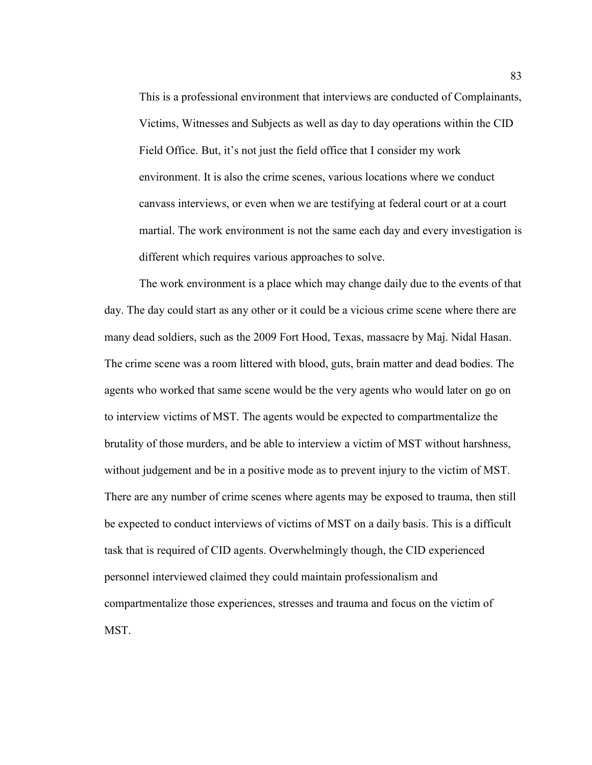This is a professional environment that interviews are conducted of Complainants, Victims, Witnesses and Subjects as well as day to day operations within the CID Field Office. But, it's not just the field office that I consider my work environment. It is also the crime scenes, various locations where we conduct canvass interviews, or even when we are testifying at federal court or at a court martial. The work environment is not the same each day and every investigation is different which requires various approaches to solve.

The work environment is a place which may change daily due to the events of that day. The day could start as any other or it could be a vicious crime scene where there are many dead soldiers, such as the 2009 Fort Hood, Texas, massacre by Maj. Nidal Hasan. The crime scene was a room littered with blood, guts, brain matter and dead bodies. The agents who worked that same scene would be the very agents who would later on go on to interview victims of MST. The agents would be expected to compartmentalize the brutality of those murders, and be able to interview a victim of MST without harshness, without judgement and be in a positive mode as to prevent injury to the victim of MST. There are any number of crime scenes where agents may be exposed to trauma, then still be expected to conduct interviews of victims of MST on a daily basis. This is a difficult task that is required of CID agents. Overwhelmingly though, the CID experienced personnel interviewed claimed they could maintain professionalism and compartmentalize those experiences, stresses and trauma and focus on the victim of MST.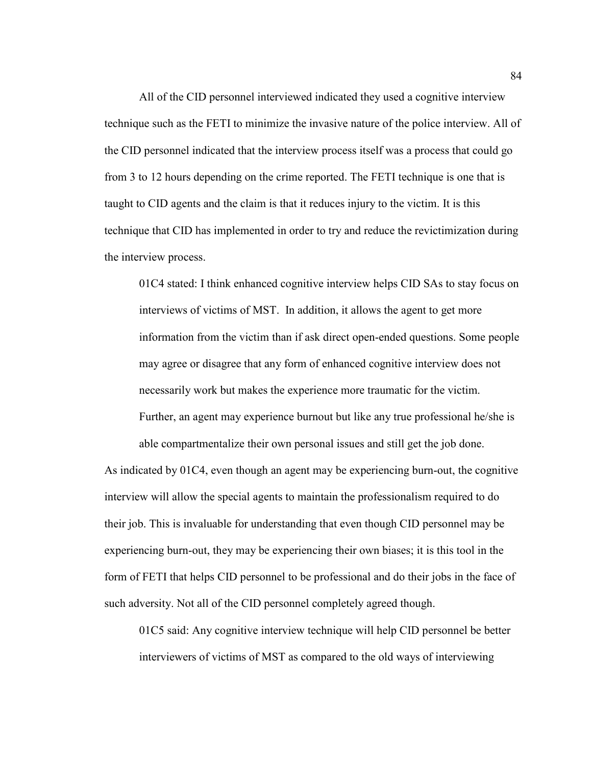All of the CID personnel interviewed indicated they used a cognitive interview technique such as the FETI to minimize the invasive nature of the police interview. All of the CID personnel indicated that the interview process itself was a process that could go from 3 to 12 hours depending on the crime reported. The FETI technique is one that is taught to CID agents and the claim is that it reduces injury to the victim. It is this technique that CID has implemented in order to try and reduce the revictimization during the interview process.

01C4 stated: I think enhanced cognitive interview helps CID SAs to stay focus on interviews of victims of MST. In addition, it allows the agent to get more information from the victim than if ask direct open-ended questions. Some people may agree or disagree that any form of enhanced cognitive interview does not necessarily work but makes the experience more traumatic for the victim. Further, an agent may experience burnout but like any true professional he/she is able compartmentalize their own personal issues and still get the job done.

As indicated by 01C4, even though an agent may be experiencing burn-out, the cognitive interview will allow the special agents to maintain the professionalism required to do their job. This is invaluable for understanding that even though CID personnel may be experiencing burn-out, they may be experiencing their own biases; it is this tool in the form of FETI that helps CID personnel to be professional and do their jobs in the face of such adversity. Not all of the CID personnel completely agreed though.

01C5 said: Any cognitive interview technique will help CID personnel be better interviewers of victims of MST as compared to the old ways of interviewing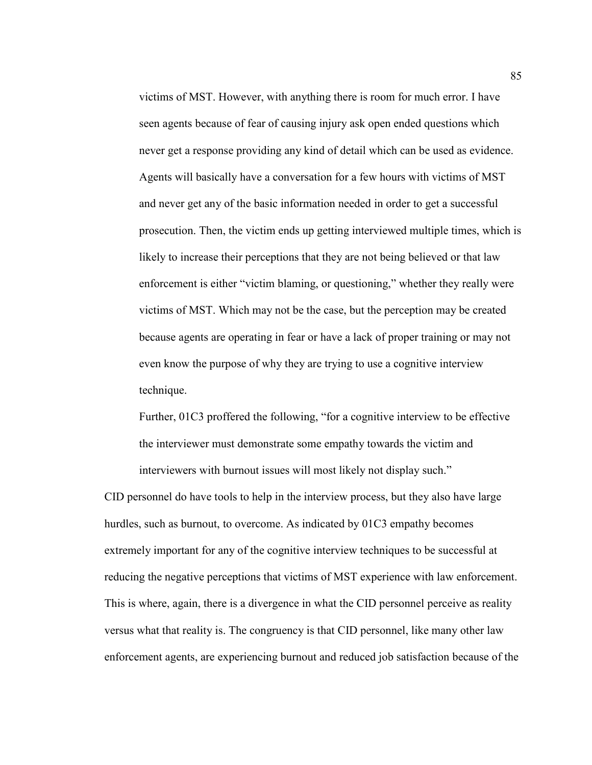victims of MST. However, with anything there is room for much error. I have seen agents because of fear of causing injury ask open ended questions which never get a response providing any kind of detail which can be used as evidence. Agents will basically have a conversation for a few hours with victims of MST and never get any of the basic information needed in order to get a successful prosecution. Then, the victim ends up getting interviewed multiple times, which is likely to increase their perceptions that they are not being believed or that law enforcement is either "victim blaming, or questioning," whether they really were victims of MST. Which may not be the case, but the perception may be created because agents are operating in fear or have a lack of proper training or may not even know the purpose of why they are trying to use a cognitive interview technique.

Further, 01C3 proffered the following, "for a cognitive interview to be effective the interviewer must demonstrate some empathy towards the victim and interviewers with burnout issues will most likely not display such."

CID personnel do have tools to help in the interview process, but they also have large hurdles, such as burnout, to overcome. As indicated by 01C3 empathy becomes extremely important for any of the cognitive interview techniques to be successful at reducing the negative perceptions that victims of MST experience with law enforcement. This is where, again, there is a divergence in what the CID personnel perceive as reality versus what that reality is. The congruency is that CID personnel, like many other law enforcement agents, are experiencing burnout and reduced job satisfaction because of the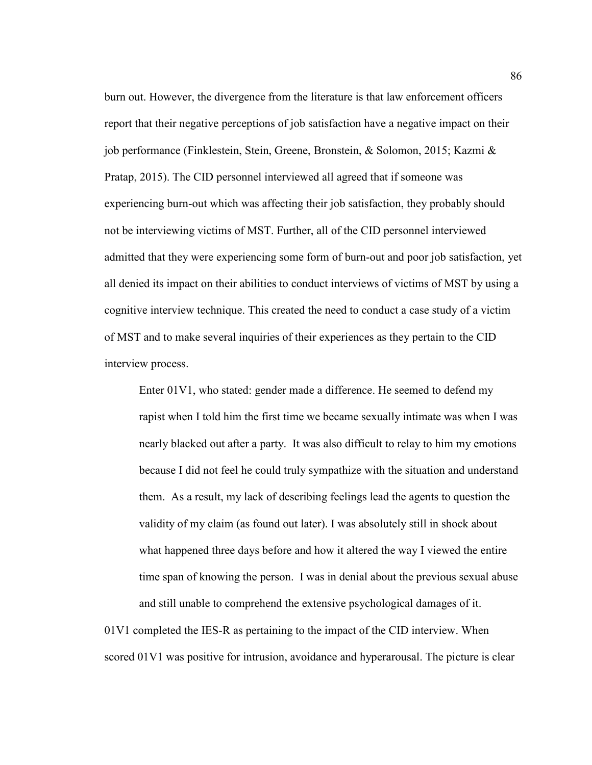burn out. However, the divergence from the literature is that law enforcement officers report that their negative perceptions of job satisfaction have a negative impact on their job performance (Finklestein, Stein, Greene, Bronstein, & Solomon, 2015; Kazmi & Pratap, 2015). The CID personnel interviewed all agreed that if someone was experiencing burn-out which was affecting their job satisfaction, they probably should not be interviewing victims of MST. Further, all of the CID personnel interviewed admitted that they were experiencing some form of burn-out and poor job satisfaction, yet all denied its impact on their abilities to conduct interviews of victims of MST by using a cognitive interview technique. This created the need to conduct a case study of a victim of MST and to make several inquiries of their experiences as they pertain to the CID interview process.

Enter 01V1, who stated: gender made a difference. He seemed to defend my rapist when I told him the first time we became sexually intimate was when I was nearly blacked out after a party. It was also difficult to relay to him my emotions because I did not feel he could truly sympathize with the situation and understand them. As a result, my lack of describing feelings lead the agents to question the validity of my claim (as found out later). I was absolutely still in shock about what happened three days before and how it altered the way I viewed the entire time span of knowing the person. I was in denial about the previous sexual abuse and still unable to comprehend the extensive psychological damages of it.

01V1 completed the IES-R as pertaining to the impact of the CID interview. When scored 01V1 was positive for intrusion, avoidance and hyperarousal. The picture is clear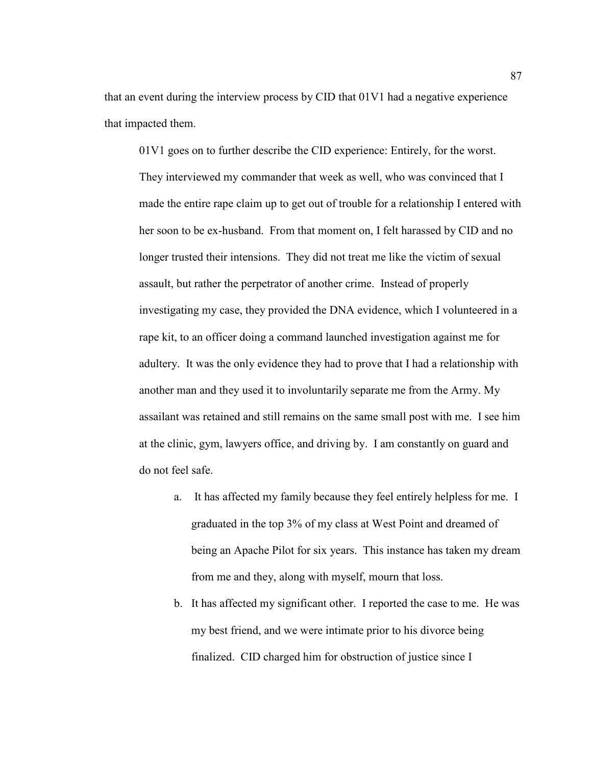that an event during the interview process by CID that 01V1 had a negative experience that impacted them.

01V1 goes on to further describe the CID experience: Entirely, for the worst. They interviewed my commander that week as well, who was convinced that I made the entire rape claim up to get out of trouble for a relationship I entered with her soon to be ex-husband. From that moment on, I felt harassed by CID and no longer trusted their intensions. They did not treat me like the victim of sexual assault, but rather the perpetrator of another crime. Instead of properly investigating my case, they provided the DNA evidence, which I volunteered in a rape kit, to an officer doing a command launched investigation against me for adultery. It was the only evidence they had to prove that I had a relationship with another man and they used it to involuntarily separate me from the Army. My assailant was retained and still remains on the same small post with me. I see him at the clinic, gym, lawyers office, and driving by. I am constantly on guard and do not feel safe.

- a. It has affected my family because they feel entirely helpless for me. I graduated in the top 3% of my class at West Point and dreamed of being an Apache Pilot for six years. This instance has taken my dream from me and they, along with myself, mourn that loss.
- b. It has affected my significant other. I reported the case to me. He was my best friend, and we were intimate prior to his divorce being finalized. CID charged him for obstruction of justice since I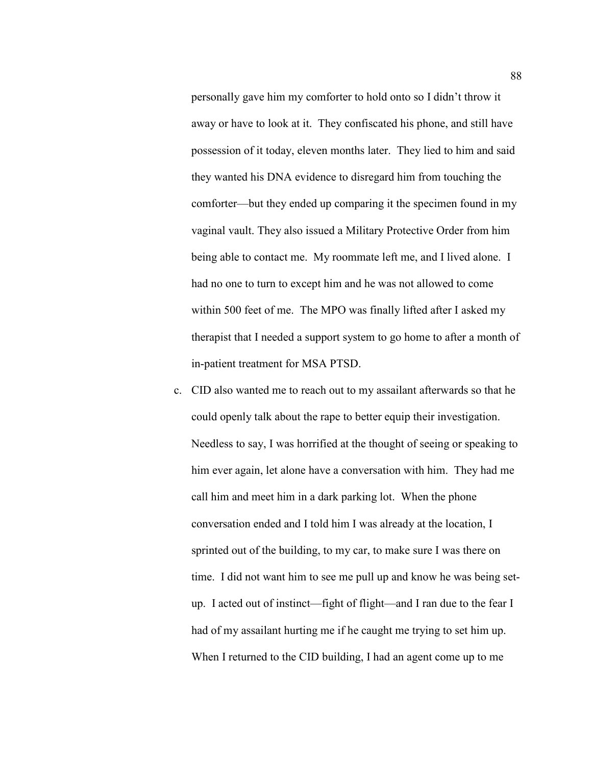personally gave him my comforter to hold onto so I didn't throw it away or have to look at it. They confiscated his phone, and still have possession of it today, eleven months later. They lied to him and said they wanted his DNA evidence to disregard him from touching the comforter—but they ended up comparing it the specimen found in my vaginal vault. They also issued a Military Protective Order from him being able to contact me. My roommate left me, and I lived alone. I had no one to turn to except him and he was not allowed to come within 500 feet of me. The MPO was finally lifted after I asked my therapist that I needed a support system to go home to after a month of in-patient treatment for MSA PTSD.

c. CID also wanted me to reach out to my assailant afterwards so that he could openly talk about the rape to better equip their investigation. Needless to say, I was horrified at the thought of seeing or speaking to him ever again, let alone have a conversation with him. They had me call him and meet him in a dark parking lot. When the phone conversation ended and I told him I was already at the location, I sprinted out of the building, to my car, to make sure I was there on time. I did not want him to see me pull up and know he was being setup. I acted out of instinct—fight of flight—and I ran due to the fear I had of my assailant hurting me if he caught me trying to set him up. When I returned to the CID building, I had an agent come up to me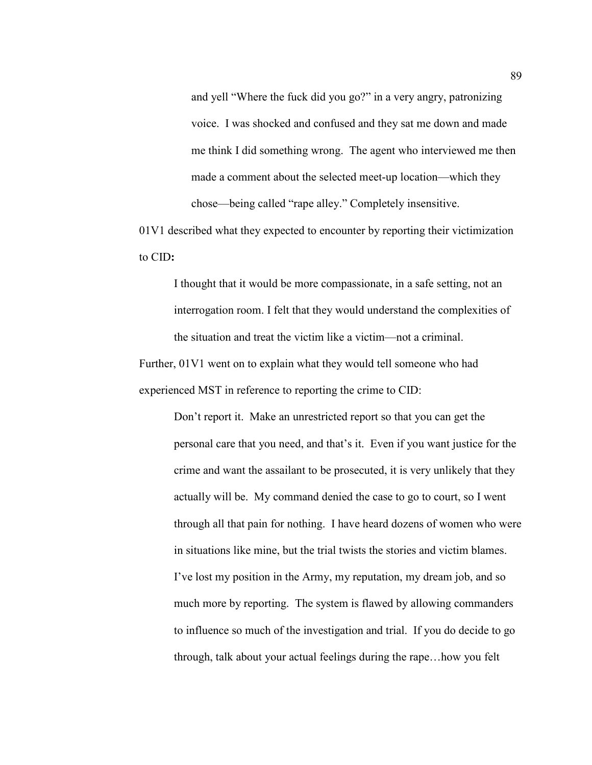and yell "Where the fuck did you go?" in a very angry, patronizing voice. I was shocked and confused and they sat me down and made me think I did something wrong. The agent who interviewed me then made a comment about the selected meet-up location—which they chose—being called "rape alley." Completely insensitive.

01V1 described what they expected to encounter by reporting their victimization to CID**:** 

I thought that it would be more compassionate, in a safe setting, not an interrogation room. I felt that they would understand the complexities of the situation and treat the victim like a victim—not a criminal.

Further, 01V1 went on to explain what they would tell someone who had experienced MST in reference to reporting the crime to CID:

> Don't report it. Make an unrestricted report so that you can get the personal care that you need, and that's it. Even if you want justice for the crime and want the assailant to be prosecuted, it is very unlikely that they actually will be. My command denied the case to go to court, so I went through all that pain for nothing. I have heard dozens of women who were in situations like mine, but the trial twists the stories and victim blames. I've lost my position in the Army, my reputation, my dream job, and so much more by reporting. The system is flawed by allowing commanders to influence so much of the investigation and trial. If you do decide to go through, talk about your actual feelings during the rape…how you felt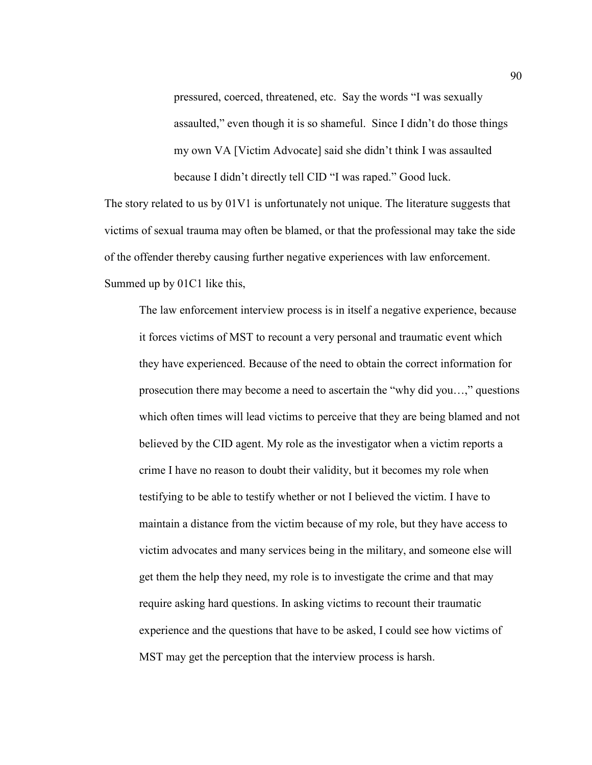pressured, coerced, threatened, etc. Say the words "I was sexually assaulted," even though it is so shameful. Since I didn't do those things my own VA [Victim Advocate] said she didn't think I was assaulted because I didn't directly tell CID "I was raped." Good luck.

The story related to us by 01V1 is unfortunately not unique. The literature suggests that victims of sexual trauma may often be blamed, or that the professional may take the side of the offender thereby causing further negative experiences with law enforcement. Summed up by 01C1 like this,

The law enforcement interview process is in itself a negative experience, because it forces victims of MST to recount a very personal and traumatic event which they have experienced. Because of the need to obtain the correct information for prosecution there may become a need to ascertain the "why did you…," questions which often times will lead victims to perceive that they are being blamed and not believed by the CID agent. My role as the investigator when a victim reports a crime I have no reason to doubt their validity, but it becomes my role when testifying to be able to testify whether or not I believed the victim. I have to maintain a distance from the victim because of my role, but they have access to victim advocates and many services being in the military, and someone else will get them the help they need, my role is to investigate the crime and that may require asking hard questions. In asking victims to recount their traumatic experience and the questions that have to be asked, I could see how victims of MST may get the perception that the interview process is harsh.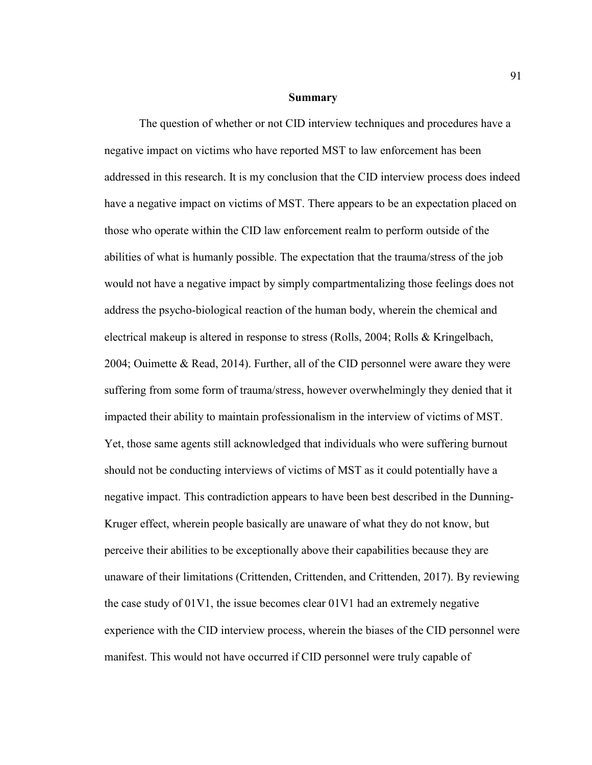### **Summary**

The question of whether or not CID interview techniques and procedures have a negative impact on victims who have reported MST to law enforcement has been addressed in this research. It is my conclusion that the CID interview process does indeed have a negative impact on victims of MST. There appears to be an expectation placed on those who operate within the CID law enforcement realm to perform outside of the abilities of what is humanly possible. The expectation that the trauma/stress of the job would not have a negative impact by simply compartmentalizing those feelings does not address the psycho-biological reaction of the human body, wherein the chemical and electrical makeup is altered in response to stress (Rolls, 2004; Rolls & Kringelbach, 2004; Ouimette & Read, 2014). Further, all of the CID personnel were aware they were suffering from some form of trauma/stress, however overwhelmingly they denied that it impacted their ability to maintain professionalism in the interview of victims of MST. Yet, those same agents still acknowledged that individuals who were suffering burnout should not be conducting interviews of victims of MST as it could potentially have a negative impact. This contradiction appears to have been best described in the Dunning-Kruger effect, wherein people basically are unaware of what they do not know, but perceive their abilities to be exceptionally above their capabilities because they are unaware of their limitations (Crittenden, Crittenden, and Crittenden, 2017). By reviewing the case study of 01V1, the issue becomes clear 01V1 had an extremely negative experience with the CID interview process, wherein the biases of the CID personnel were manifest. This would not have occurred if CID personnel were truly capable of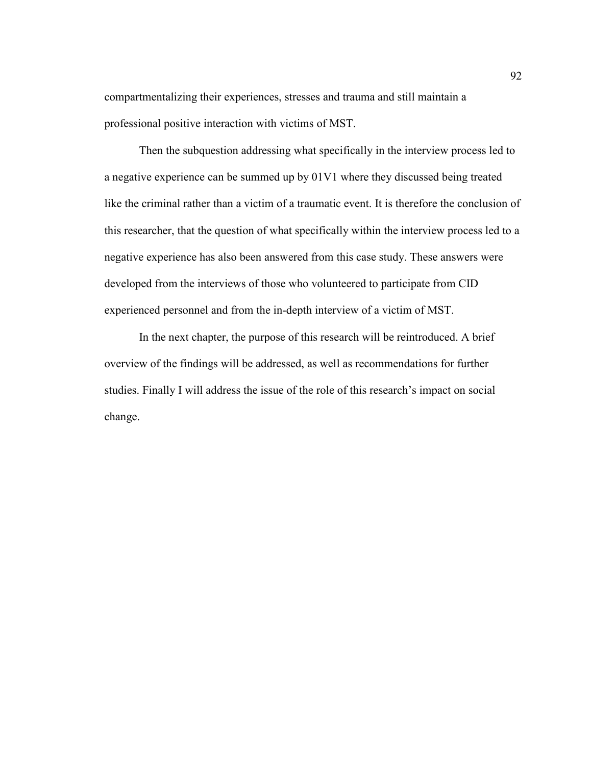compartmentalizing their experiences, stresses and trauma and still maintain a professional positive interaction with victims of MST.

Then the subquestion addressing what specifically in the interview process led to a negative experience can be summed up by 01V1 where they discussed being treated like the criminal rather than a victim of a traumatic event. It is therefore the conclusion of this researcher, that the question of what specifically within the interview process led to a negative experience has also been answered from this case study. These answers were developed from the interviews of those who volunteered to participate from CID experienced personnel and from the in-depth interview of a victim of MST.

In the next chapter, the purpose of this research will be reintroduced. A brief overview of the findings will be addressed, as well as recommendations for further studies. Finally I will address the issue of the role of this research's impact on social change.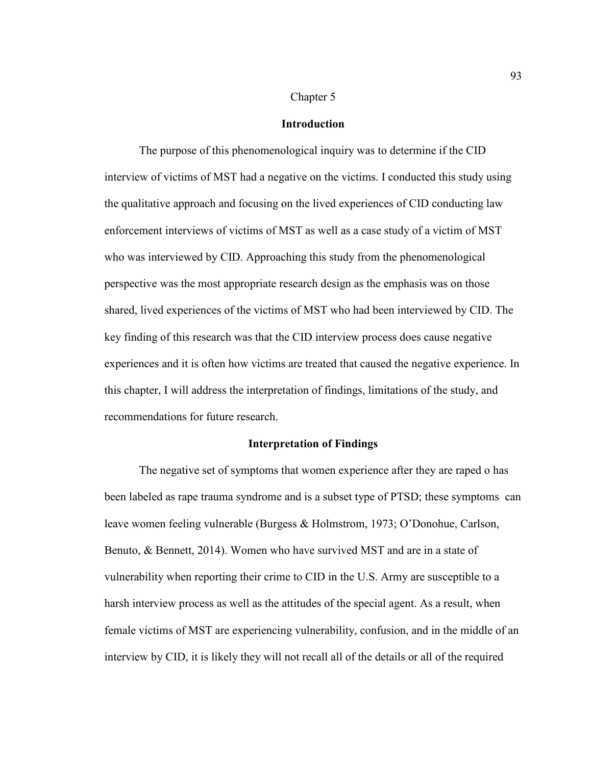### Chapter 5

## **Introduction**

The purpose of this phenomenological inquiry was to determine if the CID interview of victims of MST had a negative on the victims. I conducted this study using the qualitative approach and focusing on the lived experiences of CID conducting law enforcement interviews of victims of MST as well as a case study of a victim of MST who was interviewed by CID. Approaching this study from the phenomenological perspective was the most appropriate research design as the emphasis was on those shared, lived experiences of the victims of MST who had been interviewed by CID. The key finding of this research was that the CID interview process does cause negative experiences and it is often how victims are treated that caused the negative experience. In this chapter, I will address the interpretation of findings, limitations of the study, and recommendations for future research.

## **Interpretation of Findings**

 The negative set of symptoms that women experience after they are raped o has been labeled as rape trauma syndrome and is a subset type of PTSD; these symptoms can leave women feeling vulnerable (Burgess & Holmstrom, 1973; O'Donohue, Carlson, Benuto, & Bennett, 2014). Women who have survived MST and are in a state of vulnerability when reporting their crime to CID in the U.S. Army are susceptible to a harsh interview process as well as the attitudes of the special agent. As a result, when female victims of MST are experiencing vulnerability, confusion, and in the middle of an interview by CID, it is likely they will not recall all of the details or all of the required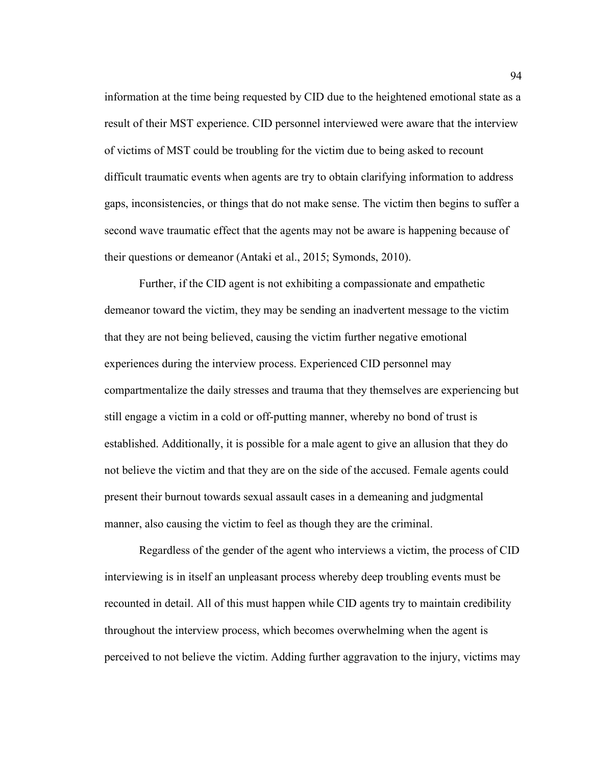information at the time being requested by CID due to the heightened emotional state as a result of their MST experience. CID personnel interviewed were aware that the interview of victims of MST could be troubling for the victim due to being asked to recount difficult traumatic events when agents are try to obtain clarifying information to address gaps, inconsistencies, or things that do not make sense. The victim then begins to suffer a second wave traumatic effect that the agents may not be aware is happening because of their questions or demeanor (Antaki et al., 2015; Symonds, 2010).

Further, if the CID agent is not exhibiting a compassionate and empathetic demeanor toward the victim, they may be sending an inadvertent message to the victim that they are not being believed, causing the victim further negative emotional experiences during the interview process. Experienced CID personnel may compartmentalize the daily stresses and trauma that they themselves are experiencing but still engage a victim in a cold or off-putting manner, whereby no bond of trust is established. Additionally, it is possible for a male agent to give an allusion that they do not believe the victim and that they are on the side of the accused. Female agents could present their burnout towards sexual assault cases in a demeaning and judgmental manner, also causing the victim to feel as though they are the criminal.

Regardless of the gender of the agent who interviews a victim, the process of CID interviewing is in itself an unpleasant process whereby deep troubling events must be recounted in detail. All of this must happen while CID agents try to maintain credibility throughout the interview process, which becomes overwhelming when the agent is perceived to not believe the victim. Adding further aggravation to the injury, victims may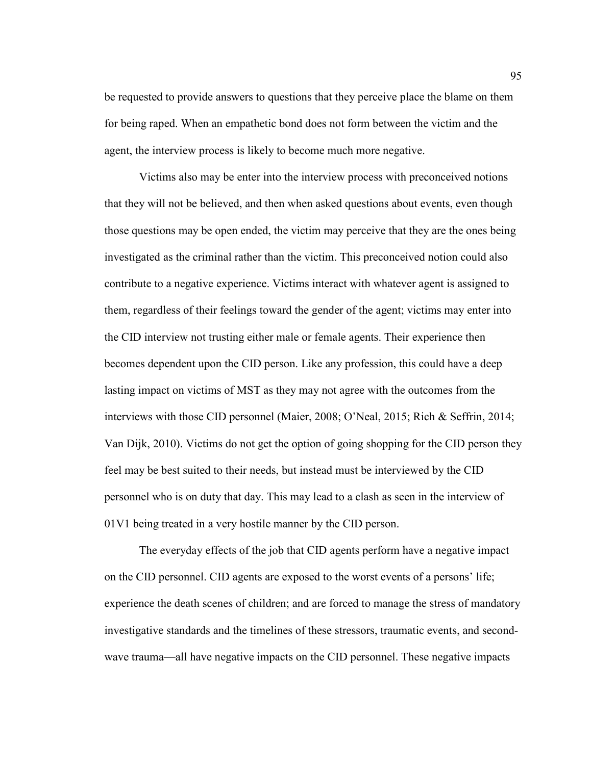be requested to provide answers to questions that they perceive place the blame on them for being raped. When an empathetic bond does not form between the victim and the agent, the interview process is likely to become much more negative.

Victims also may be enter into the interview process with preconceived notions that they will not be believed, and then when asked questions about events, even though those questions may be open ended, the victim may perceive that they are the ones being investigated as the criminal rather than the victim. This preconceived notion could also contribute to a negative experience. Victims interact with whatever agent is assigned to them, regardless of their feelings toward the gender of the agent; victims may enter into the CID interview not trusting either male or female agents. Their experience then becomes dependent upon the CID person. Like any profession, this could have a deep lasting impact on victims of MST as they may not agree with the outcomes from the interviews with those CID personnel (Maier, 2008; O'Neal, 2015; Rich & Seffrin, 2014; Van Dijk, 2010). Victims do not get the option of going shopping for the CID person they feel may be best suited to their needs, but instead must be interviewed by the CID personnel who is on duty that day. This may lead to a clash as seen in the interview of 01V1 being treated in a very hostile manner by the CID person.

The everyday effects of the job that CID agents perform have a negative impact on the CID personnel. CID agents are exposed to the worst events of a persons' life; experience the death scenes of children; and are forced to manage the stress of mandatory investigative standards and the timelines of these stressors, traumatic events, and secondwave trauma—all have negative impacts on the CID personnel. These negative impacts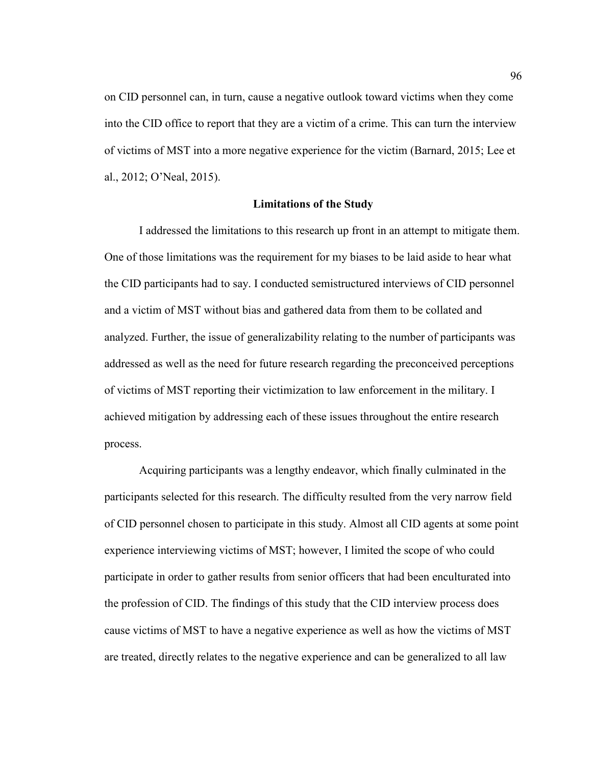on CID personnel can, in turn, cause a negative outlook toward victims when they come into the CID office to report that they are a victim of a crime. This can turn the interview of victims of MST into a more negative experience for the victim (Barnard, 2015; Lee et al., 2012; O'Neal, 2015).

## **Limitations of the Study**

 I addressed the limitations to this research up front in an attempt to mitigate them. One of those limitations was the requirement for my biases to be laid aside to hear what the CID participants had to say. I conducted semistructured interviews of CID personnel and a victim of MST without bias and gathered data from them to be collated and analyzed. Further, the issue of generalizability relating to the number of participants was addressed as well as the need for future research regarding the preconceived perceptions of victims of MST reporting their victimization to law enforcement in the military. I achieved mitigation by addressing each of these issues throughout the entire research process.

 Acquiring participants was a lengthy endeavor, which finally culminated in the participants selected for this research. The difficulty resulted from the very narrow field of CID personnel chosen to participate in this study. Almost all CID agents at some point experience interviewing victims of MST; however, I limited the scope of who could participate in order to gather results from senior officers that had been enculturated into the profession of CID. The findings of this study that the CID interview process does cause victims of MST to have a negative experience as well as how the victims of MST are treated, directly relates to the negative experience and can be generalized to all law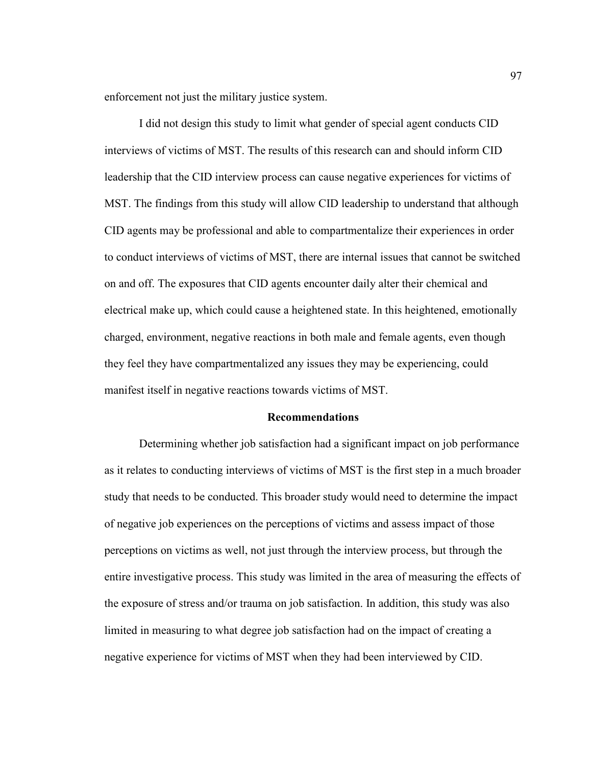enforcement not just the military justice system.

 I did not design this study to limit what gender of special agent conducts CID interviews of victims of MST. The results of this research can and should inform CID leadership that the CID interview process can cause negative experiences for victims of MST. The findings from this study will allow CID leadership to understand that although CID agents may be professional and able to compartmentalize their experiences in order to conduct interviews of victims of MST, there are internal issues that cannot be switched on and off. The exposures that CID agents encounter daily alter their chemical and electrical make up, which could cause a heightened state. In this heightened, emotionally charged, environment, negative reactions in both male and female agents, even though they feel they have compartmentalized any issues they may be experiencing, could manifest itself in negative reactions towards victims of MST.

## **Recommendations**

 Determining whether job satisfaction had a significant impact on job performance as it relates to conducting interviews of victims of MST is the first step in a much broader study that needs to be conducted. This broader study would need to determine the impact of negative job experiences on the perceptions of victims and assess impact of those perceptions on victims as well, not just through the interview process, but through the entire investigative process. This study was limited in the area of measuring the effects of the exposure of stress and/or trauma on job satisfaction. In addition, this study was also limited in measuring to what degree job satisfaction had on the impact of creating a negative experience for victims of MST when they had been interviewed by CID.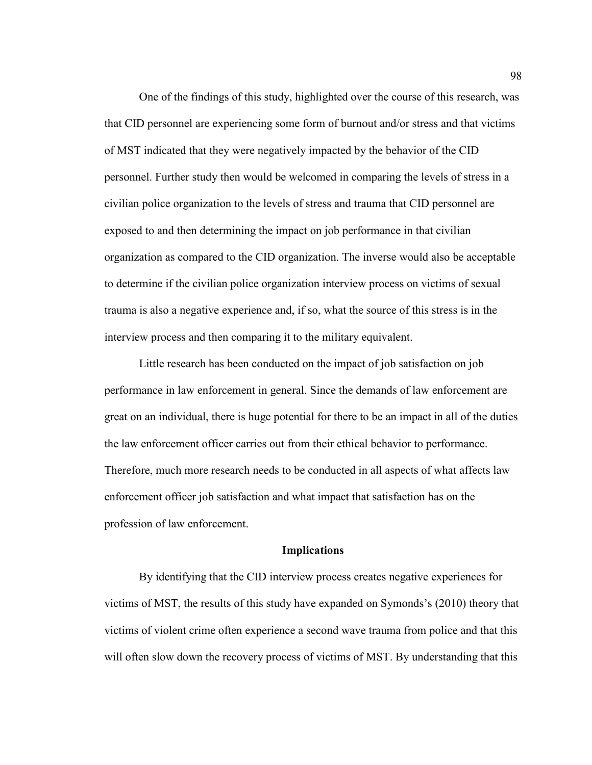One of the findings of this study, highlighted over the course of this research, was that CID personnel are experiencing some form of burnout and/or stress and that victims of MST indicated that they were negatively impacted by the behavior of the CID personnel. Further study then would be welcomed in comparing the levels of stress in a civilian police organization to the levels of stress and trauma that CID personnel are exposed to and then determining the impact on job performance in that civilian organization as compared to the CID organization. The inverse would also be acceptable to determine if the civilian police organization interview process on victims of sexual trauma is also a negative experience and, if so, what the source of this stress is in the interview process and then comparing it to the military equivalent.

Little research has been conducted on the impact of job satisfaction on job performance in law enforcement in general. Since the demands of law enforcement are great on an individual, there is huge potential for there to be an impact in all of the duties the law enforcement officer carries out from their ethical behavior to performance. Therefore, much more research needs to be conducted in all aspects of what affects law enforcement officer job satisfaction and what impact that satisfaction has on the profession of law enforcement.

## **Implications**

 By identifying that the CID interview process creates negative experiences for victims of MST, the results of this study have expanded on Symonds's (2010) theory that victims of violent crime often experience a second wave trauma from police and that this will often slow down the recovery process of victims of MST. By understanding that this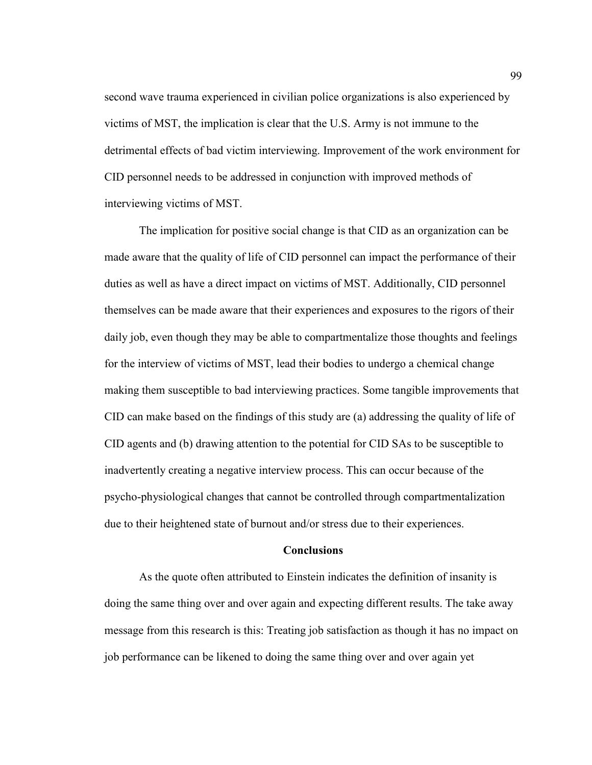second wave trauma experienced in civilian police organizations is also experienced by victims of MST, the implication is clear that the U.S. Army is not immune to the detrimental effects of bad victim interviewing. Improvement of the work environment for CID personnel needs to be addressed in conjunction with improved methods of interviewing victims of MST.

The implication for positive social change is that CID as an organization can be made aware that the quality of life of CID personnel can impact the performance of their duties as well as have a direct impact on victims of MST. Additionally, CID personnel themselves can be made aware that their experiences and exposures to the rigors of their daily job, even though they may be able to compartmentalize those thoughts and feelings for the interview of victims of MST, lead their bodies to undergo a chemical change making them susceptible to bad interviewing practices. Some tangible improvements that CID can make based on the findings of this study are (a) addressing the quality of life of CID agents and (b) drawing attention to the potential for CID SAs to be susceptible to inadvertently creating a negative interview process. This can occur because of the psycho-physiological changes that cannot be controlled through compartmentalization due to their heightened state of burnout and/or stress due to their experiences.

### **Conclusions**

 As the quote often attributed to Einstein indicates the definition of insanity is doing the same thing over and over again and expecting different results. The take away message from this research is this: Treating job satisfaction as though it has no impact on job performance can be likened to doing the same thing over and over again yet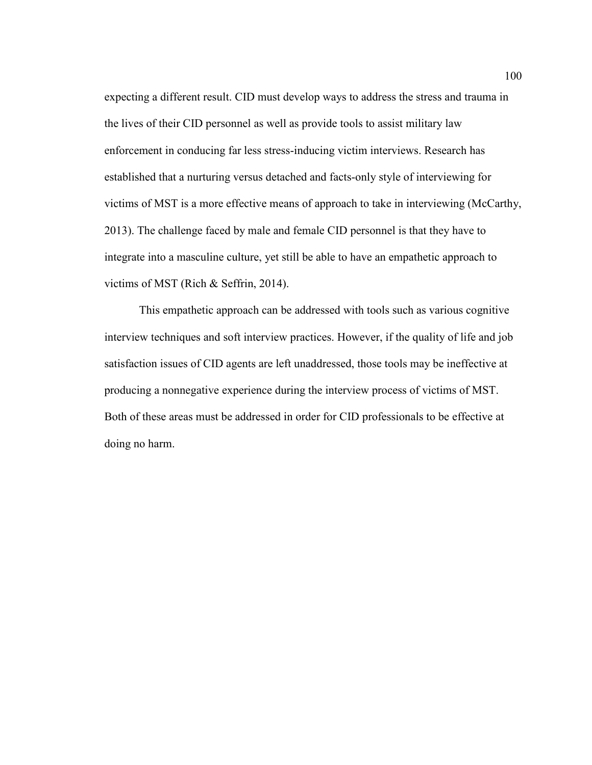expecting a different result. CID must develop ways to address the stress and trauma in the lives of their CID personnel as well as provide tools to assist military law enforcement in conducing far less stress-inducing victim interviews. Research has established that a nurturing versus detached and facts-only style of interviewing for victims of MST is a more effective means of approach to take in interviewing (McCarthy, 2013). The challenge faced by male and female CID personnel is that they have to integrate into a masculine culture, yet still be able to have an empathetic approach to victims of MST (Rich & Seffrin, 2014).

 This empathetic approach can be addressed with tools such as various cognitive interview techniques and soft interview practices. However, if the quality of life and job satisfaction issues of CID agents are left unaddressed, those tools may be ineffective at producing a nonnegative experience during the interview process of victims of MST. Both of these areas must be addressed in order for CID professionals to be effective at doing no harm.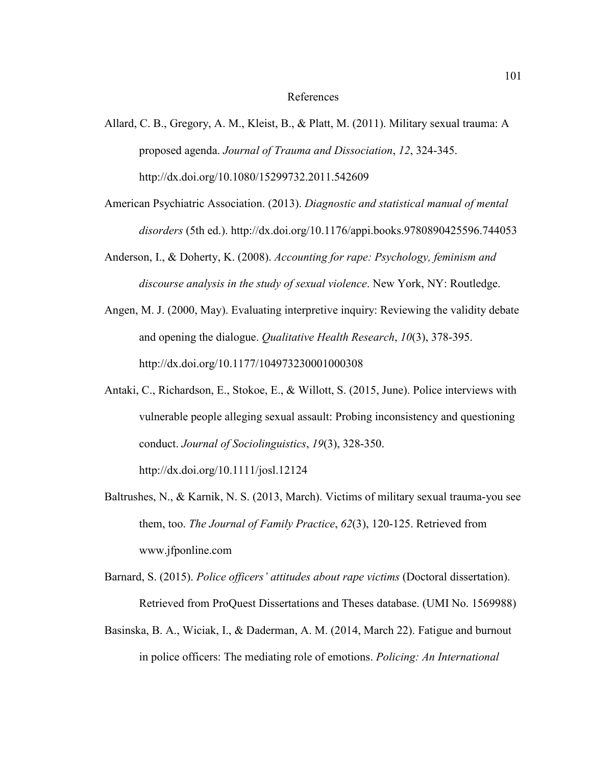#### References

- Allard, C. B., Gregory, A. M., Kleist, B., & Platt, M. (2011). Military sexual trauma: A proposed agenda. *Journal of Trauma and Dissociation*, *12*, 324-345. http://dx.doi.org/10.1080/15299732.2011.542609
- American Psychiatric Association. (2013). *Diagnostic and statistical manual of mental disorders* (5th ed.). http://dx.doi.org/10.1176/appi.books.9780890425596.744053
- Anderson, I., & Doherty, K. (2008). *Accounting for rape: Psychology, feminism and discourse analysis in the study of sexual violence*. New York, NY: Routledge.
- Angen, M. J. (2000, May). Evaluating interpretive inquiry: Reviewing the validity debate and opening the dialogue. *Qualitative Health Research*, *10*(3), 378-395. http://dx.doi.org/10.1177/104973230001000308
- Antaki, C., Richardson, E., Stokoe, E., & Willott, S. (2015, June). Police interviews with vulnerable people alleging sexual assault: Probing inconsistency and questioning conduct. *Journal of Sociolinguistics*, *19*(3), 328-350. http://dx.doi.org/10.1111/josl.12124
- Baltrushes, N., & Karnik, N. S. (2013, March). Victims of military sexual trauma-you see them, too. *The Journal of Family Practice*, *62*(3), 120-125. Retrieved from www.jfponline.com
- Barnard, S. (2015). *Police officers' attitudes about rape victims* (Doctoral dissertation). Retrieved from ProQuest Dissertations and Theses database. (UMI No. 1569988)
- Basinska, B. A., Wiciak, I., & Daderman, A. M. (2014, March 22). Fatigue and burnout in police officers: The mediating role of emotions. *Policing: An International*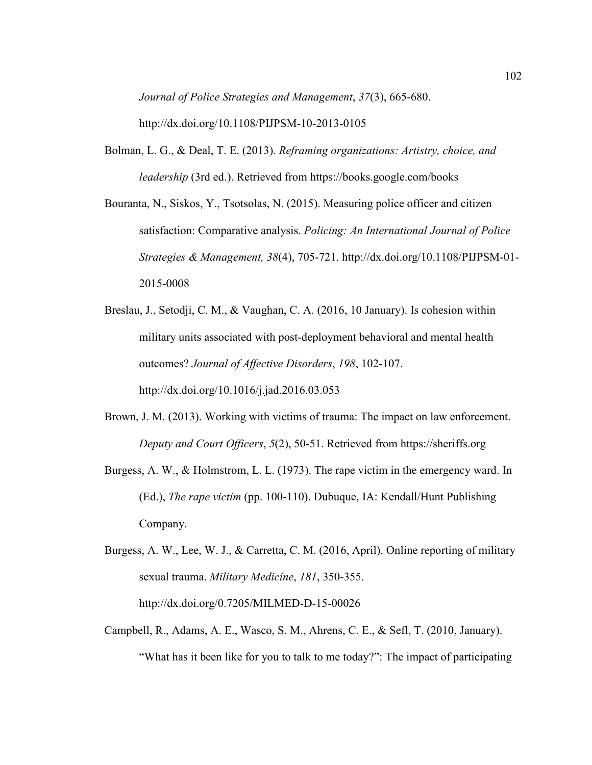*Journal of Police Strategies and Management*, *37*(3), 665-680. http://dx.doi.org/10.1108/PIJPSM-10-2013-0105

Bolman, L. G., & Deal, T. E. (2013). *Reframing organizations: Artistry, choice, and leadership* (3rd ed.). Retrieved from https://books.google.com/books

Bouranta, N., Siskos, Y., Tsotsolas, N. (2015). Measuring police officer and citizen satisfaction: Comparative analysis. *Policing: An International Journal of Police Strategies & Management, 38*(4), 705-721. http://dx.doi.org/10.1108/PIJPSM-01- 2015-0008

Breslau, J., Setodji, C. M., & Vaughan, C. A. (2016, 10 January). Is cohesion within military units associated with post-deployment behavioral and mental health outcomes? *Journal of Affective Disorders*, *198*, 102-107. http://dx.doi.org/10.1016/j.jad.2016.03.053

- Brown, J. M. (2013). Working with victims of trauma: The impact on law enforcement. *Deputy and Court Officers*, *5*(2), 50-51. Retrieved from https://sheriffs.org
- Burgess, A. W., & Holmstrom, L. L. (1973). The rape victim in the emergency ward. In (Ed.), *The rape victim* (pp. 100-110). Dubuque, IA: Kendall/Hunt Publishing Company.
- Burgess, A. W., Lee, W. J., & Carretta, C. M. (2016, April). Online reporting of military sexual trauma. *Military Medicine*, *181*, 350-355. http://dx.doi.org/0.7205/MILMED-D-15-00026
- Campbell, R., Adams, A. E., Wasco, S. M., Ahrens, C. E., & Sefl, T. (2010, January). "What has it been like for you to talk to me today?": The impact of participating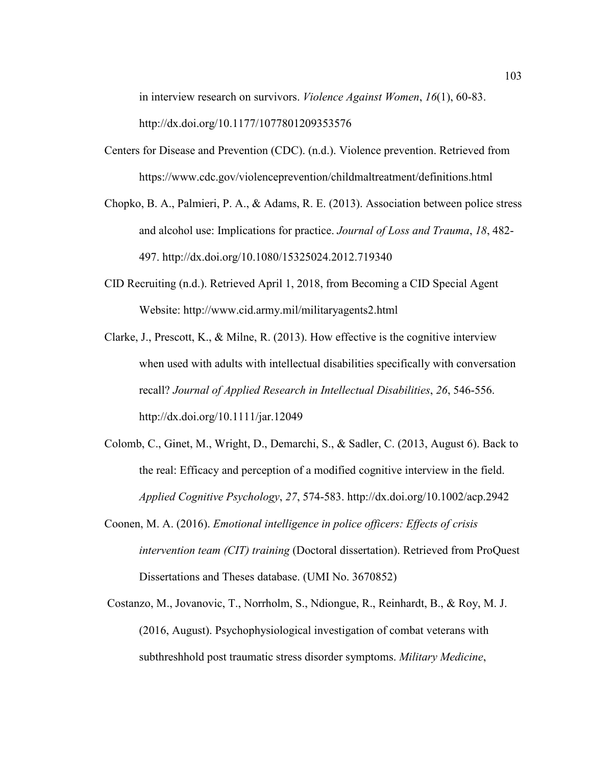in interview research on survivors. *Violence Against Women*, *16*(1), 60-83. http://dx.doi.org/10.1177/1077801209353576

- Centers for Disease and Prevention (CDC). (n.d.). Violence prevention. Retrieved from https://www.cdc.gov/violenceprevention/childmaltreatment/definitions.html
- Chopko, B. A., Palmieri, P. A., & Adams, R. E. (2013). Association between police stress and alcohol use: Implications for practice. *Journal of Loss and Trauma*, *18*, 482- 497. http://dx.doi.org/10.1080/15325024.2012.719340
- CID Recruiting (n.d.). Retrieved April 1, 2018, from Becoming a CID Special Agent Website: http://www.cid.army.mil/militaryagents2.html
- Clarke, J., Prescott, K., & Milne, R. (2013). How effective is the cognitive interview when used with adults with intellectual disabilities specifically with conversation recall? *Journal of Applied Research in Intellectual Disabilities*, *26*, 546-556. http://dx.doi.org/10.1111/jar.12049
- Colomb, C., Ginet, M., Wright, D., Demarchi, S., & Sadler, C. (2013, August 6). Back to the real: Efficacy and perception of a modified cognitive interview in the field. *Applied Cognitive Psychology*, *27*, 574-583. http://dx.doi.org/10.1002/acp.2942
- Coonen, M. A. (2016). *Emotional intelligence in police officers: Effects of crisis intervention team (CIT) training* (Doctoral dissertation). Retrieved from ProQuest Dissertations and Theses database. (UMI No. 3670852)
- Costanzo, M., Jovanovic, T., Norrholm, S., Ndiongue, R., Reinhardt, B., & Roy, M. J. (2016, August). Psychophysiological investigation of combat veterans with subthreshhold post traumatic stress disorder symptoms. *Military Medicine*,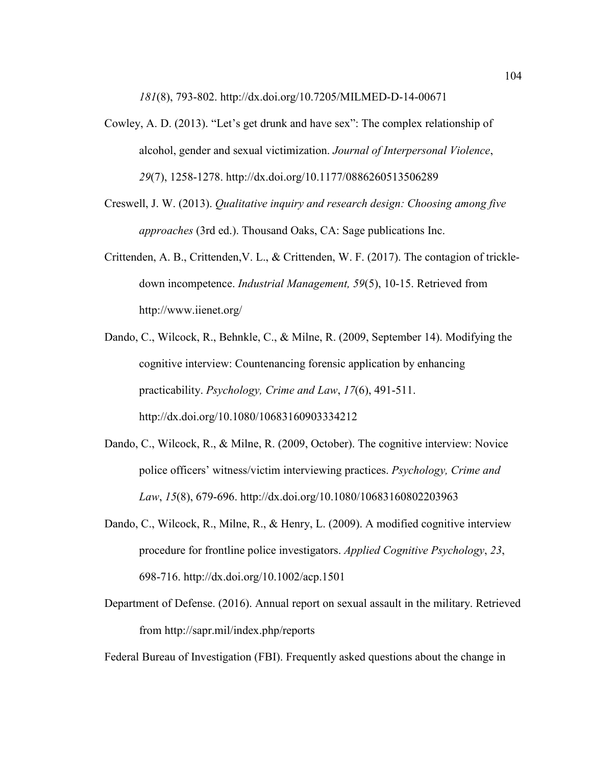*181*(8), 793-802. http://dx.doi.org/10.7205/MILMED-D-14-00671

- Cowley, A. D. (2013). "Let's get drunk and have sex": The complex relationship of alcohol, gender and sexual victimization. *Journal of Interpersonal Violence*, *29*(7), 1258-1278. http://dx.doi.org/10.1177/0886260513506289
- Creswell, J. W. (2013). *Qualitative inquiry and research design: Choosing among five approaches* (3rd ed.). Thousand Oaks, CA: Sage publications Inc.
- Crittenden, A. B., Crittenden,V. L., & Crittenden, W. F. (2017). The contagion of trickledown incompetence. *Industrial Management, 59*(5), 10-15. Retrieved from http://www.iienet.org/
- Dando, C., Wilcock, R., Behnkle, C., & Milne, R. (2009, September 14). Modifying the cognitive interview: Countenancing forensic application by enhancing practicability. *Psychology, Crime and Law*, *17*(6), 491-511. http://dx.doi.org/10.1080/10683160903334212
- Dando, C., Wilcock, R., & Milne, R. (2009, October). The cognitive interview: Novice police officers' witness/victim interviewing practices. *Psychology, Crime and Law*, *15*(8), 679-696. http://dx.doi.org/10.1080/10683160802203963
- Dando, C., Wilcock, R., Milne, R., & Henry, L. (2009). A modified cognitive interview procedure for frontline police investigators. *Applied Cognitive Psychology*, *23*, 698-716. http://dx.doi.org/10.1002/acp.1501
- Department of Defense. (2016). Annual report on sexual assault in the military. Retrieved from http://sapr.mil/index.php/reports

Federal Bureau of Investigation (FBI). Frequently asked questions about the change in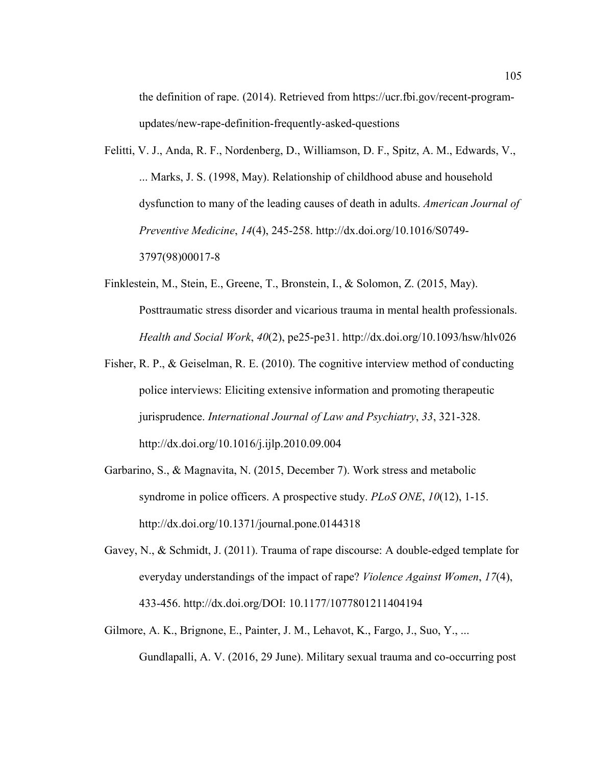the definition of rape. (2014). Retrieved from https://ucr.fbi.gov/recent-programupdates/new-rape-definition-frequently-asked-questions

- Felitti, V. J., Anda, R. F., Nordenberg, D., Williamson, D. F., Spitz, A. M., Edwards, V., ... Marks, J. S. (1998, May). Relationship of childhood abuse and household dysfunction to many of the leading causes of death in adults. *American Journal of Preventive Medicine*, *14*(4), 245-258. http://dx.doi.org/10.1016/S0749- 3797(98)00017-8
- Finklestein, M., Stein, E., Greene, T., Bronstein, I., & Solomon, Z. (2015, May). Posttraumatic stress disorder and vicarious trauma in mental health professionals. *Health and Social Work*, *40*(2), pe25-pe31. http://dx.doi.org/10.1093/hsw/hlv026
- Fisher, R. P., & Geiselman, R. E. (2010). The cognitive interview method of conducting police interviews: Eliciting extensive information and promoting therapeutic jurisprudence. *International Journal of Law and Psychiatry*, *33*, 321-328. http://dx.doi.org/10.1016/j.ijlp.2010.09.004
- Garbarino, S., & Magnavita, N. (2015, December 7). Work stress and metabolic syndrome in police officers. A prospective study. *PLoS ONE*, *10*(12), 1-15. http://dx.doi.org/10.1371/journal.pone.0144318
- Gavey, N., & Schmidt, J. (2011). Trauma of rape discourse: A double-edged template for everyday understandings of the impact of rape? *Violence Against Women*, *17*(4), 433-456. http://dx.doi.org/DOI: 10.1177/1077801211404194
- Gilmore, A. K., Brignone, E., Painter, J. M., Lehavot, K., Fargo, J., Suo, Y., ... Gundlapalli, A. V. (2016, 29 June). Military sexual trauma and co-occurring post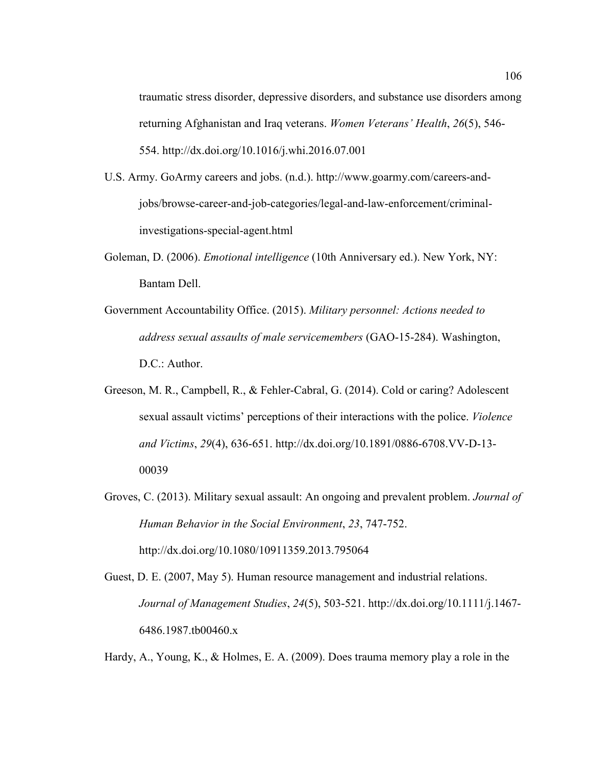traumatic stress disorder, depressive disorders, and substance use disorders among returning Afghanistan and Iraq veterans. *Women Veterans' Health*, *26*(5), 546- 554. http://dx.doi.org/10.1016/j.whi.2016.07.001

- U.S. Army. GoArmy careers and jobs. (n.d.). http://www.goarmy.com/careers-andjobs/browse-career-and-job-categories/legal-and-law-enforcement/criminalinvestigations-special-agent.html
- Goleman, D. (2006). *Emotional intelligence* (10th Anniversary ed.). New York, NY: Bantam Dell.
- Government Accountability Office. (2015). *Military personnel: Actions needed to address sexual assaults of male servicemembers* (GAO-15-284). Washington, D.C.: Author.
- Greeson, M. R., Campbell, R., & Fehler-Cabral, G. (2014). Cold or caring? Adolescent sexual assault victims' perceptions of their interactions with the police. *Violence and Victims*, *29*(4), 636-651. http://dx.doi.org/10.1891/0886-6708.VV-D-13- 00039
- Groves, C. (2013). Military sexual assault: An ongoing and prevalent problem. *Journal of Human Behavior in the Social Environment*, *23*, 747-752. http://dx.doi.org/10.1080/10911359.2013.795064
- Guest, D. E. (2007, May 5). Human resource management and industrial relations. *Journal of Management Studies*, *24*(5), 503-521. http://dx.doi.org/10.1111/j.1467- 6486.1987.tb00460.x

Hardy, A., Young, K., & Holmes, E. A. (2009). Does trauma memory play a role in the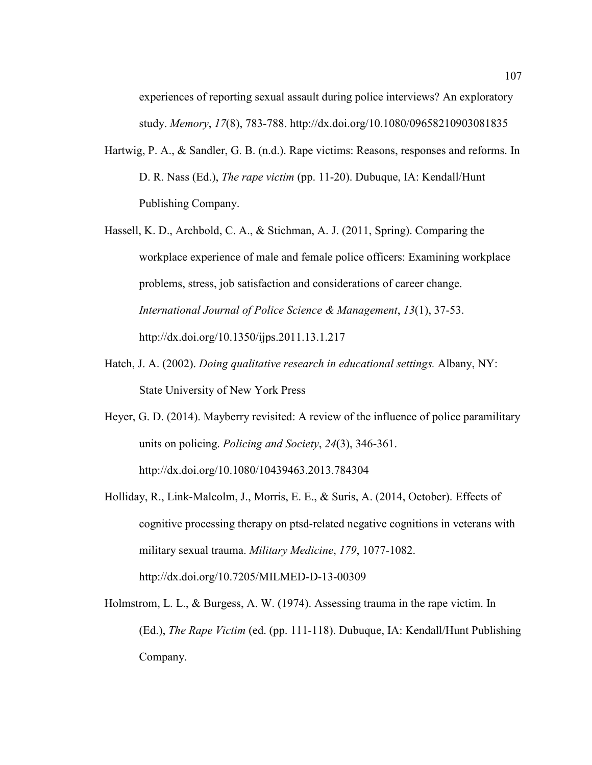experiences of reporting sexual assault during police interviews? An exploratory study. *Memory*, *17*(8), 783-788. http://dx.doi.org/10.1080/09658210903081835

- Hartwig, P. A., & Sandler, G. B. (n.d.). Rape victims: Reasons, responses and reforms. In D. R. Nass (Ed.), *The rape victim* (pp. 11-20). Dubuque, IA: Kendall/Hunt Publishing Company.
- Hassell, K. D., Archbold, C. A., & Stichman, A. J. (2011, Spring). Comparing the workplace experience of male and female police officers: Examining workplace problems, stress, job satisfaction and considerations of career change. *International Journal of Police Science & Management*, *13*(1), 37-53. http://dx.doi.org/10.1350/ijps.2011.13.1.217
- Hatch, J. A. (2002). *Doing qualitative research in educational settings.* Albany, NY: State University of New York Press
- Heyer, G. D. (2014). Mayberry revisited: A review of the influence of police paramilitary units on policing. *Policing and Society*, *24*(3), 346-361. http://dx.doi.org/10.1080/10439463.2013.784304
- Holliday, R., Link-Malcolm, J., Morris, E. E., & Suris, A. (2014, October). Effects of cognitive processing therapy on ptsd-related negative cognitions in veterans with military sexual trauma. *Military Medicine*, *179*, 1077-1082. http://dx.doi.org/10.7205/MILMED-D-13-00309
- Holmstrom, L. L., & Burgess, A. W. (1974). Assessing trauma in the rape victim. In (Ed.), *The Rape Victim* (ed. (pp. 111-118). Dubuque, IA: Kendall/Hunt Publishing Company.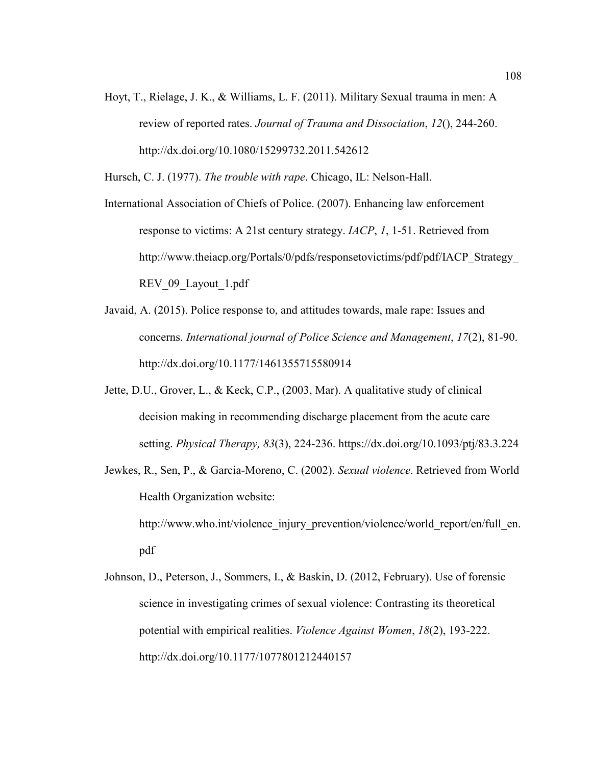Hoyt, T., Rielage, J. K., & Williams, L. F. (2011). Military Sexual trauma in men: A review of reported rates. *Journal of Trauma and Dissociation*, *12*(), 244-260. http://dx.doi.org/10.1080/15299732.2011.542612

Hursch, C. J. (1977). *The trouble with rape*. Chicago, IL: Nelson-Hall.

International Association of Chiefs of Police. (2007). Enhancing law enforcement response to victims: A 21st century strategy. *IACP*, *1*, 1-51. Retrieved from http://www.theiacp.org/Portals/0/pdfs/responsetovictims/pdf/pdf/IACP\_Strategy\_ REV 09 Layout 1.pdf

- Javaid, A. (2015). Police response to, and attitudes towards, male rape: Issues and concerns. *International journal of Police Science and Management*, *17*(2), 81-90. http://dx.doi.org/10.1177/1461355715580914
- Jette, D.U., Grover, L., & Keck, C.P., (2003, Mar). A qualitative study of clinical decision making in recommending discharge placement from the acute care setting. *Physical Therapy, 83*(3), 224-236. https://dx.doi.org/10.1093/ptj/83.3.224
- Jewkes, R., Sen, P., & Garcia-Moreno, C. (2002). *Sexual violence*. Retrieved from World Health Organization website: http://www.who.int/violence\_injury\_prevention/violence/world\_report/en/full\_en. pdf

Johnson, D., Peterson, J., Sommers, I., & Baskin, D. (2012, February). Use of forensic science in investigating crimes of sexual violence: Contrasting its theoretical potential with empirical realities. *Violence Against Women*, *18*(2), 193-222. http://dx.doi.org/10.1177/1077801212440157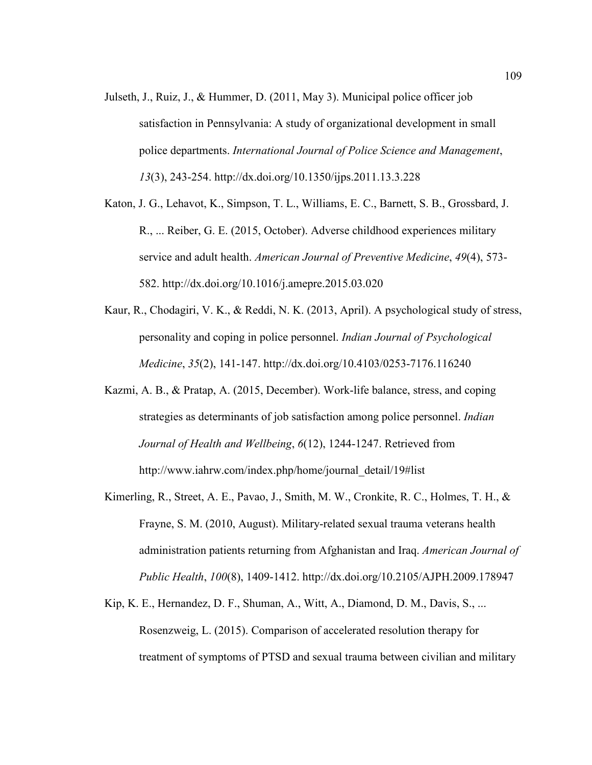- Julseth, J., Ruiz, J., & Hummer, D. (2011, May 3). Municipal police officer job satisfaction in Pennsylvania: A study of organizational development in small police departments. *International Journal of Police Science and Management*, *13*(3), 243-254. http://dx.doi.org/10.1350/ijps.2011.13.3.228
- Katon, J. G., Lehavot, K., Simpson, T. L., Williams, E. C., Barnett, S. B., Grossbard, J. R., ... Reiber, G. E. (2015, October). Adverse childhood experiences military service and adult health. *American Journal of Preventive Medicine*, *49*(4), 573- 582. http://dx.doi.org/10.1016/j.amepre.2015.03.020
- Kaur, R., Chodagiri, V. K., & Reddi, N. K. (2013, April). A psychological study of stress, personality and coping in police personnel. *Indian Journal of Psychological Medicine*, *35*(2), 141-147. http://dx.doi.org/10.4103/0253-7176.116240
- Kazmi, A. B., & Pratap, A. (2015, December). Work-life balance, stress, and coping strategies as determinants of job satisfaction among police personnel. *Indian Journal of Health and Wellbeing*, *6*(12), 1244-1247. Retrieved from http://www.iahrw.com/index.php/home/journal\_detail/19#list
- Kimerling, R., Street, A. E., Pavao, J., Smith, M. W., Cronkite, R. C., Holmes, T. H., & Frayne, S. M. (2010, August). Military-related sexual trauma veterans health administration patients returning from Afghanistan and Iraq. *American Journal of Public Health*, *100*(8), 1409-1412. http://dx.doi.org/10.2105/AJPH.2009.178947
- Kip, K. E., Hernandez, D. F., Shuman, A., Witt, A., Diamond, D. M., Davis, S., ... Rosenzweig, L. (2015). Comparison of accelerated resolution therapy for treatment of symptoms of PTSD and sexual trauma between civilian and military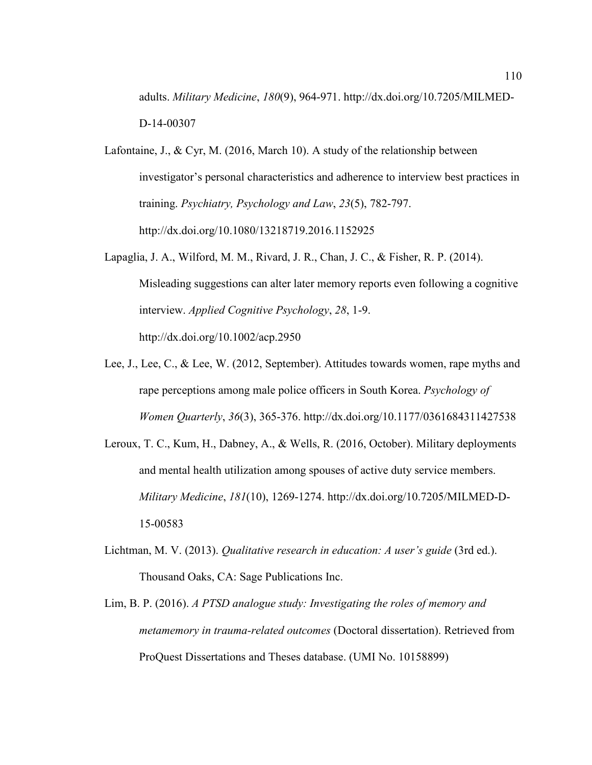adults. *Military Medicine*, *180*(9), 964-971. http://dx.doi.org/10.7205/MILMED-D-14-00307

- Lafontaine, J., & Cyr, M. (2016, March 10). A study of the relationship between investigator's personal characteristics and adherence to interview best practices in training. *Psychiatry, Psychology and Law*, *23*(5), 782-797. http://dx.doi.org/10.1080/13218719.2016.1152925
- Lapaglia, J. A., Wilford, M. M., Rivard, J. R., Chan, J. C., & Fisher, R. P. (2014). Misleading suggestions can alter later memory reports even following a cognitive interview. *Applied Cognitive Psychology*, *28*, 1-9. http://dx.doi.org/10.1002/acp.2950
- Lee, J., Lee, C., & Lee, W. (2012, September). Attitudes towards women, rape myths and rape perceptions among male police officers in South Korea. *Psychology of Women Quarterly*, *36*(3), 365-376. http://dx.doi.org/10.1177/0361684311427538
- Leroux, T. C., Kum, H., Dabney, A., & Wells, R. (2016, October). Military deployments and mental health utilization among spouses of active duty service members. *Military Medicine*, *181*(10), 1269-1274. http://dx.doi.org/10.7205/MILMED-D-15-00583
- Lichtman, M. V. (2013). *Qualitative research in education: A user's guide* (3rd ed.). Thousand Oaks, CA: Sage Publications Inc.
- Lim, B. P. (2016). *A PTSD analogue study: Investigating the roles of memory and metamemory in trauma-related outcomes* (Doctoral dissertation). Retrieved from ProQuest Dissertations and Theses database. (UMI No. 10158899)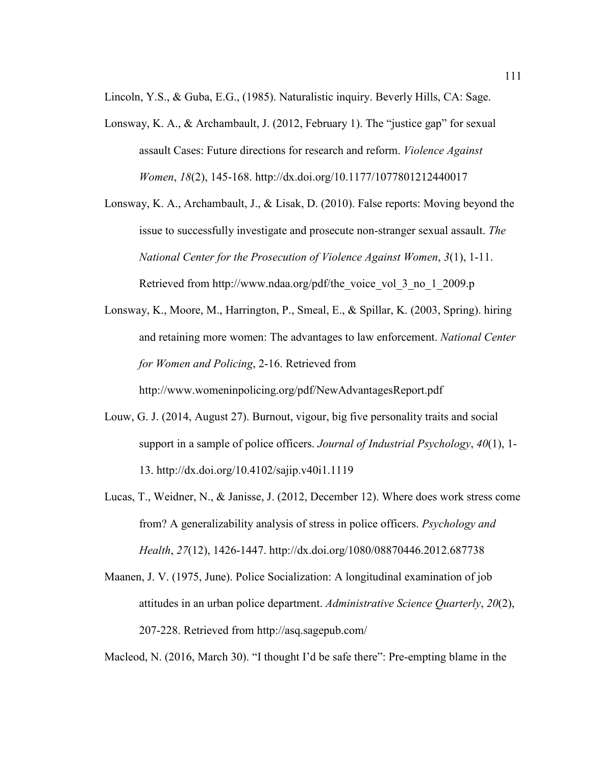Lincoln, Y.S., & Guba, E.G., (1985). Naturalistic inquiry. Beverly Hills, CA: Sage.

- Lonsway, K. A., & Archambault, J. (2012, February 1). The "justice gap" for sexual assault Cases: Future directions for research and reform. *Violence Against Women*, *18*(2), 145-168. http://dx.doi.org/10.1177/1077801212440017
- Lonsway, K. A., Archambault, J., & Lisak, D. (2010). False reports: Moving beyond the issue to successfully investigate and prosecute non-stranger sexual assault. *The National Center for the Prosecution of Violence Against Women*, *3*(1), 1-11. Retrieved from http://www.ndaa.org/pdf/the\_voice\_vol\_3\_no\_1\_2009.p
- Lonsway, K., Moore, M., Harrington, P., Smeal, E., & Spillar, K. (2003, Spring). hiring and retaining more women: The advantages to law enforcement. *National Center for Women and Policing*, 2-16. Retrieved from http://www.womeninpolicing.org/pdf/NewAdvantagesReport.pdf
- Louw, G. J. (2014, August 27). Burnout, vigour, big five personality traits and social support in a sample of police officers. *Journal of Industrial Psychology*, *40*(1), 1- 13. http://dx.doi.org/10.4102/sajip.v40i1.1119
- Lucas, T., Weidner, N., & Janisse, J. (2012, December 12). Where does work stress come from? A generalizability analysis of stress in police officers. *Psychology and Health*, *27*(12), 1426-1447. http://dx.doi.org/1080/08870446.2012.687738
- Maanen, J. V. (1975, June). Police Socialization: A longitudinal examination of job attitudes in an urban police department. *Administrative Science Quarterly*, *20*(2), 207-228. Retrieved from http://asq.sagepub.com/

Macleod, N. (2016, March 30). "I thought I'd be safe there": Pre-empting blame in the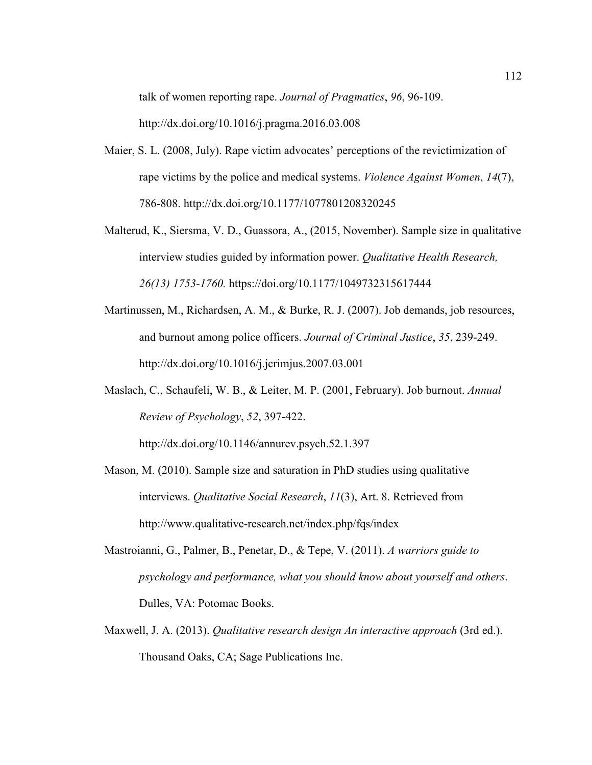talk of women reporting rape. *Journal of Pragmatics*, *96*, 96-109.

http://dx.doi.org/10.1016/j.pragma.2016.03.008

- Maier, S. L. (2008, July). Rape victim advocates' perceptions of the revictimization of rape victims by the police and medical systems. *Violence Against Women*, *14*(7), 786-808. http://dx.doi.org/10.1177/1077801208320245
- Malterud, K., Siersma, V. D., Guassora, A., (2015, November). Sample size in qualitative interview studies guided by information power. *Qualitative Health Research, 26(13) 1753-1760.* https://doi.org/10.1177/1049732315617444
- Martinussen, M., Richardsen, A. M., & Burke, R. J. (2007). Job demands, job resources, and burnout among police officers. *Journal of Criminal Justice*, *35*, 239-249. http://dx.doi.org/10.1016/j.jcrimjus.2007.03.001
- Maslach, C., Schaufeli, W. B., & Leiter, M. P. (2001, February). Job burnout. *Annual Review of Psychology*, *52*, 397-422.

http://dx.doi.org/10.1146/annurev.psych.52.1.397

- Mason, M. (2010). Sample size and saturation in PhD studies using qualitative interviews. *Qualitative Social Research*, *11*(3), Art. 8. Retrieved from http://www.qualitative-research.net/index.php/fqs/index
- Mastroianni, G., Palmer, B., Penetar, D., & Tepe, V. (2011). *A warriors guide to psychology and performance, what you should know about yourself and others*. Dulles, VA: Potomac Books.
- Maxwell, J. A. (2013). *Qualitative research design An interactive approach* (3rd ed.). Thousand Oaks, CA; Sage Publications Inc.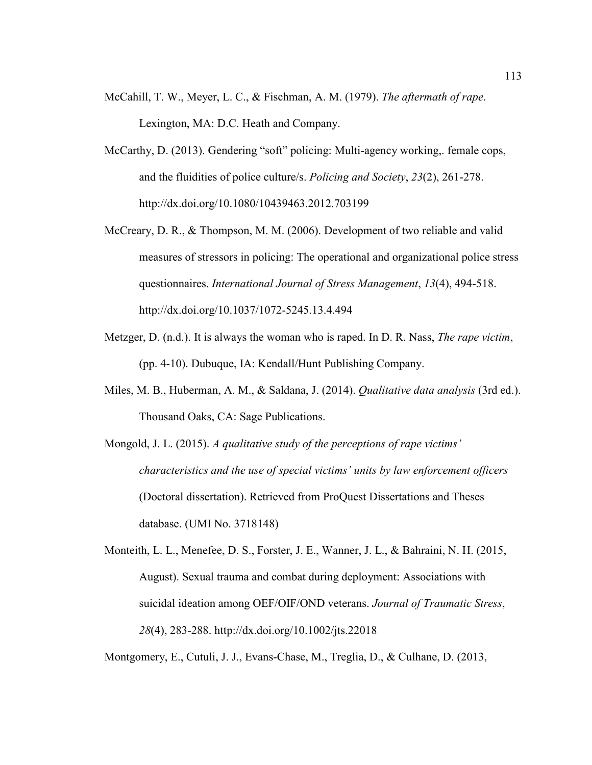- McCahill, T. W., Meyer, L. C., & Fischman, A. M. (1979). *The aftermath of rape*. Lexington, MA: D.C. Heath and Company.
- McCarthy, D. (2013). Gendering "soft" policing: Multi-agency working,. female cops, and the fluidities of police culture/s. *Policing and Society*, *23*(2), 261-278. http://dx.doi.org/10.1080/10439463.2012.703199
- McCreary, D. R., & Thompson, M. M. (2006). Development of two reliable and valid measures of stressors in policing: The operational and organizational police stress questionnaires. *International Journal of Stress Management*, *13*(4), 494-518. http://dx.doi.org/10.1037/1072-5245.13.4.494
- Metzger, D. (n.d.). It is always the woman who is raped. In D. R. Nass, *The rape victim*, (pp. 4-10). Dubuque, IA: Kendall/Hunt Publishing Company.
- Miles, M. B., Huberman, A. M., & Saldana, J. (2014). *Qualitative data analysis* (3rd ed.). Thousand Oaks, CA: Sage Publications.
- Mongold, J. L. (2015). *A qualitative study of the perceptions of rape victims' characteristics and the use of special victims' units by law enforcement officers* (Doctoral dissertation). Retrieved from ProQuest Dissertations and Theses database. (UMI No. 3718148)
- Monteith, L. L., Menefee, D. S., Forster, J. E., Wanner, J. L., & Bahraini, N. H. (2015, August). Sexual trauma and combat during deployment: Associations with suicidal ideation among OEF/OIF/OND veterans. *Journal of Traumatic Stress*, *28*(4), 283-288. http://dx.doi.org/10.1002/jts.22018

Montgomery, E., Cutuli, J. J., Evans-Chase, M., Treglia, D., & Culhane, D. (2013,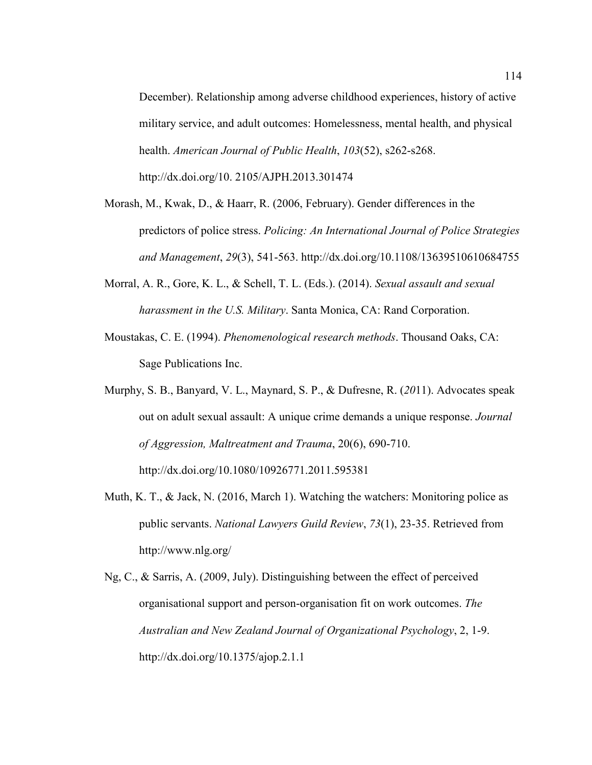December). Relationship among adverse childhood experiences, history of active military service, and adult outcomes: Homelessness, mental health, and physical health. *American Journal of Public Health*, *103*(52), s262-s268. http://dx.doi.org/10. 2105/AJPH.2013.301474

- Morash, M., Kwak, D., & Haarr, R. (2006, February). Gender differences in the predictors of police stress. *Policing: An International Journal of Police Strategies and Management*, *29*(3), 541-563. http://dx.doi.org/10.1108/13639510610684755
- Morral, A. R., Gore, K. L., & Schell, T. L. (Eds.). (2014). *Sexual assault and sexual harassment in the U.S. Military*. Santa Monica, CA: Rand Corporation.
- Moustakas, C. E. (1994). *Phenomenological research methods*. Thousand Oaks, CA: Sage Publications Inc.
- Murphy, S. B., Banyard, V. L., Maynard, S. P., & Dufresne, R. (*20*11). Advocates speak out on adult sexual assault: A unique crime demands a unique response. *Journal of Aggression, Maltreatment and Trauma*, 20(6), 690-710. http://dx.doi.org/10.1080/10926771.2011.595381
- Muth, K. T., & Jack, N. (2016, March 1). Watching the watchers: Monitoring police as public servants. *National Lawyers Guild Review*, *73*(1), 23-35. Retrieved from http://www.nlg.org/
- Ng, C., & Sarris, A. (*2*009, July). Distinguishing between the effect of perceived organisational support and person-organisation fit on work outcomes. *The Australian and New Zealand Journal of Organizational Psychology*, 2, 1-9. http://dx.doi.org/10.1375/ajop.2.1.1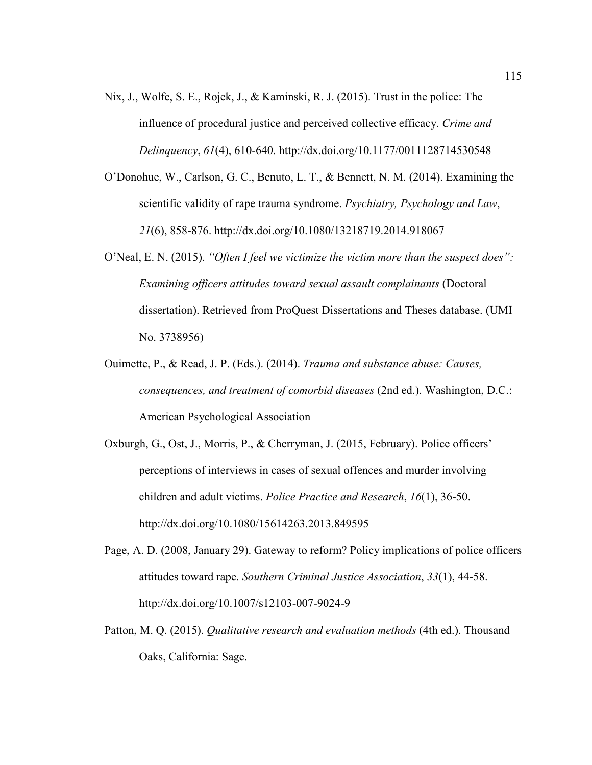- Nix, J., Wolfe, S. E., Rojek, J., & Kaminski, R. J. (2015). Trust in the police: The influence of procedural justice and perceived collective efficacy. *Crime and Delinquency*, *61*(4), 610-640. http://dx.doi.org/10.1177/0011128714530548
- O'Donohue, W., Carlson, G. C., Benuto, L. T., & Bennett, N. M. (2014). Examining the scientific validity of rape trauma syndrome. *Psychiatry, Psychology and Law*, *21*(6), 858-876. http://dx.doi.org/10.1080/13218719.2014.918067
- O'Neal, E. N. (2015). *"Often I feel we victimize the victim more than the suspect does": Examining officers attitudes toward sexual assault complainants* (Doctoral dissertation). Retrieved from ProQuest Dissertations and Theses database. (UMI No. 3738956)
- Ouimette, P., & Read, J. P. (Eds.). (2014). *Trauma and substance abuse: Causes, consequences, and treatment of comorbid diseases* (2nd ed.). Washington, D.C.: American Psychological Association
- Oxburgh, G., Ost, J., Morris, P., & Cherryman, J. (2015, February). Police officers' perceptions of interviews in cases of sexual offences and murder involving children and adult victims. *Police Practice and Research*, *16*(1), 36-50. http://dx.doi.org/10.1080/15614263.2013.849595
- Page, A. D. (2008, January 29). Gateway to reform? Policy implications of police officers attitudes toward rape. *Southern Criminal Justice Association*, *33*(1), 44-58. http://dx.doi.org/10.1007/s12103-007-9024-9
- Patton, M. Q. (2015). *Qualitative research and evaluation methods* (4th ed.). Thousand Oaks, California: Sage.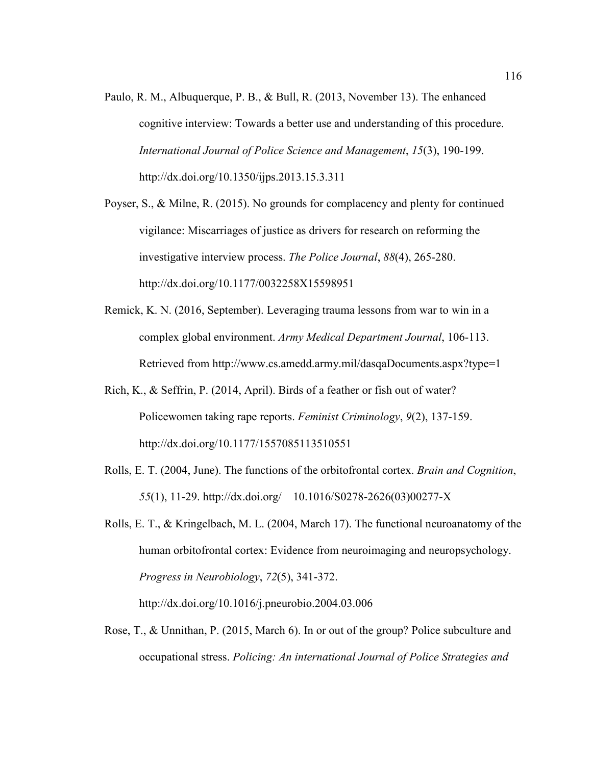Paulo, R. M., Albuquerque, P. B., & Bull, R. (2013, November 13). The enhanced cognitive interview: Towards a better use and understanding of this procedure. *International Journal of Police Science and Management*, *15*(3), 190-199. http://dx.doi.org/10.1350/ijps.2013.15.3.311

Poyser, S., & Milne, R. (2015). No grounds for complacency and plenty for continued vigilance: Miscarriages of justice as drivers for research on reforming the investigative interview process. *The Police Journal*, *88*(4), 265-280. http://dx.doi.org/10.1177/0032258X15598951

- Remick, K. N. (2016, September). Leveraging trauma lessons from war to win in a complex global environment. *Army Medical Department Journal*, 106-113. Retrieved from http://www.cs.amedd.army.mil/dasqaDocuments.aspx?type=1
- Rich, K., & Seffrin, P. (2014, April). Birds of a feather or fish out of water? Policewomen taking rape reports. *Feminist Criminology*, *9*(2), 137-159. http://dx.doi.org/10.1177/1557085113510551
- Rolls, E. T. (2004, June). The functions of the orbitofrontal cortex. *Brain and Cognition*, *55*(1), 11-29. http://dx.doi.org/ 10.1016/S0278-2626(03)00277-X
- Rolls, E. T., & Kringelbach, M. L. (2004, March 17). The functional neuroanatomy of the human orbitofrontal cortex: Evidence from neuroimaging and neuropsychology. *Progress in Neurobiology*, *72*(5), 341-372. http://dx.doi.org/10.1016/j.pneurobio.2004.03.006

Rose, T., & Unnithan, P. (2015, March 6). In or out of the group? Police subculture and occupational stress. *Policing: An international Journal of Police Strategies and*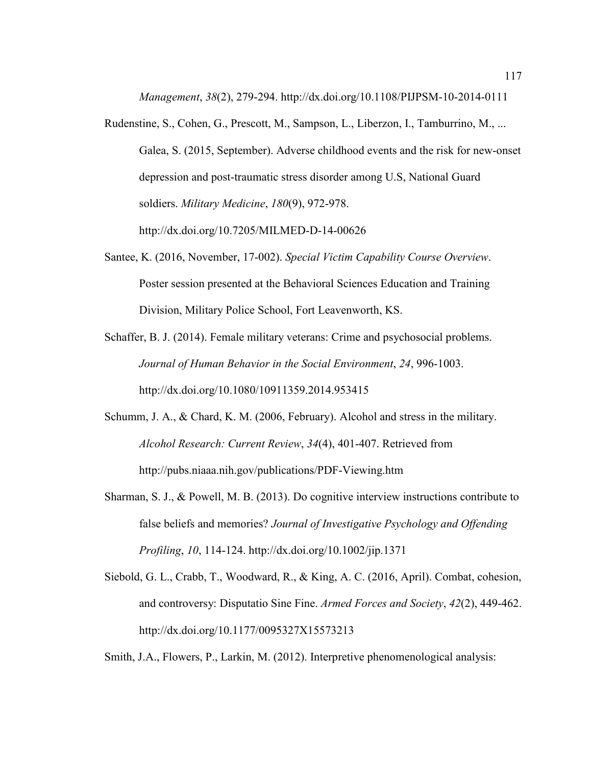*Management*, *38*(2), 279-294. http://dx.doi.org/10.1108/PIJPSM-10-2014-0111

Rudenstine, S., Cohen, G., Prescott, M., Sampson, L., Liberzon, I., Tamburrino, M., ... Galea, S. (2015, September). Adverse childhood events and the risk for new-onset depression and post-traumatic stress disorder among U.S, National Guard soldiers. *Military Medicine*, *180*(9), 972-978.

http://dx.doi.org/10.7205/MILMED-D-14-00626

- Santee, K. (2016, November, 17-002). *Special Victim Capability Course Overview*. Poster session presented at the Behavioral Sciences Education and Training Division, Military Police School, Fort Leavenworth, KS.
- Schaffer, B. J. (2014). Female military veterans: Crime and psychosocial problems. *Journal of Human Behavior in the Social Environment*, *24*, 996-1003. http://dx.doi.org/10.1080/10911359.2014.953415
- Schumm, J. A., & Chard, K. M. (2006, February). Alcohol and stress in the military. *Alcohol Research: Current Review*, *34*(4), 401-407. Retrieved from http://pubs.niaaa.nih.gov/publications/PDF-Viewing.htm
- Sharman, S. J., & Powell, M. B. (2013). Do cognitive interview instructions contribute to false beliefs and memories? *Journal of Investigative Psychology and Offending Profiling*, *10*, 114-124. http://dx.doi.org/10.1002/jip.1371
- Siebold, G. L., Crabb, T., Woodward, R., & King, A. C. (2016, April). Combat, cohesion, and controversy: Disputatio Sine Fine. *Armed Forces and Society*, *42*(2), 449-462. http://dx.doi.org/10.1177/0095327X15573213

Smith, J.A., Flowers, P., Larkin, M. (2012). Interpretive phenomenological analysis: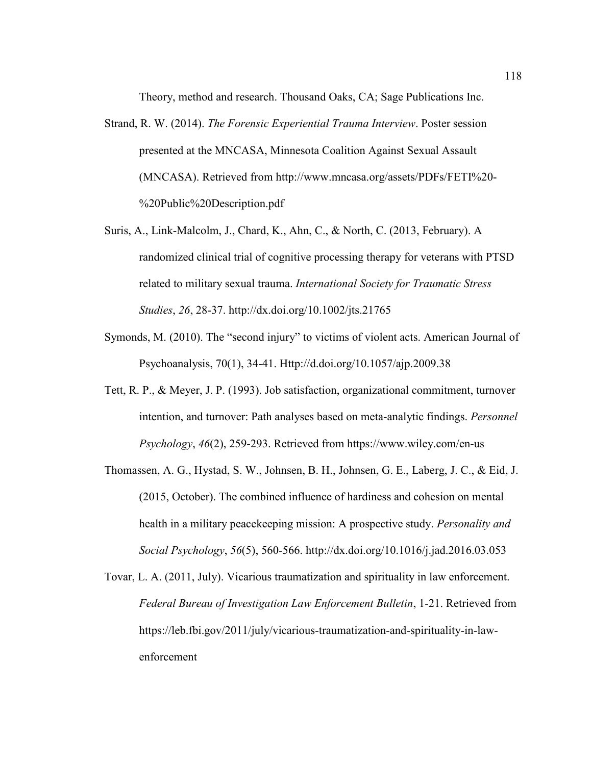Theory, method and research. Thousand Oaks, CA; Sage Publications Inc.

- Strand, R. W. (2014). *The Forensic Experiential Trauma Interview*. Poster session presented at the MNCASA, Minnesota Coalition Against Sexual Assault (MNCASA). Retrieved from http://www.mncasa.org/assets/PDFs/FETI%20- %20Public%20Description.pdf
- Suris, A., Link-Malcolm, J., Chard, K., Ahn, C., & North, C. (2013, February). A randomized clinical trial of cognitive processing therapy for veterans with PTSD related to military sexual trauma. *International Society for Traumatic Stress Studies*, *26*, 28-37. http://dx.doi.org/10.1002/jts.21765
- Symonds, M. (2010). The "second injury" to victims of violent acts. American Journal of Psychoanalysis, 70(1), 34-41. Http://d.doi.org/10.1057/ajp.2009.38
- Tett, R. P., & Meyer, J. P. (1993). Job satisfaction, organizational commitment, turnover intention, and turnover: Path analyses based on meta-analytic findings. *Personnel Psychology*, *46*(2), 259-293. Retrieved from https://www.wiley.com/en-us
- Thomassen, A. G., Hystad, S. W., Johnsen, B. H., Johnsen, G. E., Laberg, J. C., & Eid, J. (2015, October). The combined influence of hardiness and cohesion on mental health in a military peacekeeping mission: A prospective study. *Personality and Social Psychology*, *56*(5), 560-566. http://dx.doi.org/10.1016/j.jad.2016.03.053
- Tovar, L. A. (2011, July). Vicarious traumatization and spirituality in law enforcement. *Federal Bureau of Investigation Law Enforcement Bulletin*, 1-21. Retrieved from https://leb.fbi.gov/2011/july/vicarious-traumatization-and-spirituality-in-lawenforcement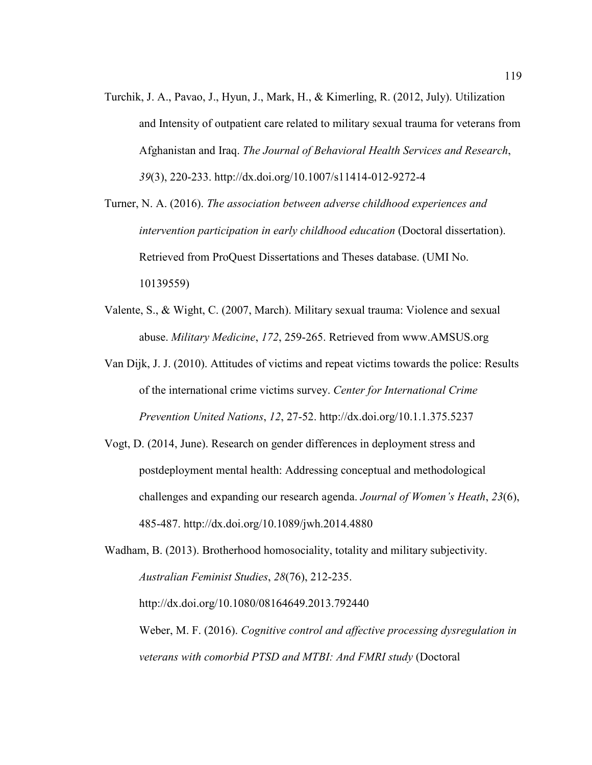Turchik, J. A., Pavao, J., Hyun, J., Mark, H., & Kimerling, R. (2012, July). Utilization and Intensity of outpatient care related to military sexual trauma for veterans from Afghanistan and Iraq. *The Journal of Behavioral Health Services and Research*, *39*(3), 220-233. http://dx.doi.org/10.1007/s11414-012-9272-4

Turner, N. A. (2016). *The association between adverse childhood experiences and intervention participation in early childhood education* (Doctoral dissertation). Retrieved from ProQuest Dissertations and Theses database. (UMI No. 10139559)

- Valente, S., & Wight, C. (2007, March). Military sexual trauma: Violence and sexual abuse. *Military Medicine*, *172*, 259-265. Retrieved from www.AMSUS.org
- Van Dijk, J. J. (2010). Attitudes of victims and repeat victims towards the police: Results of the international crime victims survey. *Center for International Crime Prevention United Nations*, *12*, 27-52. http://dx.doi.org/10.1.1.375.5237
- Vogt, D. (2014, June). Research on gender differences in deployment stress and postdeployment mental health: Addressing conceptual and methodological challenges and expanding our research agenda. *Journal of Women's Heath*, *23*(6), 485-487. http://dx.doi.org/10.1089/jwh.2014.4880

Wadham, B. (2013). Brotherhood homosociality, totality and military subjectivity. *Australian Feminist Studies*, *28*(76), 212-235. http://dx.doi.org/10.1080/08164649.2013.792440 Weber, M. F. (2016). *Cognitive control and affective processing dysregulation in veterans with comorbid PTSD and MTBI: And FMRI study* (Doctoral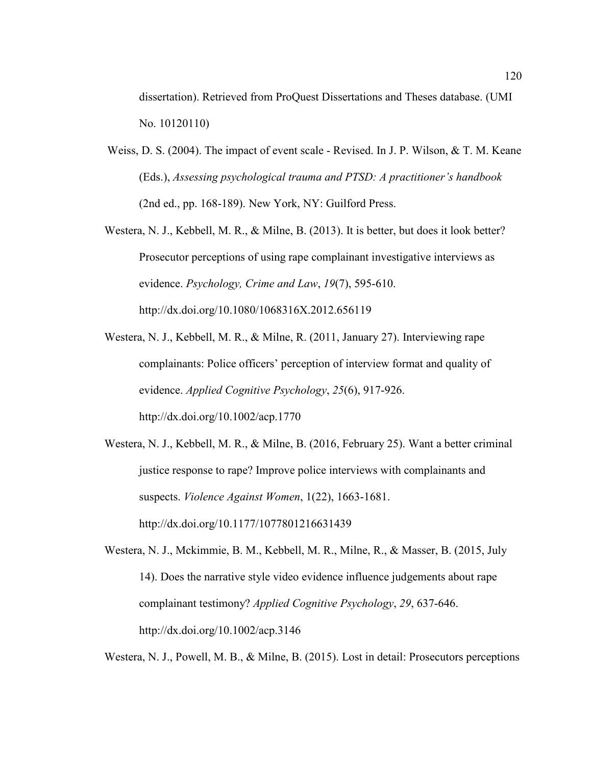dissertation). Retrieved from ProQuest Dissertations and Theses database. (UMI No. 10120110)

- Weiss, D. S. (2004). The impact of event scale Revised. In J. P. Wilson, & T. M. Keane (Eds.), *Assessing psychological trauma and PTSD: A practitioner's handbook* (2nd ed., pp. 168-189). New York, NY: Guilford Press.
- Westera, N. J., Kebbell, M. R., & Milne, B. (2013). It is better, but does it look better? Prosecutor perceptions of using rape complainant investigative interviews as evidence. *Psychology, Crime and Law*, *19*(7), 595-610. http://dx.doi.org/10.1080/1068316X.2012.656119
- Westera, N. J., Kebbell, M. R., & Milne, R. (2011, January 27). Interviewing rape complainants: Police officers' perception of interview format and quality of evidence. *Applied Cognitive Psychology*, *25*(6), 917-926. http://dx.doi.org/10.1002/acp.1770
- Westera, N. J., Kebbell, M. R., & Milne, B. (2016, February 25). Want a better criminal justice response to rape? Improve police interviews with complainants and suspects. *Violence Against Women*, 1(22), 1663-1681. http://dx.doi.org/10.1177/1077801216631439
- Westera, N. J., Mckimmie, B. M., Kebbell, M. R., Milne, R., & Masser, B. (2015, July 14). Does the narrative style video evidence influence judgements about rape complainant testimony? *Applied Cognitive Psychology*, *29*, 637-646. http://dx.doi.org/10.1002/acp.3146

Westera, N. J., Powell, M. B., & Milne, B. (2015). Lost in detail: Prosecutors perceptions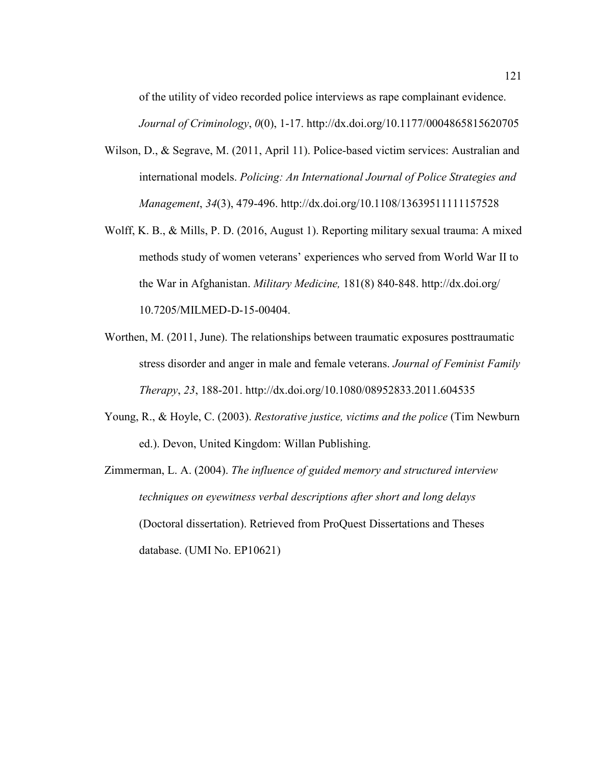of the utility of video recorded police interviews as rape complainant evidence.

*Journal of Criminology*, *0*(0), 1-17. http://dx.doi.org/10.1177/0004865815620705

- Wilson, D., & Segrave, M. (2011, April 11). Police-based victim services: Australian and international models. *Policing: An International Journal of Police Strategies and Management*, *34*(3), 479-496. http://dx.doi.org/10.1108/13639511111157528
- Wolff, K. B., & Mills, P. D. (2016, August 1). Reporting military sexual trauma: A mixed methods study of women veterans' experiences who served from World War II to the War in Afghanistan. *Military Medicine,* 181(8) 840-848. http://dx.doi.org/ 10.7205/MILMED-D-15-00404.
- Worthen, M. (2011, June). The relationships between traumatic exposures posttraumatic stress disorder and anger in male and female veterans. *Journal of Feminist Family Therapy*, *23*, 188-201. http://dx.doi.org/10.1080/08952833.2011.604535
- Young, R., & Hoyle, C. (2003). *Restorative justice, victims and the police* (Tim Newburn ed.). Devon, United Kingdom: Willan Publishing.
- Zimmerman, L. A. (2004). *The influence of guided memory and structured interview techniques on eyewitness verbal descriptions after short and long delays* (Doctoral dissertation). Retrieved from ProQuest Dissertations and Theses database. (UMI No. EP10621)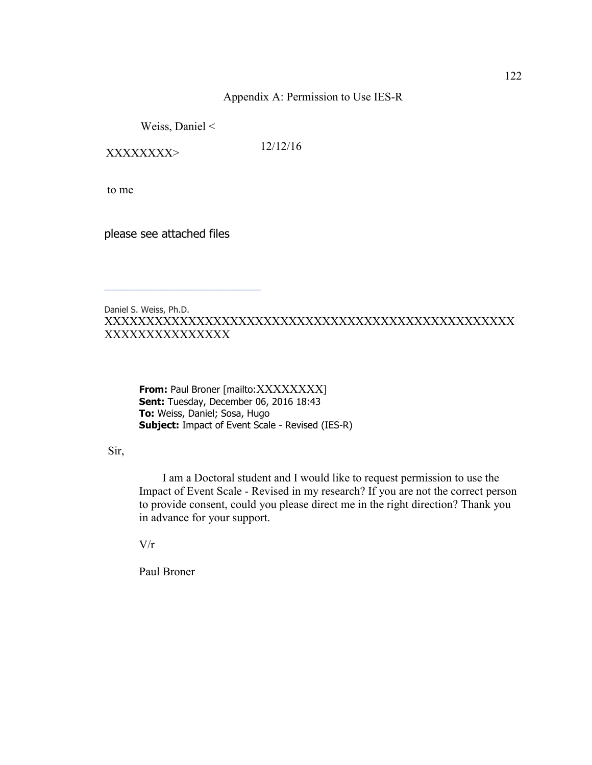## Appendix A: Permission to Use IES-R

Weiss, Daniel <

XXXXXXXX> 12/12/16

to me

please see attached files

\_\_\_\_\_\_\_\_\_\_\_\_\_\_\_\_\_\_\_\_\_\_\_\_\_\_\_\_\_\_\_\_\_\_\_\_\_

## Daniel S. Weiss, Ph.D. XXXXXXXXXXXXXXXXXXXXXXXXXXXXXXXXXXXXXXXXXXXXXXXXX XXXXXXXXXXXXXXX

**From:** Paul Broner [mailto:XXXXXXXXX] **Sent:** Tuesday, December 06, 2016 18:43 **To:** Weiss, Daniel; Sosa, Hugo **Subject:** Impact of Event Scale - Revised (IES-R)

Sir,

 I am a Doctoral student and I would like to request permission to use the Impact of Event Scale - Revised in my research? If you are not the correct person to provide consent, could you please direct me in the right direction? Thank you in advance for your support.

 $V/r$ 

Paul Broner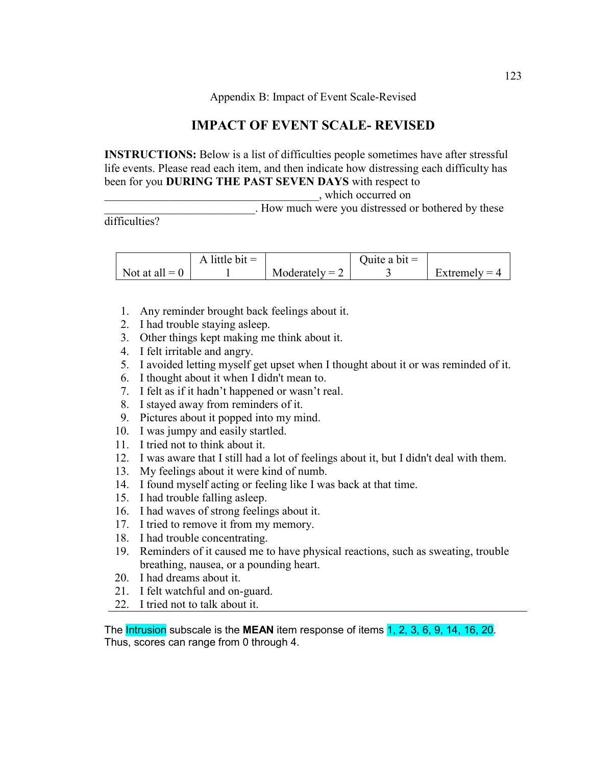Appendix B: Impact of Event Scale-Revised

# **IMPACT OF EVENT SCALE- REVISED**

**INSTRUCTIONS:** Below is a list of difficulties people sometimes have after stressful life events. Please read each item, and then indicate how distressing each difficulty has been for you **DURING THE PAST SEVEN DAYS** with respect to

\_\_\_\_\_\_\_\_\_\_\_\_\_\_\_\_\_\_\_\_\_\_\_\_\_\_\_\_\_\_\_\_\_\_\_\_\_, which occurred on

. How much were you distressed or bothered by these

difficulties?

|                  | A little bit $=$ |                  | Quite a bit $=$ |                 |
|------------------|------------------|------------------|-----------------|-----------------|
| Not at all $= 0$ |                  | Moderately $= 2$ |                 | Extremely = $4$ |

- 1. Any reminder brought back feelings about it.
- 2. I had trouble staying asleep.
- 3. Other things kept making me think about it.
- 4. I felt irritable and angry.
- 5. I avoided letting myself get upset when I thought about it or was reminded of it.
- 6. I thought about it when I didn't mean to.
- 7. I felt as if it hadn't happened or wasn't real.
- 8. I stayed away from reminders of it.
- 9. Pictures about it popped into my mind.
- 10. I was jumpy and easily startled.
- 11. I tried not to think about it.
- 12. I was aware that I still had a lot of feelings about it, but I didn't deal with them.
- 13. My feelings about it were kind of numb.
- 14. I found myself acting or feeling like I was back at that time.
- 15. I had trouble falling asleep.
- 16. I had waves of strong feelings about it.
- 17. I tried to remove it from my memory.
- 18. I had trouble concentrating.
- 19. Reminders of it caused me to have physical reactions, such as sweating, trouble breathing, nausea, or a pounding heart.
- 20. I had dreams about it.
- 21. I felt watchful and on-guard.
- 22. I tried not to talk about it.

The Intrusion subscale is the **MEAN** item response of items 1, 2, 3, 6, 9, 14, 16, 20. Thus, scores can range from 0 through 4.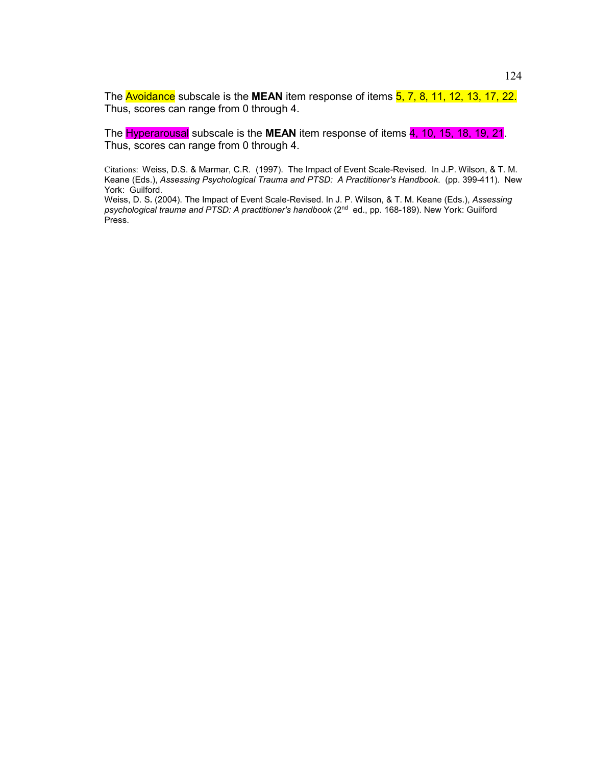The **Avoidance** subscale is the **MEAN** item response of items **5, 7, 8, 11, 12, 13, 17, 22.** Thus, scores can range from 0 through 4.

The Hyperarousal subscale is the **MEAN** item response of items 4, 10, 15, 18, 19, 21. Thus, scores can range from 0 through 4.

Citations: Weiss, D.S. & Marmar, C.R. (1997). The Impact of Event Scale-Revised. In J.P. Wilson, & T. M. Keane (Eds.), *Assessing Psychological Trauma and PTSD: A Practitioner's Handbook*. (pp. 399-411). New York: Guilford.

Weiss, D. S**.** (2004). The Impact of Event Scale-Revised. In J. P. Wilson, & T. M. Keane (Eds.), *Assessing*  psychological trauma and PTSD: A practitioner's handbook (2<sup>nd</sup> ed., pp. 168-189). New York: Guilford Press.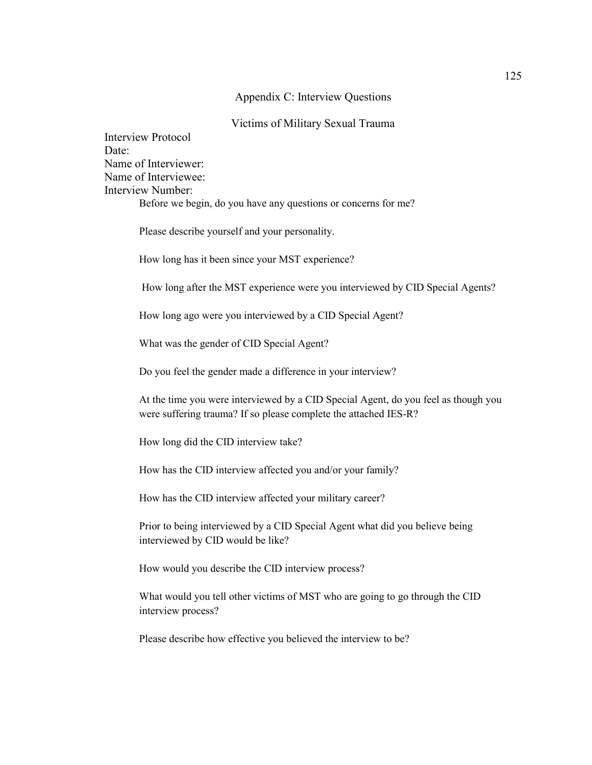### Appendix C: Interview Questions

### Victims of Military Sexual Trauma

Interview Protocol Date<sup>-</sup> Name of Interviewer: Name of Interviewee: Interview Number: Before we begin, do you have any questions or concerns for me?

Please describe yourself and your personality.

How long has it been since your MST experience?

How long after the MST experience were you interviewed by CID Special Agents?

How long ago were you interviewed by a CID Special Agent?

What was the gender of CID Special Agent?

Do you feel the gender made a difference in your interview?

At the time you were interviewed by a CID Special Agent, do you feel as though you were suffering trauma? If so please complete the attached IES-R?

How long did the CID interview take?

How has the CID interview affected you and/or your family?

How has the CID interview affected your military career?

Prior to being interviewed by a CID Special Agent what did you believe being interviewed by CID would be like?

How would you describe the CID interview process?

What would you tell other victims of MST who are going to go through the CID interview process?

Please describe how effective you believed the interview to be?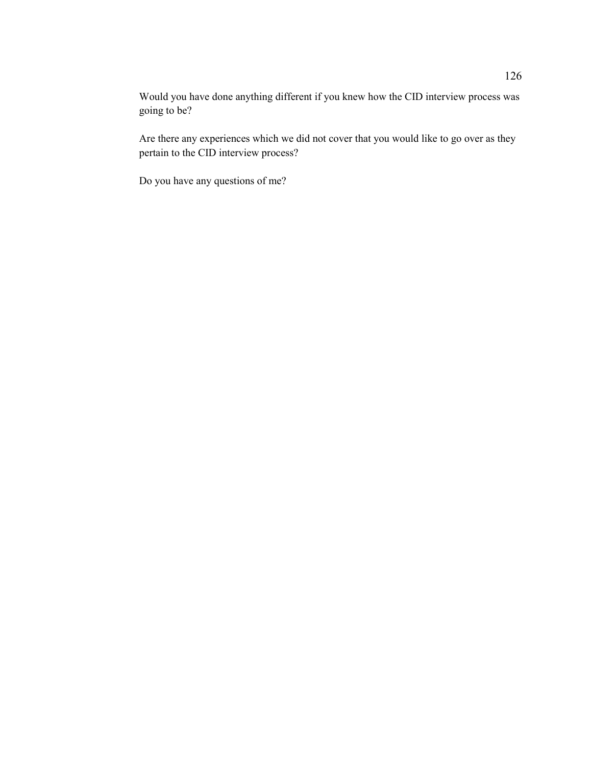Would you have done anything different if you knew how the CID interview process was going to be?

Are there any experiences which we did not cover that you would like to go over as they pertain to the CID interview process?

Do you have any questions of me?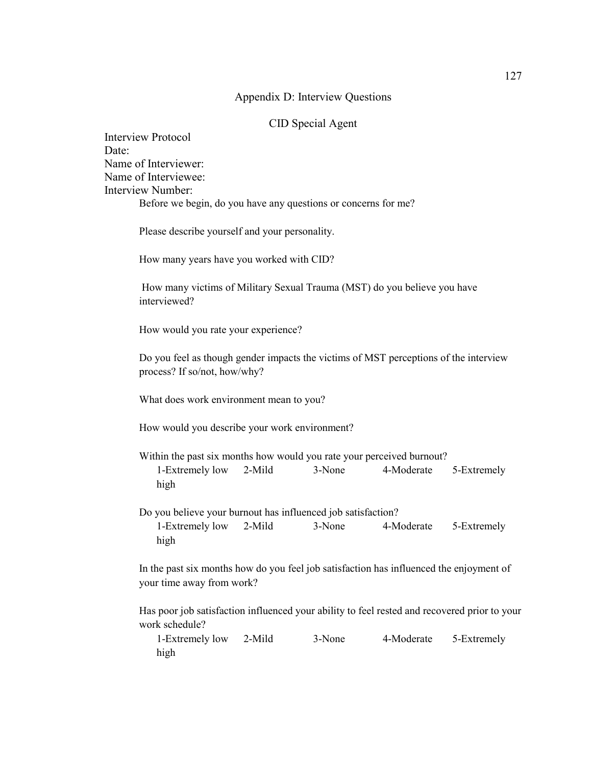### Appendix D: Interview Questions

## CID Special Agent

Interview Protocol Date: Name of Interviewer: Name of Interviewee: Interview Number: Before we begin, do you have any questions or concerns for me?

Please describe yourself and your personality.

How many years have you worked with CID?

 How many victims of Military Sexual Trauma (MST) do you believe you have interviewed?

How would you rate your experience?

Do you feel as though gender impacts the victims of MST perceptions of the interview process? If so/not, how/why?

What does work environment mean to you?

How would you describe your work environment?

Within the past six months how would you rate your perceived burnout? 1-Extremely low 2-Mild 3-None 4-Moderate 5-Extremely high

Do you believe your burnout has influenced job satisfaction? 1-Extremely low 2-Mild 3-None 4-Moderate 5-Extremely high

In the past six months how do you feel job satisfaction has influenced the enjoyment of your time away from work?

Has poor job satisfaction influenced your ability to feel rested and recovered prior to your work schedule?

1-Extremely low 2-Mild 3-None 4-Moderate 5-Extremely high